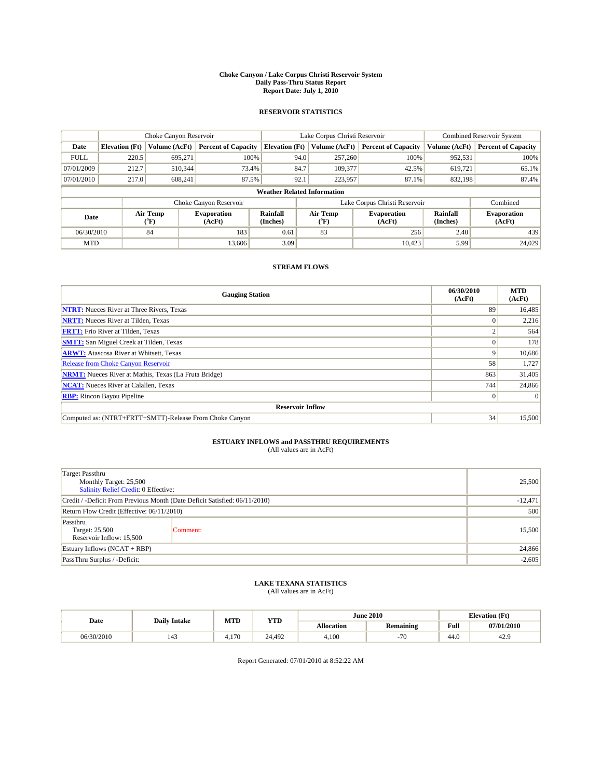#### **Choke Canyon / Lake Corpus Christi Reservoir System Daily Pass-Thru Status Report Report Date: July 1, 2010**

### **RESERVOIR STATISTICS**

|             | Choke Canyon Reservoir             |                          |                              |                       | Lake Corpus Christi Reservoir |                          |                              |                      | <b>Combined Reservoir System</b> |  |
|-------------|------------------------------------|--------------------------|------------------------------|-----------------------|-------------------------------|--------------------------|------------------------------|----------------------|----------------------------------|--|
| Date        | <b>Elevation</b> (Ft)              | Volume (AcFt)            | <b>Percent of Capacity</b>   | <b>Elevation</b> (Ft) |                               | Volume (AcFt)            | <b>Percent of Capacity</b>   | Volume (AcFt)        | <b>Percent of Capacity</b>       |  |
| <b>FULL</b> | 220.5                              | 695,271                  | 100%                         |                       | 94.0                          | 257,260                  | 100%                         | 952,531              | 100%                             |  |
| 07/01/2009  | 212.7                              | 510,344                  | 73.4%                        |                       | 84.7                          | 109,377                  | 42.5%                        | 619,721              | 65.1%                            |  |
| 07/01/2010  | 217.0                              | 608.241                  | 87.5%                        |                       | 92.1                          | 223,957                  | 87.1%                        | 832.198              | 87.4%                            |  |
|             | <b>Weather Related Information</b> |                          |                              |                       |                               |                          |                              |                      |                                  |  |
|             |                                    |                          | Choke Canyon Reservoir       |                       | Lake Corpus Christi Reservoir |                          |                              |                      | Combined                         |  |
| Date        |                                    | Air Temp<br>$\rm ^{o}F)$ | <b>Evaporation</b><br>(AcFt) | Rainfall<br>(Inches)  |                               | Air Temp<br>$\rm ^{o}F)$ | <b>Evaporation</b><br>(AcFt) | Rainfall<br>(Inches) | <b>Evaporation</b><br>(AcFt)     |  |
| 06/30/2010  |                                    | 84                       | 183                          | 0.61                  |                               | 83                       | 256                          | 2.40                 | 439                              |  |
| <b>MTD</b>  |                                    |                          | 13,606                       | 3.09                  |                               |                          | 10.423                       | 5.99                 | 24,029                           |  |

## **STREAM FLOWS**

| <b>Gauging Station</b>                                       | 06/30/2010<br>(AcFt) | <b>MTD</b><br>(AcFt) |
|--------------------------------------------------------------|----------------------|----------------------|
| <b>NTRT:</b> Nueces River at Three Rivers, Texas             | 89                   | 16,485               |
| <b>NRTT:</b> Nueces River at Tilden, Texas                   | $\Omega$             | 2,216                |
| <b>FRTT:</b> Frio River at Tilden, Texas                     | $\sim$               | 564                  |
| <b>SMTT:</b> San Miguel Creek at Tilden, Texas               |                      | 178                  |
| <b>ARWT:</b> Atascosa River at Whitsett, Texas               | 9                    | 10,686               |
| Release from Choke Canyon Reservoir                          | 58                   | 1,727                |
| <b>NRMT:</b> Nueces River at Mathis, Texas (La Fruta Bridge) | 863                  | 31,405               |
| <b>NCAT:</b> Nueces River at Calallen, Texas                 | 744                  | 24,866               |
| <b>RBP:</b> Rincon Bayou Pipeline                            | $\overline{0}$       | $\Omega$             |
| <b>Reservoir Inflow</b>                                      |                      |                      |
| Computed as: (NTRT+FRTT+SMTT)-Release From Choke Canyon      | 34                   | 15,500               |

# **ESTUARY INFLOWS and PASSTHRU REQUIREMENTS**<br>(All values are in AcFt)

| <b>Target Passthru</b><br>Monthly Target: 25,500<br>Salinity Relief Credit: 0 Effective: |           | 25,500 |
|------------------------------------------------------------------------------------------|-----------|--------|
| Credit / -Deficit From Previous Month (Date Deficit Satisfied: 06/11/2010)               | $-12,471$ |        |
| Return Flow Credit (Effective: 06/11/2010)                                               | 500       |        |
| Passthru<br>Target: 25,500<br>Reservoir Inflow: 15,500                                   | Comment:  | 15,500 |
| Estuary Inflows $(NCAT + RBP)$                                                           | 24,866    |        |
| PassThru Surplus / -Deficit:                                                             | $-2,605$  |        |

## **LAKE TEXANA STATISTICS** (All values are in AcFt)

| Date       | <b>Daily Intake</b> |        | MTD<br>YTD |            | <b>June 2010</b> |      | <b>Elevation</b> (Ft) |
|------------|---------------------|--------|------------|------------|------------------|------|-----------------------|
|            |                     |        |            | Allocation | <b>Remaining</b> | Full | 07/01/2010            |
| 06/30/2010 | 143                 | $+170$ | 24.492     | 4.100      | $-70$            | 44.0 | 44.                   |

Report Generated: 07/01/2010 at 8:52:22 AM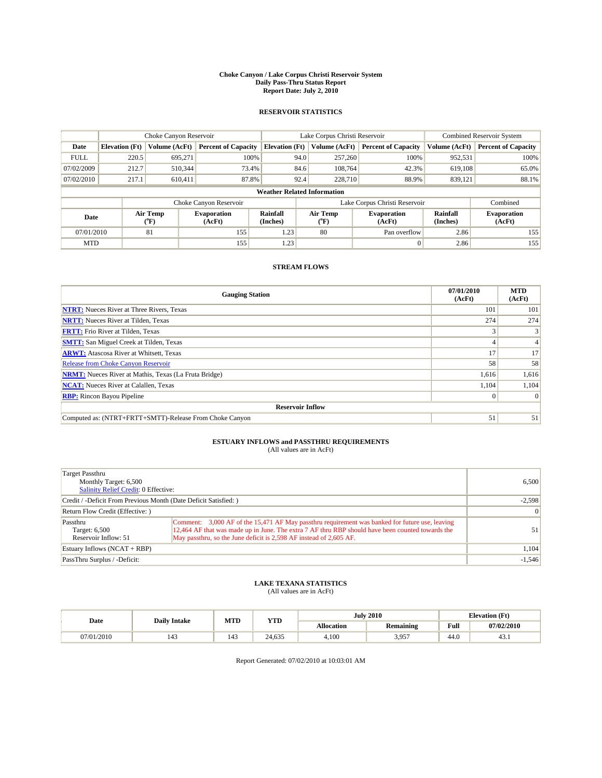#### **Choke Canyon / Lake Corpus Christi Reservoir System Daily Pass-Thru Status Report Report Date: July 2, 2010**

### **RESERVOIR STATISTICS**

|             | Choke Canyon Reservoir             |                  |                              |                       | Lake Corpus Christi Reservoir | <b>Combined Reservoir System</b> |                      |                              |  |  |
|-------------|------------------------------------|------------------|------------------------------|-----------------------|-------------------------------|----------------------------------|----------------------|------------------------------|--|--|
| Date        | <b>Elevation</b> (Ft)              | Volume (AcFt)    | <b>Percent of Capacity</b>   | <b>Elevation</b> (Ft) | Volume (AcFt)                 | <b>Percent of Capacity</b>       | Volume (AcFt)        | <b>Percent of Capacity</b>   |  |  |
| <b>FULL</b> | 220.5                              | 695,271          | 100%                         | 94.0                  | 257,260                       | 100%                             | 952,531              | 100%                         |  |  |
| 07/02/2009  | 212.7                              | 510,344          | 73.4%                        | 84.6                  | 108,764                       | 42.3%                            | 619,108              | 65.0%                        |  |  |
| 07/02/2010  | 217.1                              | 610.411          | 87.8%                        | 92.4                  | 228,710                       | 88.9%                            | 839,121              | 88.1%                        |  |  |
|             | <b>Weather Related Information</b> |                  |                              |                       |                               |                                  |                      |                              |  |  |
|             |                                    |                  | Choke Canyon Reservoir       |                       | Lake Corpus Christi Reservoir |                                  |                      | Combined                     |  |  |
| Date        |                                    | Air Temp<br>(°F) | <b>Evaporation</b><br>(AcFt) | Rainfall<br>(Inches)  | Air Temp<br>("F)              | <b>Evaporation</b><br>(AcFt)     | Rainfall<br>(Inches) | <b>Evaporation</b><br>(AcFt) |  |  |
| 07/01/2010  |                                    | 81               | 155                          | 1.23                  | 80                            | Pan overflow                     | 2.86                 | 155                          |  |  |
| <b>MTD</b>  |                                    |                  | 155                          | 1.23                  |                               | $\Omega$                         | 2.86                 | 155                          |  |  |

## **STREAM FLOWS**

| <b>Gauging Station</b>                                       | 07/01/2010<br>(AcFt) | <b>MTD</b><br>(AcFt) |
|--------------------------------------------------------------|----------------------|----------------------|
| <b>NTRT:</b> Nueces River at Three Rivers, Texas             | 101                  | 101                  |
| <b>NRTT:</b> Nueces River at Tilden, Texas                   | 274                  | 274                  |
| <b>FRTT:</b> Frio River at Tilden, Texas                     |                      |                      |
| <b>SMTT:</b> San Miguel Creek at Tilden, Texas               |                      |                      |
| <b>ARWT:</b> Atascosa River at Whitsett, Texas               | 17                   | 17                   |
| <b>Release from Choke Canyon Reservoir</b>                   | 58                   | 58                   |
| <b>NRMT:</b> Nueces River at Mathis, Texas (La Fruta Bridge) | 1,616                | 1,616                |
| <b>NCAT:</b> Nueces River at Calallen, Texas                 | 1,104                | 1,104                |
| <b>RBP:</b> Rincon Bayou Pipeline                            | $\vert 0 \vert$      | $\Omega$             |
| <b>Reservoir Inflow</b>                                      |                      |                      |
| Computed as: (NTRT+FRTT+SMTT)-Release From Choke Canyon      | 51                   | 51                   |

# **ESTUARY INFLOWS and PASSTHRU REQUIREMENTS**<br>(All values are in AcFt)

| Target Passthru<br>Monthly Target: 6,500<br><b>Salinity Relief Credit: 0 Effective:</b> | 6.500                                                                                                                                                                                                                                                                    |          |
|-----------------------------------------------------------------------------------------|--------------------------------------------------------------------------------------------------------------------------------------------------------------------------------------------------------------------------------------------------------------------------|----------|
| Credit / -Deficit From Previous Month (Date Deficit Satisfied: )                        |                                                                                                                                                                                                                                                                          | $-2,598$ |
| Return Flow Credit (Effective: )                                                        | $\vert 0 \vert$                                                                                                                                                                                                                                                          |          |
| Passthru<br>Target: 6,500<br>Reservoir Inflow: 51                                       | Comment: 3,000 AF of the 15,471 AF May passthru requirement was banked for future use, leaving<br>12,464 AF that was made up in June. The extra 7 AF thru RBP should have been counted towards the<br>May passthru, so the June deficit is 2,598 AF instead of 2,605 AF. | 51       |
| Estuary Inflows $(NCAT + RBP)$                                                          |                                                                                                                                                                                                                                                                          | 1,104    |
| PassThru Surplus / -Deficit:                                                            |                                                                                                                                                                                                                                                                          | $-1,546$ |

## **LAKE TEXANA STATISTICS** (All values are in AcFt)

|            | <b>Daily Intake</b> | MTD | <b>YTD</b> |            | <b>July 2010</b> | <b>Elevation</b> (Ft)                       |            |
|------------|---------------------|-----|------------|------------|------------------|---------------------------------------------|------------|
| Date       |                     |     |            | Allocation | Remaining        | Full<br>the contract of the contract of the | 07/02/2010 |
| 07/01/2010 | 143                 | 143 | 24,635     | 4.100      | 3 957<br>J.JJ    | 44.0                                        | 45.1       |

Report Generated: 07/02/2010 at 10:03:01 AM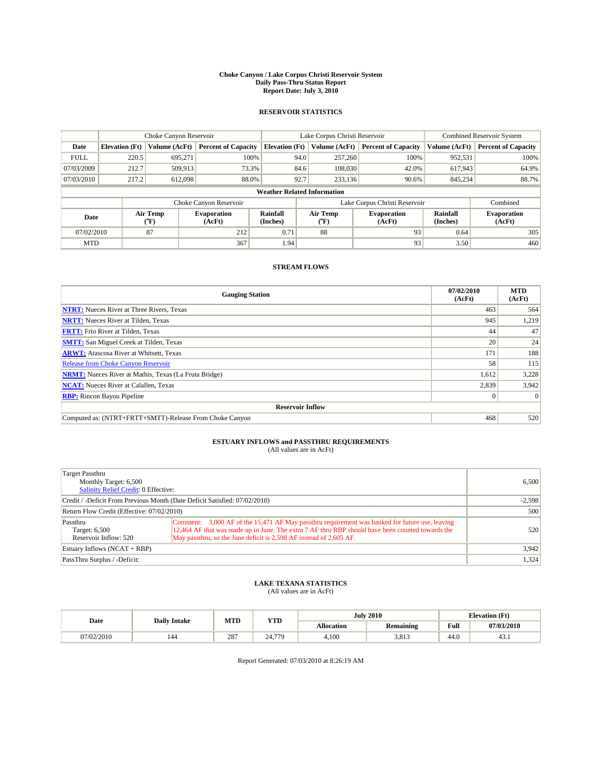#### **Choke Canyon / Lake Corpus Christi Reservoir System Daily Pass-Thru Status Report Report Date: July 3, 2010**

### **RESERVOIR STATISTICS**

|             | Choke Canyon Reservoir             |                  |                            |                       | Lake Corpus Christi Reservoir | <b>Combined Reservoir System</b> |                      |                              |  |  |
|-------------|------------------------------------|------------------|----------------------------|-----------------------|-------------------------------|----------------------------------|----------------------|------------------------------|--|--|
| Date        | <b>Elevation</b> (Ft)              | Volume (AcFt)    | <b>Percent of Capacity</b> | <b>Elevation</b> (Ft) | Volume (AcFt)                 | <b>Percent of Capacity</b>       | Volume (AcFt)        | <b>Percent of Capacity</b>   |  |  |
| <b>FULL</b> | 220.5                              | 695,271          | 100%                       | 94.0                  | 257,260                       | 100%                             | 952,531              | 100%                         |  |  |
| 07/03/2009  | 212.7                              | 509,913          | 73.3%                      | 84.6                  | 108,030                       | 42.0%                            | 617,943              | 64.9%                        |  |  |
| 07/03/2010  | 217.2                              | 612,098          | 88.0%                      | 92.7                  | 233,136                       | 90.6%                            | 845,234              | 88.7%                        |  |  |
|             | <b>Weather Related Information</b> |                  |                            |                       |                               |                                  |                      |                              |  |  |
|             |                                    |                  | Choke Canyon Reservoir     |                       | Lake Corpus Christi Reservoir |                                  |                      | Combined                     |  |  |
| Date        |                                    | Air Temp<br>(°F) | Evaporation<br>(AcFt)      | Rainfall<br>(Inches)  | Air Temp<br>("F)              | <b>Evaporation</b><br>(AcFt)     | Rainfall<br>(Inches) | <b>Evaporation</b><br>(AcFt) |  |  |
| 07/02/2010  |                                    | 87               | 212                        | 0.71                  | 88                            | 93                               | 0.64                 | 305                          |  |  |
| <b>MTD</b>  |                                    |                  | 367                        | 1.94                  |                               | 93                               | 3.50                 | 460                          |  |  |

## **STREAM FLOWS**

| <b>Gauging Station</b>                                       | 07/02/2010<br>(AcFt) | <b>MTD</b><br>(AcFt) |
|--------------------------------------------------------------|----------------------|----------------------|
| <b>NTRT:</b> Nueces River at Three Rivers, Texas             | 463                  | 564                  |
| <b>NRTT:</b> Nueces River at Tilden, Texas                   | 945                  | 1,219                |
| <b>FRTT:</b> Frio River at Tilden, Texas                     | 44                   | 47                   |
| <b>SMTT:</b> San Miguel Creek at Tilden, Texas               | 20                   | 24                   |
| <b>ARWT:</b> Atascosa River at Whitsett, Texas               | 171                  | 188                  |
| Release from Choke Canyon Reservoir                          | 58                   | 115                  |
| <b>NRMT:</b> Nueces River at Mathis, Texas (La Fruta Bridge) | 1,612                | 3,228                |
| <b>NCAT:</b> Nueces River at Calallen, Texas                 | 2,839                | 3,942                |
| <b>RBP:</b> Rincon Bayou Pipeline                            | $\vert 0 \vert$      | $\Omega$             |
| <b>Reservoir Inflow</b>                                      |                      |                      |
| Computed as: (NTRT+FRTT+SMTT)-Release From Choke Canyon      | 468                  | 520                  |

# **ESTUARY INFLOWS and PASSTHRU REQUIREMENTS**<br>(All values are in AcFt)

| Target Passthru<br>Monthly Target: 6,500<br>Salinity Relief Credit: 0 Effective: | 6,500                                                                                                                                                                                                                                                                    |       |
|----------------------------------------------------------------------------------|--------------------------------------------------------------------------------------------------------------------------------------------------------------------------------------------------------------------------------------------------------------------------|-------|
| Credit / -Deficit From Previous Month (Date Deficit Satisfied: 07/02/2010)       | $-2,598$                                                                                                                                                                                                                                                                 |       |
| Return Flow Credit (Effective: 07/02/2010)                                       | 500                                                                                                                                                                                                                                                                      |       |
| Passthru<br>Target: 6,500<br>Reservoir Inflow: 520                               | Comment: 3,000 AF of the 15,471 AF May passthru requirement was banked for future use, leaving<br>12,464 AF that was made up in June. The extra 7 AF thru RBP should have been counted towards the<br>May passthru, so the June deficit is 2,598 AF instead of 2,605 AF. | 520   |
| Estuary Inflows $(NCAT + RBP)$                                                   |                                                                                                                                                                                                                                                                          | 3,942 |
| PassThru Surplus / -Deficit:                                                     |                                                                                                                                                                                                                                                                          | 1,324 |

## **LAKE TEXANA STATISTICS** (All values are in AcFt)

|           | <b>Daily Intake</b> | MTD | <b>YTD</b> |            | <b>July 2010</b> | <b>Elevation</b> (Ft) |            |
|-----------|---------------------|-----|------------|------------|------------------|-----------------------|------------|
| Date      |                     |     |            | Allocation | <b>Remaining</b> | Full                  | 07/03/2010 |
| 7/02/2010 | 144                 | 287 | 24.779     | 4.100      | 3.813            | $\sqrt{ }$<br>44.0    | 43.1       |

Report Generated: 07/03/2010 at 8:26:19 AM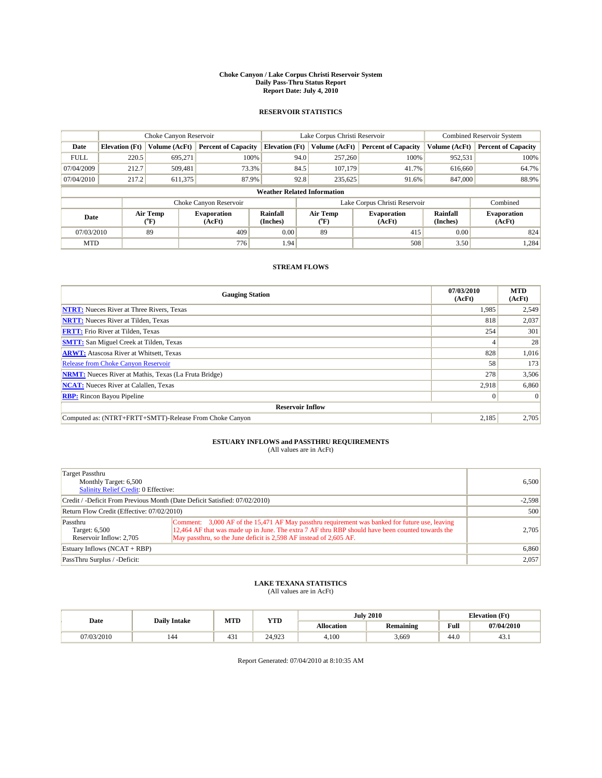#### **Choke Canyon / Lake Corpus Christi Reservoir System Daily Pass-Thru Status Report Report Date: July 4, 2010**

### **RESERVOIR STATISTICS**

|                                                                                                 | Choke Canyon Reservoir             |               |                              |                       | Lake Corpus Christi Reservoir | <b>Combined Reservoir System</b> |               |                            |  |  |
|-------------------------------------------------------------------------------------------------|------------------------------------|---------------|------------------------------|-----------------------|-------------------------------|----------------------------------|---------------|----------------------------|--|--|
| Date                                                                                            | <b>Elevation</b> (Ft)              | Volume (AcFt) | <b>Percent of Capacity</b>   | <b>Elevation</b> (Ft) | Volume (AcFt)                 | <b>Percent of Capacity</b>       | Volume (AcFt) | <b>Percent of Capacity</b> |  |  |
| <b>FULL</b>                                                                                     | 220.5                              | 695,271       | 100%                         | 94.0                  | 257,260                       | 100%                             | 952,531       | 100%                       |  |  |
| 07/04/2009                                                                                      | 212.7                              | 509,481       | 73.3%                        | 84.5                  | 107,179                       | 41.7%                            | 616,660       | 64.7%                      |  |  |
| 07/04/2010                                                                                      | 217.2                              | 611,375       | 87.9%                        | 92.8                  | 235,625                       | 91.6%                            | 847,000       | 88.9%                      |  |  |
|                                                                                                 | <b>Weather Related Information</b> |               |                              |                       |                               |                                  |               |                            |  |  |
|                                                                                                 |                                    |               | Choke Canyon Reservoir       |                       |                               | Lake Corpus Christi Reservoir    |               | Combined                   |  |  |
| Air Temp<br><b>Rainfall</b><br><b>Evaporation</b><br>Date<br>(Inches)<br>(AcFt)<br>(°F)<br>(°F) |                                    | Air Temp      | <b>Evaporation</b><br>(AcFt) | Rainfall<br>(Inches)  | <b>Evaporation</b><br>(AcFt)  |                                  |               |                            |  |  |
| 07/03/2010                                                                                      |                                    | 89            | 409                          | 0.00                  | 89                            | 415                              | 0.00          | 824                        |  |  |
| <b>MTD</b>                                                                                      |                                    |               | 776                          | 1.94                  |                               | 508                              | 3.50          | 1,284                      |  |  |

## **STREAM FLOWS**

| <b>Gauging Station</b>                                       | 07/03/2010<br>(AcFt) | <b>MTD</b><br>(AcFt) |  |  |  |  |
|--------------------------------------------------------------|----------------------|----------------------|--|--|--|--|
| <b>NTRT:</b> Nueces River at Three Rivers, Texas             | 1.985                | 2,549                |  |  |  |  |
| <b>NRTT:</b> Nueces River at Tilden, Texas                   | 818                  | 2,037                |  |  |  |  |
| <b>FRTT:</b> Frio River at Tilden, Texas                     | 254                  | 301                  |  |  |  |  |
| <b>SMTT:</b> San Miguel Creek at Tilden, Texas               |                      | 28                   |  |  |  |  |
| <b>ARWT:</b> Atascosa River at Whitsett, Texas               | 828                  | 1,016                |  |  |  |  |
| Release from Choke Canyon Reservoir                          | 58                   | 173                  |  |  |  |  |
| <b>NRMT:</b> Nueces River at Mathis, Texas (La Fruta Bridge) | 278                  | 3,506                |  |  |  |  |
| <b>NCAT:</b> Nueces River at Calallen, Texas                 | 2,918                | 6,860                |  |  |  |  |
| <b>RBP:</b> Rincon Bayou Pipeline                            | $\vert 0 \vert$      | $\Omega$             |  |  |  |  |
| <b>Reservoir Inflow</b>                                      |                      |                      |  |  |  |  |
| Computed as: (NTRT+FRTT+SMTT)-Release From Choke Canyon      | 2,185                | 2,705                |  |  |  |  |

# **ESTUARY INFLOWS and PASSTHRU REQUIREMENTS**<br>(All values are in AcFt)

| Target Passthru<br>Monthly Target: 6,500<br>Salinity Relief Credit: 0 Effective: | 6.500                                                                                                                                                                                                                                                                    |       |
|----------------------------------------------------------------------------------|--------------------------------------------------------------------------------------------------------------------------------------------------------------------------------------------------------------------------------------------------------------------------|-------|
| Credit / -Deficit From Previous Month (Date Deficit Satisfied: 07/02/2010)       | $-2.598$                                                                                                                                                                                                                                                                 |       |
| Return Flow Credit (Effective: 07/02/2010)                                       | 500                                                                                                                                                                                                                                                                      |       |
| Passthru<br>Target: 6,500<br>Reservoir Inflow: 2.705                             | Comment: 3,000 AF of the 15,471 AF May passthru requirement was banked for future use, leaving<br>12,464 AF that was made up in June. The extra 7 AF thru RBP should have been counted towards the<br>May passthru, so the June deficit is 2,598 AF instead of 2,605 AF. | 2.705 |
| Estuary Inflows (NCAT + RBP)                                                     | 6,860                                                                                                                                                                                                                                                                    |       |
| PassThru Surplus / -Deficit:                                                     |                                                                                                                                                                                                                                                                          | 2,057 |

## **LAKE TEXANA STATISTICS** (All values are in AcFt)

|            | <b>Daily Intake</b> | MTD           | <b>YTD</b> |            | <b>July 2010</b> | <b>Elevation</b> (Ft) |            |
|------------|---------------------|---------------|------------|------------|------------------|-----------------------|------------|
| Date       |                     |               |            | Allocation | <b>Remaining</b> | Full                  | 07/04/2010 |
| 07/03/2010 | 144                 | $\sim$<br>451 | 24.923     | 4.100      | 3,669            | 44.0                  | 45.1       |

Report Generated: 07/04/2010 at 8:10:35 AM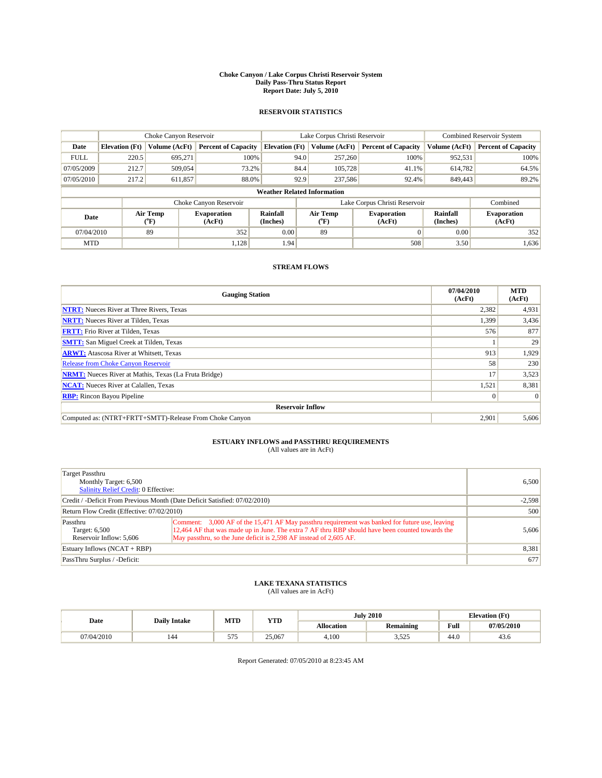#### **Choke Canyon / Lake Corpus Christi Reservoir System Daily Pass-Thru Status Report Report Date: July 5, 2010**

### **RESERVOIR STATISTICS**

|                                                                                                                               | Choke Canyon Reservoir |                              |                            |                                    | Lake Corpus Christi Reservoir | <b>Combined Reservoir System</b> |               |                            |
|-------------------------------------------------------------------------------------------------------------------------------|------------------------|------------------------------|----------------------------|------------------------------------|-------------------------------|----------------------------------|---------------|----------------------------|
| Date                                                                                                                          | <b>Elevation</b> (Ft)  | Volume (AcFt)                | <b>Percent of Capacity</b> | <b>Elevation</b> (Ft)              | Volume (AcFt)                 | <b>Percent of Capacity</b>       | Volume (AcFt) | <b>Percent of Capacity</b> |
| <b>FULL</b>                                                                                                                   | 220.5                  | 695.271                      | 100%                       | 94.0                               | 257,260                       | 100%                             | 952,531       | 100%                       |
| 07/05/2009                                                                                                                    | 212.7                  | 509,054                      | 73.2%                      | 84.4                               | 105.728                       | 41.1%                            | 614,782       | 64.5%                      |
| 07/05/2010                                                                                                                    | 217.2                  | 611,857                      | 88.0%                      | 92.9                               | 237,586                       | 92.4%                            | 849,443       | 89.2%                      |
|                                                                                                                               |                        |                              |                            | <b>Weather Related Information</b> |                               |                                  |               |                            |
|                                                                                                                               |                        |                              | Choke Canyon Reservoir     |                                    |                               | Lake Corpus Christi Reservoir    |               | Combined                   |
| Air Temp<br>Rainfall<br>Air Temp<br><b>Evaporation</b><br>Date<br>(Inches)<br>(AcFt)<br>$({}^{\mathrm{o}}\mathrm{F})$<br>(°F) |                        | <b>Evaporation</b><br>(AcFt) | Rainfall<br>(Inches)       | <b>Evaporation</b><br>(AcFt)       |                               |                                  |               |                            |
| 07/04/2010                                                                                                                    |                        | 89                           | 352                        | 0.00                               | 89                            | $\Omega$                         | 0.00          | 352                        |
| <b>MTD</b>                                                                                                                    |                        |                              | 1,128                      | 1.94                               |                               | 508                              | 3.50          | 1,636                      |

## **STREAM FLOWS**

| <b>Gauging Station</b>                                       | 07/04/2010<br>(AcFt) | <b>MTD</b><br>(AcFt) |  |  |  |  |
|--------------------------------------------------------------|----------------------|----------------------|--|--|--|--|
| <b>NTRT:</b> Nueces River at Three Rivers, Texas             | 2,382                | 4,931                |  |  |  |  |
| <b>NRTT:</b> Nueces River at Tilden, Texas                   | 1,399                | 3,436                |  |  |  |  |
| <b>FRTT:</b> Frio River at Tilden, Texas                     | 576                  | 877                  |  |  |  |  |
| <b>SMTT:</b> San Miguel Creek at Tilden, Texas               |                      | 29                   |  |  |  |  |
| <b>ARWT:</b> Atascosa River at Whitsett, Texas               | 913                  | 1,929                |  |  |  |  |
| <b>Release from Choke Canyon Reservoir</b>                   | 58                   | 230                  |  |  |  |  |
| <b>NRMT:</b> Nueces River at Mathis, Texas (La Fruta Bridge) | 17                   | 3,523                |  |  |  |  |
| <b>NCAT:</b> Nueces River at Calallen, Texas                 | 1,521                | 8,381                |  |  |  |  |
| <b>RBP:</b> Rincon Bayou Pipeline                            | $\vert 0 \vert$      | $\Omega$             |  |  |  |  |
| <b>Reservoir Inflow</b>                                      |                      |                      |  |  |  |  |
| Computed as: (NTRT+FRTT+SMTT)-Release From Choke Canyon      | 2,901                | 5,606                |  |  |  |  |

## **ESTUARY INFLOWS and PASSTHRU REQUIREMENTS**

| (All values are in AcFt) |  |  |
|--------------------------|--|--|
|--------------------------|--|--|

| Target Passthru<br>Monthly Target: 6,500<br><b>Salinity Relief Credit: 0 Effective:</b> | 6,500                                                                                                                                                                                                                                                                    |       |
|-----------------------------------------------------------------------------------------|--------------------------------------------------------------------------------------------------------------------------------------------------------------------------------------------------------------------------------------------------------------------------|-------|
| Credit / -Deficit From Previous Month (Date Deficit Satisfied: 07/02/2010)              | $-2,598$                                                                                                                                                                                                                                                                 |       |
| Return Flow Credit (Effective: 07/02/2010)                                              | 500                                                                                                                                                                                                                                                                      |       |
| Passthru<br>Target: 6,500<br>Reservoir Inflow: 5,606                                    | Comment: 3,000 AF of the 15,471 AF May passthru requirement was banked for future use, leaving<br>12,464 AF that was made up in June. The extra 7 AF thru RBP should have been counted towards the<br>May passthru, so the June deficit is 2,598 AF instead of 2,605 AF. | 5,606 |
| Estuary Inflows (NCAT + RBP)                                                            | 8,381                                                                                                                                                                                                                                                                    |       |
| PassThru Surplus / -Deficit:                                                            |                                                                                                                                                                                                                                                                          | 677   |

## **LAKE TEXANA STATISTICS** (All values are in AcFt)

|            | <b>Daily Intake</b> | MTD | <b>YTD</b> |                   | <b>July 2010</b> | <b>Elevation</b> (Ft) |            |
|------------|---------------------|-----|------------|-------------------|------------------|-----------------------|------------|
| Date       |                     |     |            | <b>Allocation</b> | Remaining        | Full                  | 07/05/2010 |
| 07/04/2010 | 144                 | 575 | 25,067     | 4.100             | 525<br>ر ے رہ ر  | 44.0                  | 43.0       |

Report Generated: 07/05/2010 at 8:23:45 AM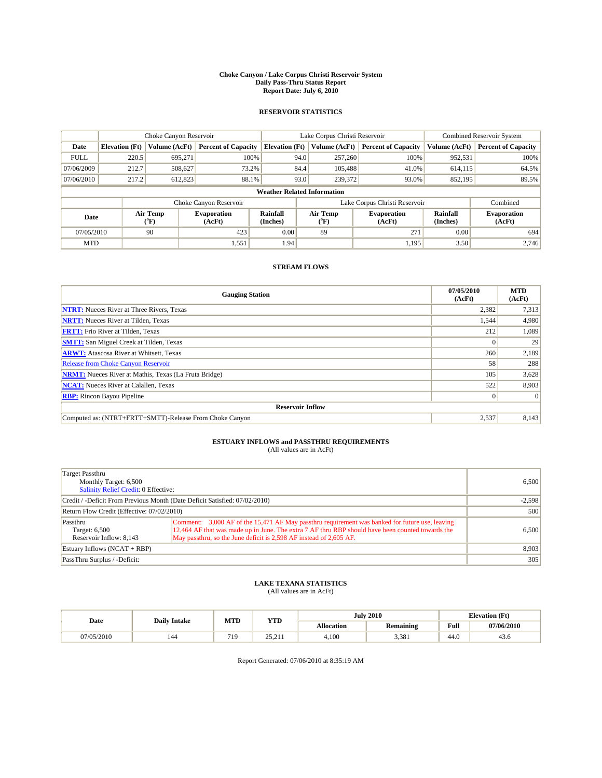#### **Choke Canyon / Lake Corpus Christi Reservoir System Daily Pass-Thru Status Report Report Date: July 6, 2010**

### **RESERVOIR STATISTICS**

|             |                                                                                                                                      | Choke Canyon Reservoir |                            |                                    | Lake Corpus Christi Reservoir |                               |               | <b>Combined Reservoir System</b> |  |
|-------------|--------------------------------------------------------------------------------------------------------------------------------------|------------------------|----------------------------|------------------------------------|-------------------------------|-------------------------------|---------------|----------------------------------|--|
| Date        | <b>Elevation</b> (Ft)                                                                                                                | Volume (AcFt)          | <b>Percent of Capacity</b> | <b>Elevation</b> (Ft)              | Volume (AcFt)                 | <b>Percent of Capacity</b>    | Volume (AcFt) | <b>Percent of Capacity</b>       |  |
| <b>FULL</b> | 220.5                                                                                                                                | 695,271                | 100%                       | 94.0                               | 257,260                       | 100%                          | 952,531       | 100%                             |  |
| 07/06/2009  | 212.7                                                                                                                                | 508,627                | 73.2%                      | 84.4                               | 105,488                       | 41.0%                         | 614,115       | 64.5%                            |  |
| 07/06/2010  | 217.2                                                                                                                                | 612,823                | 88.1%                      | 93.0                               | 239,372                       | 93.0%                         | 852,195       | 89.5%                            |  |
|             |                                                                                                                                      |                        |                            | <b>Weather Related Information</b> |                               |                               |               |                                  |  |
|             |                                                                                                                                      |                        | Choke Canyon Reservoir     |                                    |                               | Lake Corpus Christi Reservoir |               | Combined                         |  |
|             | Air Temp<br>Air Temp<br>Rainfall<br><b>Evaporation</b><br><b>Evaporation</b><br>Date<br>(Inches)<br>(AcFt)<br>(AcFt)<br>(°F)<br>("F) |                        |                            | Rainfall<br>(Inches)               | <b>Evaporation</b><br>(AcFt)  |                               |               |                                  |  |
| 07/05/2010  |                                                                                                                                      | 90                     | 423                        | 0.00                               | 89                            | 271                           | 0.00          | 694                              |  |
| <b>MTD</b>  |                                                                                                                                      |                        | 1,551                      | 1.94                               |                               | 1,195                         | 3.50          | 2.746                            |  |

## **STREAM FLOWS**

| <b>Gauging Station</b>                                       | 07/05/2010<br>(AcFt) | <b>MTD</b><br>(AcFt) |  |  |  |  |
|--------------------------------------------------------------|----------------------|----------------------|--|--|--|--|
| <b>NTRT:</b> Nueces River at Three Rivers, Texas             | 2,382                | 7,313                |  |  |  |  |
| <b>NRTT:</b> Nueces River at Tilden, Texas                   | 1,544                | 4,980                |  |  |  |  |
| <b>FRTT:</b> Frio River at Tilden, Texas                     | 212                  | 1,089                |  |  |  |  |
| <b>SMTT:</b> San Miguel Creek at Tilden, Texas               |                      | 29                   |  |  |  |  |
| <b>ARWT:</b> Atascosa River at Whitsett, Texas               | 260                  | 2,189                |  |  |  |  |
| Release from Choke Canyon Reservoir                          | 58                   | 288                  |  |  |  |  |
| <b>NRMT:</b> Nueces River at Mathis, Texas (La Fruta Bridge) | 105                  | 3,628                |  |  |  |  |
| <b>NCAT:</b> Nueces River at Calallen, Texas                 | 522                  | 8,903                |  |  |  |  |
| <b>RBP:</b> Rincon Bayou Pipeline                            | $\overline{0}$       | $\Omega$             |  |  |  |  |
| <b>Reservoir Inflow</b>                                      |                      |                      |  |  |  |  |
| Computed as: (NTRT+FRTT+SMTT)-Release From Choke Canyon      | 2,537                | 8,143                |  |  |  |  |

# **ESTUARY INFLOWS and PASSTHRU REQUIREMENTS**<br>(All values are in AcFt)

| Target Passthru<br>Monthly Target: 6,500<br><b>Salinity Relief Credit: 0 Effective:</b> | 6.500                                                                                                                                                                                                                                                                    |       |
|-----------------------------------------------------------------------------------------|--------------------------------------------------------------------------------------------------------------------------------------------------------------------------------------------------------------------------------------------------------------------------|-------|
| Credit / -Deficit From Previous Month (Date Deficit Satisfied: 07/02/2010)              | $-2,598$                                                                                                                                                                                                                                                                 |       |
| Return Flow Credit (Effective: 07/02/2010)                                              |                                                                                                                                                                                                                                                                          | 500   |
| Passthru<br>Target: 6,500<br>Reservoir Inflow: 8.143                                    | Comment: 3,000 AF of the 15,471 AF May passthru requirement was banked for future use, leaving<br>12,464 AF that was made up in June. The extra 7 AF thru RBP should have been counted towards the<br>May passthru, so the June deficit is 2,598 AF instead of 2,605 AF. | 6.500 |
| Estuary Inflows $(NCAT + RBP)$                                                          | 8,903                                                                                                                                                                                                                                                                    |       |
| PassThru Surplus / -Deficit:                                                            |                                                                                                                                                                                                                                                                          | 305   |

## **LAKE TEXANA STATISTICS** (All values are in AcFt)

|           | <b>Daily Intake</b> | MTD        | <b>YTD</b>       |                   | <b>July 2010</b> | <b>Elevation</b> (Ft) |            |
|-----------|---------------------|------------|------------------|-------------------|------------------|-----------------------|------------|
| Date      |                     |            |                  | <b>Allocation</b> | Remaining        | Full                  | 07/06/2010 |
| 7/05/2010 | 144                 | 710<br>. . | 25211<br>23.21 L | 4.100             | 3,381            | 44.0                  | 43.0       |

Report Generated: 07/06/2010 at 8:35:19 AM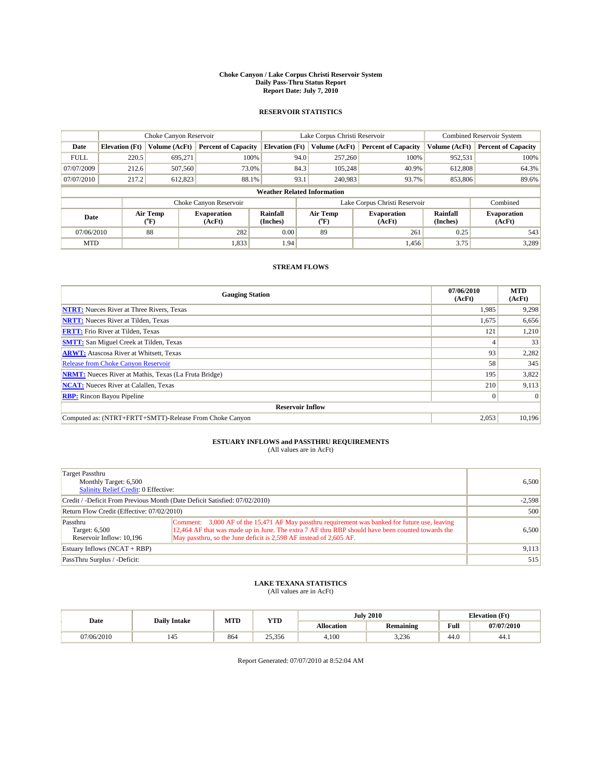#### **Choke Canyon / Lake Corpus Christi Reservoir System Daily Pass-Thru Status Report Report Date: July 7, 2010**

### **RESERVOIR STATISTICS**

|                                                  |                       | Choke Canyon Reservoir |                            |                                    | Lake Corpus Christi Reservoir |                            |                              | <b>Combined Reservoir System</b> |  |
|--------------------------------------------------|-----------------------|------------------------|----------------------------|------------------------------------|-------------------------------|----------------------------|------------------------------|----------------------------------|--|
| Date                                             | <b>Elevation</b> (Ft) | Volume (AcFt)          | <b>Percent of Capacity</b> | <b>Elevation</b> (Ft)              | Volume (AcFt)                 | <b>Percent of Capacity</b> | Volume (AcFt)                | <b>Percent of Capacity</b>       |  |
| <b>FULL</b>                                      | 220.5                 | 695,271                | 100%                       | 94.0                               | 257,260                       | 100%                       | 952,531                      | 100%                             |  |
| 07/07/2009                                       | 212.6                 | 507,560                | 73.0%                      | 84.3                               | 105.248                       | 40.9%                      | 612,808                      | 64.3%                            |  |
| 07/07/2010                                       | 217.2                 | 612,823                | 88.1%                      | 93.1                               | 240,983                       | 93.7%                      | 853,806                      | 89.6%                            |  |
|                                                  |                       |                        |                            | <b>Weather Related Information</b> |                               |                            |                              |                                  |  |
|                                                  |                       |                        | Choke Canyon Reservoir     |                                    | Lake Corpus Christi Reservoir |                            |                              | Combined                         |  |
| Air Temp<br>Date<br>(AcFt)<br>$({}^o\mathrm{F})$ |                       | <b>Evaporation</b>     | Rainfall<br>(Inches)       | Air Temp<br>(°F)                   | <b>Evaporation</b><br>(AcFt)  | Rainfall<br>(Inches)       | <b>Evaporation</b><br>(AcFt) |                                  |  |
| 07/06/2010                                       |                       | 88                     | 282                        | 0.00                               | 89                            | 261                        | 0.25                         | 543                              |  |
| <b>MTD</b>                                       |                       |                        | 1,833                      | 1.94                               |                               | 1,456                      | 3.75                         | 3,289                            |  |

## **STREAM FLOWS**

| <b>Gauging Station</b>                                       | 07/06/2010<br>(AcFt) | <b>MTD</b><br>(AcFt) |
|--------------------------------------------------------------|----------------------|----------------------|
| <b>NTRT:</b> Nueces River at Three Rivers, Texas             | 1.985                | 9,298                |
| <b>NRTT:</b> Nueces River at Tilden, Texas                   | 1,675                | 6,656                |
| <b>FRTT:</b> Frio River at Tilden, Texas                     | 121                  | 1,210                |
| <b>SMTT:</b> San Miguel Creek at Tilden, Texas               |                      | 33                   |
| <b>ARWT:</b> Atascosa River at Whitsett, Texas               | 93                   | 2,282                |
| Release from Choke Canyon Reservoir                          | 58                   | 345                  |
| <b>NRMT:</b> Nueces River at Mathis, Texas (La Fruta Bridge) | 195                  | 3,822                |
| <b>NCAT:</b> Nueces River at Calallen, Texas                 | 210                  | 9,113                |
| <b>RBP:</b> Rincon Bayou Pipeline                            | $\overline{0}$       | $\Omega$             |
| <b>Reservoir Inflow</b>                                      |                      |                      |
| Computed as: (NTRT+FRTT+SMTT)-Release From Choke Canyon      | 2,053                | 10,196               |

## **ESTUARY INFLOWS and PASSTHRU REQUIREMENTS**

| (All values are in AcFt) |  |  |
|--------------------------|--|--|
|--------------------------|--|--|

| Target Passthru<br>Monthly Target: 6,500<br><b>Salinity Relief Credit: 0 Effective:</b> |                                                                                                                                                                                                                                                                          |       |  |  |  |
|-----------------------------------------------------------------------------------------|--------------------------------------------------------------------------------------------------------------------------------------------------------------------------------------------------------------------------------------------------------------------------|-------|--|--|--|
| Credit / -Deficit From Previous Month (Date Deficit Satisfied: 07/02/2010)              |                                                                                                                                                                                                                                                                          |       |  |  |  |
| Return Flow Credit (Effective: 07/02/2010)                                              |                                                                                                                                                                                                                                                                          |       |  |  |  |
| Passthru<br>Target: 6,500<br>Reservoir Inflow: 10,196                                   | Comment: 3,000 AF of the 15,471 AF May passthru requirement was banked for future use, leaving<br>12,464 AF that was made up in June. The extra 7 AF thru RBP should have been counted towards the<br>May passthru, so the June deficit is 2,598 AF instead of 2,605 AF. | 6,500 |  |  |  |
| Estuary Inflows $(NCAT + RBP)$                                                          |                                                                                                                                                                                                                                                                          | 9,113 |  |  |  |
| PassThru Surplus / -Deficit:                                                            |                                                                                                                                                                                                                                                                          | 515   |  |  |  |

## **LAKE TEXANA STATISTICS** (All values are in AcFt)

|            | <b>Daily Intake</b> | MTD | <b>YTD</b> |            | <b>July 2010</b>  | <b>Elevation</b> (Ft)                       |            |
|------------|---------------------|-----|------------|------------|-------------------|---------------------------------------------|------------|
| Date       |                     |     |            | Allocation | Remaining         | Full<br>the contract of the contract of the | 07/07/2010 |
| 07/06/2010 | 145                 | 864 | 25,356     | 4.100      | 226<br><u>. u</u> | 44.0                                        | 44.1       |

Report Generated: 07/07/2010 at 8:52:04 AM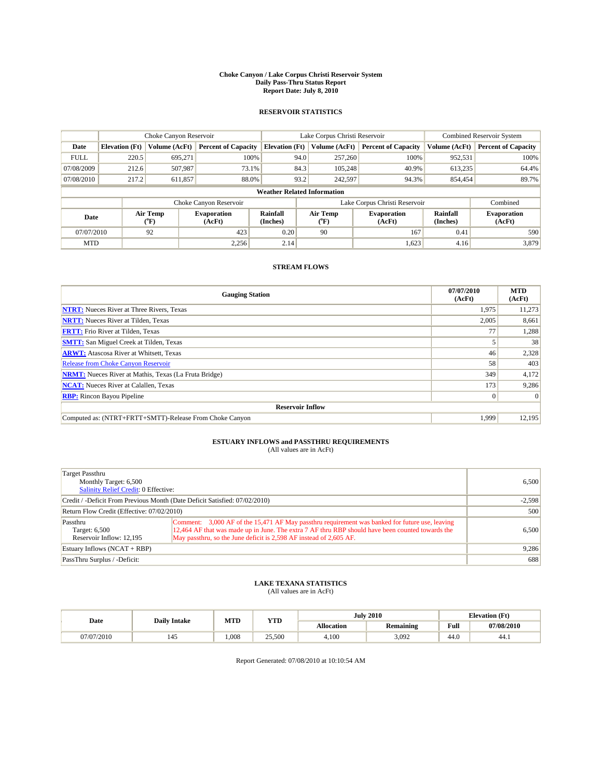#### **Choke Canyon / Lake Corpus Christi Reservoir System Daily Pass-Thru Status Report Report Date: July 8, 2010**

### **RESERVOIR STATISTICS**

|                                                   | Choke Canyon Reservoir |                              |                            |                                    | Lake Corpus Christi Reservoir |                            |                              | <b>Combined Reservoir System</b> |  |
|---------------------------------------------------|------------------------|------------------------------|----------------------------|------------------------------------|-------------------------------|----------------------------|------------------------------|----------------------------------|--|
| Date                                              | <b>Elevation</b> (Ft)  | Volume (AcFt)                | <b>Percent of Capacity</b> | <b>Elevation</b> (Ft)              | Volume (AcFt)                 | <b>Percent of Capacity</b> | Volume (AcFt)                | <b>Percent of Capacity</b>       |  |
| <b>FULL</b>                                       | 220.5                  | 695,271                      | 100%                       | 94.0                               | 257,260                       | 100%                       | 952,531                      | 100%                             |  |
| 07/08/2009                                        | 212.6                  | 507,987                      | 73.1%                      | 84.3                               | 105.248                       | 40.9%                      | 613,235                      | 64.4%                            |  |
| 07/08/2010                                        | 217.2                  | 611,857                      | 88.0%                      | 93.2                               | 242,597                       | 94.3%                      | 854,454                      | 89.7%                            |  |
|                                                   |                        |                              |                            | <b>Weather Related Information</b> |                               |                            |                              |                                  |  |
|                                                   |                        |                              | Choke Canyon Reservoir     |                                    | Lake Corpus Christi Reservoir |                            |                              | Combined                         |  |
| Air Temp<br>Date<br>$({}^{\mathrm{o}}\mathrm{F})$ |                        | <b>Evaporation</b><br>(AcFt) | Rainfall<br>(Inches)       | Air Temp<br>$({}^o\mathrm{F})$     | <b>Evaporation</b><br>(AcFt)  | Rainfall<br>(Inches)       | <b>Evaporation</b><br>(AcFt) |                                  |  |
| 07/07/2010                                        |                        | 92                           | 423                        | 0.20                               | 90                            | 167                        | 0.41                         | 590                              |  |
| <b>MTD</b>                                        |                        |                              | 2.256                      | 2.14                               |                               | 1,623                      | 4.16                         | 3,879                            |  |

## **STREAM FLOWS**

| <b>Gauging Station</b>                                       | 07/07/2010<br>(AcFt) | <b>MTD</b><br>(AcFt) |
|--------------------------------------------------------------|----------------------|----------------------|
| <b>NTRT:</b> Nueces River at Three Rivers, Texas             | 1,975                | 11,273               |
| <b>NRTT:</b> Nueces River at Tilden, Texas                   | 2,005                | 8,661                |
| <b>FRTT:</b> Frio River at Tilden, Texas                     | 77                   | 1,288                |
| <b>SMTT:</b> San Miguel Creek at Tilden, Texas               |                      | 38                   |
| <b>ARWT:</b> Atascosa River at Whitsett, Texas               | 46                   | 2,328                |
| Release from Choke Canyon Reservoir                          | 58                   | 403                  |
| <b>NRMT:</b> Nueces River at Mathis, Texas (La Fruta Bridge) | 349                  | 4,172                |
| <b>NCAT:</b> Nueces River at Calallen, Texas                 | 173                  | 9,286                |
| <b>RBP:</b> Rincon Bayou Pipeline                            | $\overline{0}$       | $\Omega$             |
| <b>Reservoir Inflow</b>                                      |                      |                      |
| Computed as: (NTRT+FRTT+SMTT)-Release From Choke Canyon      | 1.999                | 12,195               |

# **ESTUARY INFLOWS and PASSTHRU REQUIREMENTS**<br>(All values are in AcFt)

| Target Passthru<br>Monthly Target: 6,500<br><b>Salinity Relief Credit: 0 Effective:</b> | 6.500                                                                                                                                                                                                                                                                    |       |  |  |  |
|-----------------------------------------------------------------------------------------|--------------------------------------------------------------------------------------------------------------------------------------------------------------------------------------------------------------------------------------------------------------------------|-------|--|--|--|
| Credit / -Deficit From Previous Month (Date Deficit Satisfied: 07/02/2010)              |                                                                                                                                                                                                                                                                          |       |  |  |  |
| Return Flow Credit (Effective: 07/02/2010)                                              |                                                                                                                                                                                                                                                                          |       |  |  |  |
| Passthru<br>Target: 6,500<br>Reservoir Inflow: 12.195                                   | Comment: 3,000 AF of the 15,471 AF May passthru requirement was banked for future use, leaving<br>12,464 AF that was made up in June. The extra 7 AF thru RBP should have been counted towards the<br>May passthru, so the June deficit is 2,598 AF instead of 2,605 AF. | 6.500 |  |  |  |
| Estuary Inflows $(NCAT + RBP)$                                                          |                                                                                                                                                                                                                                                                          | 9,286 |  |  |  |
| PassThru Surplus / -Deficit:                                                            |                                                                                                                                                                                                                                                                          | 688   |  |  |  |

## **LAKE TEXANA STATISTICS** (All values are in AcFt)

| <b>Daily Intake</b> |     | MTD   | <b>YTD</b> | <b>July 2010</b> |           |                                             | <b>Elevation</b> (Ft) |  |
|---------------------|-----|-------|------------|------------------|-----------|---------------------------------------------|-----------------------|--|
| Date                |     |       |            | Allocation       | Remaining | Full<br>the contract of the contract of the | 07/08/2010            |  |
| 07/07/2010          | 145 | 1.008 | 25,500     | 4.100            | 3.092     | 44.0                                        | 44.1                  |  |

Report Generated: 07/08/2010 at 10:10:54 AM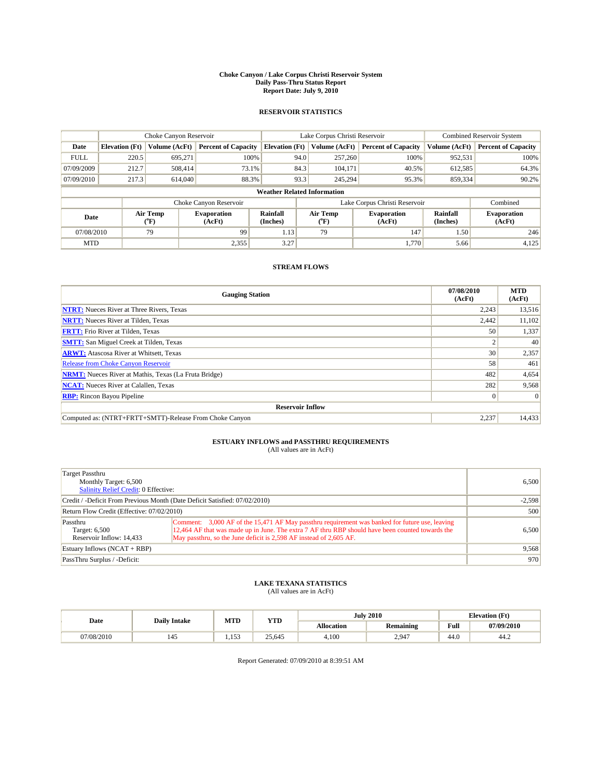#### **Choke Canyon / Lake Corpus Christi Reservoir System Daily Pass-Thru Status Report Report Date: July 9, 2010**

### **RESERVOIR STATISTICS**

|                                                   | Choke Canyon Reservoir |                              |                            |                                    | Lake Corpus Christi Reservoir |                            |                              | <b>Combined Reservoir System</b> |  |
|---------------------------------------------------|------------------------|------------------------------|----------------------------|------------------------------------|-------------------------------|----------------------------|------------------------------|----------------------------------|--|
| Date                                              | <b>Elevation</b> (Ft)  | Volume (AcFt)                | <b>Percent of Capacity</b> | <b>Elevation</b> (Ft)              | Volume (AcFt)                 | <b>Percent of Capacity</b> | Volume (AcFt)                | <b>Percent of Capacity</b>       |  |
| <b>FULL</b>                                       | 220.5                  | 695,271                      | 100%                       | 94.0                               | 257,260                       | 100%                       | 952,531                      | 100%                             |  |
| 07/09/2009                                        | 212.7                  | 508.414                      | 73.1%                      | 84.3                               | 104,171                       | 40.5%                      | 612,585                      | 64.3%                            |  |
| 07/09/2010                                        | 217.3                  | 614,040                      | 88.3%                      | 93.3                               | 245,294                       | 95.3%                      | 859,334                      | 90.2%                            |  |
|                                                   |                        |                              |                            | <b>Weather Related Information</b> |                               |                            |                              |                                  |  |
|                                                   |                        |                              | Choke Canyon Reservoir     |                                    | Lake Corpus Christi Reservoir |                            |                              | Combined                         |  |
| Air Temp<br>Date<br>$({}^{\mathrm{o}}\mathrm{F})$ |                        | <b>Evaporation</b><br>(AcFt) | Rainfall<br>(Inches)       | Air Temp<br>(°F)                   | <b>Evaporation</b><br>(AcFt)  | Rainfall<br>(Inches)       | <b>Evaporation</b><br>(AcFt) |                                  |  |
| 07/08/2010                                        |                        | 79                           | 99                         | 1.13                               | 79                            | 147                        | 1.50                         | 246                              |  |
| <b>MTD</b>                                        |                        |                              | 2,355                      | 3.27                               |                               | 1.770                      | 5.66                         | 4,125                            |  |

## **STREAM FLOWS**

| <b>Gauging Station</b>                                       | 07/08/2010<br>(AcFt) | <b>MTD</b><br>(AcFt) |
|--------------------------------------------------------------|----------------------|----------------------|
| <b>NTRT:</b> Nueces River at Three Rivers, Texas             | 2,243                | 13,516               |
| <b>NRTT:</b> Nueces River at Tilden, Texas                   | 2,442                | 11,102               |
| <b>FRTT:</b> Frio River at Tilden, Texas                     | 50                   | 1,337                |
| <b>SMTT:</b> San Miguel Creek at Tilden, Texas               |                      | 40                   |
| <b>ARWT:</b> Atascosa River at Whitsett, Texas               | 30 <sup>1</sup>      | 2,357                |
| <b>Release from Choke Canyon Reservoir</b>                   | 58                   | 461                  |
| <b>NRMT:</b> Nueces River at Mathis, Texas (La Fruta Bridge) | 482                  | 4,654                |
| <b>NCAT:</b> Nueces River at Calallen, Texas                 | 282                  | 9,568                |
| <b>RBP:</b> Rincon Bayou Pipeline                            | $\overline{0}$       | $\Omega$             |
| <b>Reservoir Inflow</b>                                      |                      |                      |
| Computed as: (NTRT+FRTT+SMTT)-Release From Choke Canyon      | 2,237                | 14,433               |

# **ESTUARY INFLOWS and PASSTHRU REQUIREMENTS**<br>(All values are in AcFt)

| Target Passthru<br>Monthly Target: 6,500<br>Salinity Relief Credit: 0 Effective: |                                                                                                                                                                                                                                                                          | 6.500    |  |  |
|----------------------------------------------------------------------------------|--------------------------------------------------------------------------------------------------------------------------------------------------------------------------------------------------------------------------------------------------------------------------|----------|--|--|
| Credit / -Deficit From Previous Month (Date Deficit Satisfied: 07/02/2010)       |                                                                                                                                                                                                                                                                          | $-2.598$ |  |  |
| Return Flow Credit (Effective: 07/02/2010)                                       |                                                                                                                                                                                                                                                                          |          |  |  |
| Passthru<br>Target: 6,500<br>Reservoir Inflow: 14.433                            | Comment: 3,000 AF of the 15,471 AF May passthru requirement was banked for future use, leaving<br>12,464 AF that was made up in June. The extra 7 AF thru RBP should have been counted towards the<br>May passthru, so the June deficit is 2,598 AF instead of 2,605 AF. | 6.500    |  |  |
| Estuary Inflows (NCAT + RBP)                                                     | 9,568                                                                                                                                                                                                                                                                    |          |  |  |
| PassThru Surplus / -Deficit:                                                     |                                                                                                                                                                                                                                                                          | 970      |  |  |

## **LAKE TEXANA STATISTICS** (All values are in AcFt)

|           | <b>Daily Intake</b> | MTD     | <b>YTD</b> |                   | <b>July 2010</b> |                                                | <b>Elevation</b> (Ft) |
|-----------|---------------------|---------|------------|-------------------|------------------|------------------------------------------------|-----------------------|
| Date      |                     |         |            | <b>Allocation</b> | Remaining        | <b>Full</b><br>the contract of the contract of | 07/09/2010            |
| 7/08/2010 | 145                 | 153<br> | 25,645     | 4.100             | 2.947            | 44.0                                           | 44.2                  |

Report Generated: 07/09/2010 at 8:39:51 AM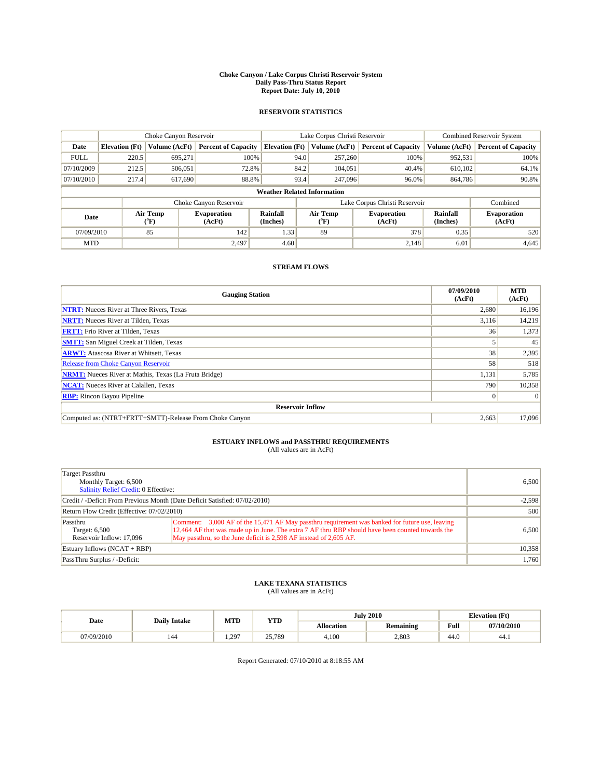#### **Choke Canyon / Lake Corpus Christi Reservoir System Daily Pass-Thru Status Report Report Date: July 10, 2010**

### **RESERVOIR STATISTICS**

|             | Choke Canyon Reservoir |                                           |                              |                                    | Lake Corpus Christi Reservoir  |                               |                      | <b>Combined Reservoir System</b> |  |
|-------------|------------------------|-------------------------------------------|------------------------------|------------------------------------|--------------------------------|-------------------------------|----------------------|----------------------------------|--|
| Date        | <b>Elevation</b> (Ft)  | Volume (AcFt)                             | <b>Percent of Capacity</b>   | <b>Elevation</b> (Ft)              | Volume (AcFt)                  | <b>Percent of Capacity</b>    | Volume (AcFt)        | <b>Percent of Capacity</b>       |  |
| <b>FULL</b> | 220.5                  | 695.271                                   | 100%                         | 94.0                               | 257,260                        | 100%                          | 952,531              | 100%                             |  |
| 07/10/2009  | 212.5                  | 506,051                                   | 72.8%                        | 84.2                               | 104.051                        | 40.4%                         | 610.102              | 64.1%                            |  |
| 07/10/2010  | 217.4                  | 617,690                                   | 88.8%                        | 93.4                               | 247,096                        | 96.0%                         | 864,786              | 90.8%                            |  |
|             |                        |                                           |                              | <b>Weather Related Information</b> |                                |                               |                      |                                  |  |
|             |                        |                                           | Choke Canyon Reservoir       |                                    |                                | Lake Corpus Christi Reservoir |                      | Combined                         |  |
| Date        |                        | Air Temp<br>$({}^{\mathrm{o}}\mathrm{F})$ | <b>Evaporation</b><br>(AcFt) | Rainfall<br>(Inches)               | Air Temp<br>$({}^o\mathrm{F})$ | <b>Evaporation</b><br>(AcFt)  | Rainfall<br>(Inches) | <b>Evaporation</b><br>(AcFt)     |  |
| 07/09/2010  |                        | 85                                        | 142                          | 1.33                               | 89                             | 378                           | 0.35                 | 520                              |  |
| <b>MTD</b>  |                        |                                           | 2.497                        | 4.60                               |                                | 2.148                         | 6.01                 | 4,645                            |  |

## **STREAM FLOWS**

| <b>Gauging Station</b>                                       | 07/09/2010<br>(AcFt) | <b>MTD</b><br>(AcFt) |
|--------------------------------------------------------------|----------------------|----------------------|
| <b>NTRT:</b> Nueces River at Three Rivers, Texas             | 2,680                | 16,196               |
| <b>NRTT:</b> Nueces River at Tilden, Texas                   | 3,116                | 14,219               |
| <b>FRTT:</b> Frio River at Tilden, Texas                     | 36                   | 1,373                |
| <b>SMTT:</b> San Miguel Creek at Tilden, Texas               |                      | 45                   |
| <b>ARWT:</b> Atascosa River at Whitsett, Texas               | 38                   | 2,395                |
| Release from Choke Canyon Reservoir                          | 58                   | 518                  |
| <b>NRMT:</b> Nueces River at Mathis, Texas (La Fruta Bridge) | 1,131                | 5,785                |
| <b>NCAT:</b> Nueces River at Calallen, Texas                 | 790                  | 10,358               |
| <b>RBP:</b> Rincon Bayou Pipeline                            | $\overline{0}$       | $\Omega$             |
| <b>Reservoir Inflow</b>                                      |                      |                      |
| Computed as: (NTRT+FRTT+SMTT)-Release From Choke Canyon      | 2,663                | 17,096               |

## **ESTUARY INFLOWS and PASSTHRU REQUIREMENTS**

| (All values are in AcFt) |  |  |
|--------------------------|--|--|
|--------------------------|--|--|

| Target Passthru<br>Monthly Target: 6,500<br>Salinity Relief Credit: 0 Effective: |                                                                                                                                                                                                                                                                          | 6.500  |  |  |  |  |
|----------------------------------------------------------------------------------|--------------------------------------------------------------------------------------------------------------------------------------------------------------------------------------------------------------------------------------------------------------------------|--------|--|--|--|--|
|                                                                                  | Credit / -Deficit From Previous Month (Date Deficit Satisfied: 07/02/2010)                                                                                                                                                                                               |        |  |  |  |  |
| Return Flow Credit (Effective: 07/02/2010)                                       | 500                                                                                                                                                                                                                                                                      |        |  |  |  |  |
| Passthru<br>Target: 6,500<br>Reservoir Inflow: 17,096                            | Comment: 3,000 AF of the 15,471 AF May passthru requirement was banked for future use, leaving<br>12,464 AF that was made up in June. The extra 7 AF thru RBP should have been counted towards the<br>May passthru, so the June deficit is 2,598 AF instead of 2,605 AF. | 6.500  |  |  |  |  |
| Estuary Inflows $(NCAT + RBP)$                                                   |                                                                                                                                                                                                                                                                          | 10,358 |  |  |  |  |
| PassThru Surplus / -Deficit:                                                     |                                                                                                                                                                                                                                                                          | 1,760  |  |  |  |  |

## **LAKE TEXANA STATISTICS** (All values are in AcFt)

|            | <b>Daily Intake</b> | MTD      | <b>July 2010</b><br><b>YTD</b> |            |           | <b>Elevation</b> (Ft)                       |            |
|------------|---------------------|----------|--------------------------------|------------|-----------|---------------------------------------------|------------|
| Date       |                     |          |                                | Allocation | Remaining | Full<br>the contract of the contract of the | 07/10/2010 |
| 07/09/2010 | 144                 | 297<br>. | 25,789                         | 4.100      | 2.803     | 44.0                                        | 44.1       |

Report Generated: 07/10/2010 at 8:18:55 AM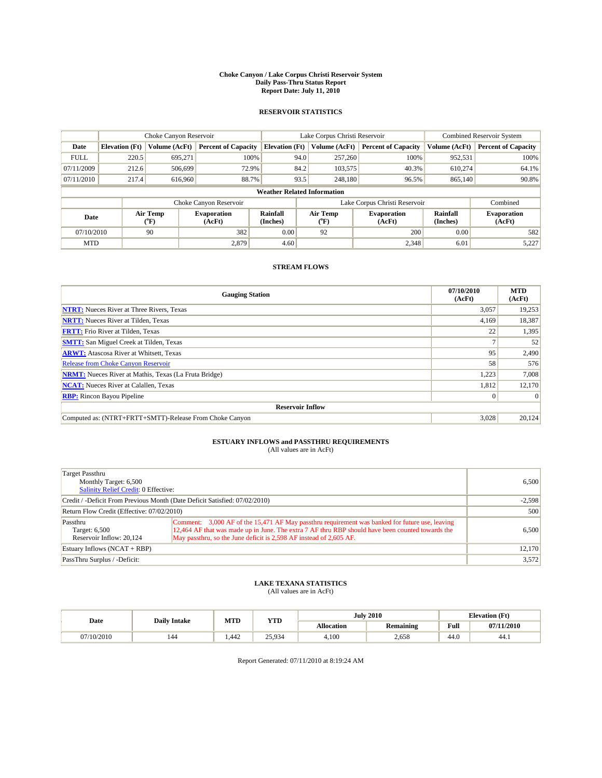#### **Choke Canyon / Lake Corpus Christi Reservoir System Daily Pass-Thru Status Report Report Date: July 11, 2010**

### **RESERVOIR STATISTICS**

|             | Choke Canyon Reservoir |                                           |                              |                                    | Lake Corpus Christi Reservoir |                               |                      | <b>Combined Reservoir System</b> |  |
|-------------|------------------------|-------------------------------------------|------------------------------|------------------------------------|-------------------------------|-------------------------------|----------------------|----------------------------------|--|
| Date        | <b>Elevation</b> (Ft)  | Volume (AcFt)                             | <b>Percent of Capacity</b>   | <b>Elevation</b> (Ft)              | Volume (AcFt)                 | <b>Percent of Capacity</b>    | Volume (AcFt)        | <b>Percent of Capacity</b>       |  |
| <b>FULL</b> | 220.5                  | 695,271                                   | 100%                         | 94.0                               | 257,260                       | 100%                          | 952,531              | 100%                             |  |
| 07/11/2009  | 212.6                  | 506,699                                   | 72.9%                        | 84.2                               | 103,575                       | 40.3%                         | 610,274              | 64.1%                            |  |
| 07/11/2010  | 217.4                  | 616,960                                   | 88.7%                        | 93.5                               | 248,180                       | 96.5%                         | 865,140              | 90.8%                            |  |
|             |                        |                                           |                              | <b>Weather Related Information</b> |                               |                               |                      |                                  |  |
|             |                        |                                           | Choke Canyon Reservoir       |                                    |                               | Lake Corpus Christi Reservoir |                      | Combined                         |  |
| Date        |                        | Air Temp<br>$({}^{\mathrm{o}}\mathrm{F})$ | <b>Evaporation</b><br>(AcFt) | <b>Rainfall</b><br>(Inches)        | Air Temp<br>(°F)              | <b>Evaporation</b><br>(AcFt)  | Rainfall<br>(Inches) | <b>Evaporation</b><br>(AcFt)     |  |
| 07/10/2010  |                        | 90                                        | 382                          | 0.00                               | 92                            | 200                           | 0.00                 | 582                              |  |
| <b>MTD</b>  |                        |                                           | 2.879                        | 4.60                               |                               | 2,348                         | 6.01                 | 5,227                            |  |

## **STREAM FLOWS**

| <b>Gauging Station</b>                                       | 07/10/2010<br>(AcFt) | <b>MTD</b><br>(AcFt) |
|--------------------------------------------------------------|----------------------|----------------------|
| <b>NTRT:</b> Nueces River at Three Rivers, Texas             | 3.057                | 19,253               |
| <b>NRTT:</b> Nueces River at Tilden, Texas                   | 4,169                | 18,387               |
| <b>FRTT:</b> Frio River at Tilden, Texas                     | 22                   | 1,395                |
| <b>SMTT:</b> San Miguel Creek at Tilden, Texas               |                      | 52                   |
| <b>ARWT:</b> Atascosa River at Whitsett, Texas               | 95                   | 2,490                |
| Release from Choke Canyon Reservoir                          | 58                   | 576                  |
| <b>NRMT:</b> Nueces River at Mathis, Texas (La Fruta Bridge) | 1,223                | 7,008                |
| <b>NCAT:</b> Nueces River at Calallen, Texas                 | 1,812                | 12,170               |
| <b>RBP:</b> Rincon Bayou Pipeline                            | $\overline{0}$       | $\Omega$             |
| <b>Reservoir Inflow</b>                                      |                      |                      |
| Computed as: (NTRT+FRTT+SMTT)-Release From Choke Canyon      | 3,028                | 20,124               |

# **ESTUARY INFLOWS and PASSTHRU REQUIREMENTS**<br>(All values are in AcFt)

| Target Passthru<br>Monthly Target: 6,500<br>Salinity Relief Credit: 0 Effective: |                                                                                                                                                                                                                                                                          | 6.500  |  |  |  |  |
|----------------------------------------------------------------------------------|--------------------------------------------------------------------------------------------------------------------------------------------------------------------------------------------------------------------------------------------------------------------------|--------|--|--|--|--|
|                                                                                  | Credit / -Deficit From Previous Month (Date Deficit Satisfied: 07/02/2010)                                                                                                                                                                                               |        |  |  |  |  |
| Return Flow Credit (Effective: 07/02/2010)                                       | 500                                                                                                                                                                                                                                                                      |        |  |  |  |  |
| Passthru<br>Target: 6,500<br>Reservoir Inflow: 20.124                            | Comment: 3,000 AF of the 15,471 AF May passthru requirement was banked for future use, leaving<br>12,464 AF that was made up in June. The extra 7 AF thru RBP should have been counted towards the<br>May passthru, so the June deficit is 2,598 AF instead of 2,605 AF. | 6.500  |  |  |  |  |
| Estuary Inflows (NCAT + RBP)                                                     |                                                                                                                                                                                                                                                                          | 12,170 |  |  |  |  |
| PassThru Surplus / -Deficit:                                                     |                                                                                                                                                                                                                                                                          | 3,572  |  |  |  |  |

## **LAKE TEXANA STATISTICS** (All values are in AcFt)

|            |                     | MTD   | <b>YTD</b> |            | <b>July 2010</b> |                                             | <b>Elevation</b> (Ft) |
|------------|---------------------|-------|------------|------------|------------------|---------------------------------------------|-----------------------|
| Date       | <b>Daily Intake</b> |       |            | Allocation | <b>Remaining</b> | Full<br>the contract of the contract of the | 07/11/2010            |
| 07/10/2010 | 144                 | 1.442 | 25,934     | 4.100      | 2,658            | 44.0                                        | 44.1                  |

Report Generated: 07/11/2010 at 8:19:24 AM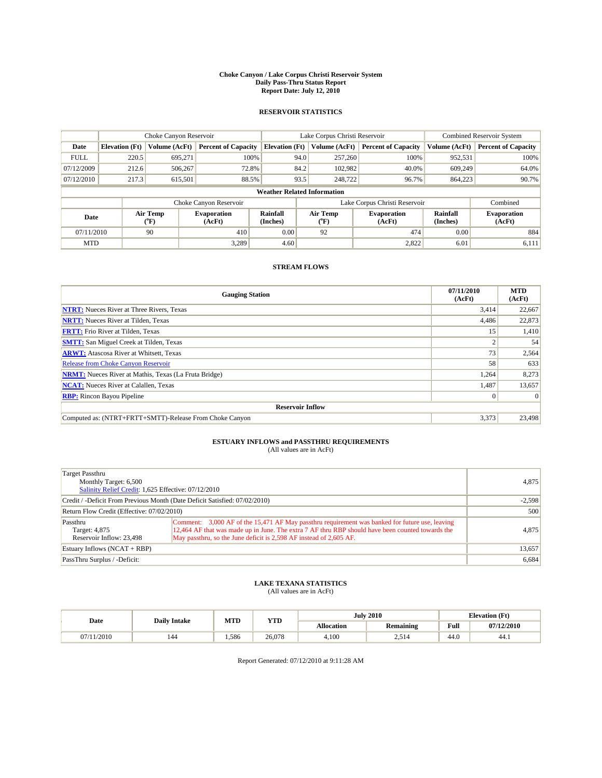#### **Choke Canyon / Lake Corpus Christi Reservoir System Daily Pass-Thru Status Report Report Date: July 12, 2010**

### **RESERVOIR STATISTICS**

|             | Choke Canyon Reservoir |                                           |                              |                                    | Lake Corpus Christi Reservoir                    |                            |                      | <b>Combined Reservoir System</b> |  |
|-------------|------------------------|-------------------------------------------|------------------------------|------------------------------------|--------------------------------------------------|----------------------------|----------------------|----------------------------------|--|
| Date        | <b>Elevation</b> (Ft)  | Volume (AcFt)                             | <b>Percent of Capacity</b>   | <b>Elevation</b> (Ft)              | Volume (AcFt)                                    | <b>Percent of Capacity</b> | Volume (AcFt)        | <b>Percent of Capacity</b>       |  |
| <b>FULL</b> | 220.5                  | 695.271                                   | 100%                         | 94.0                               | 257,260                                          | 100%                       | 952,531              | 100%                             |  |
| 07/12/2009  | 212.6                  | 506,267                                   | 72.8%                        | 84.2                               | 102,982                                          | 40.0%                      | 609.249              | 64.0%                            |  |
| 07/12/2010  | 217.3                  | 615,501                                   | 88.5%                        | 93.5                               | 248,722                                          | 96.7%                      | 864,223              | 90.7%                            |  |
|             |                        |                                           |                              | <b>Weather Related Information</b> |                                                  |                            |                      |                                  |  |
|             |                        |                                           | Choke Canyon Reservoir       |                                    | Lake Corpus Christi Reservoir                    |                            |                      | Combined                         |  |
| Date        |                        | Air Temp<br>$({}^{\mathrm{o}}\mathrm{F})$ | <b>Evaporation</b><br>(AcFt) | Rainfall<br>(Inches)               | Air Temp<br><b>Evaporation</b><br>(AcFt)<br>(°F) |                            | Rainfall<br>(Inches) | <b>Evaporation</b><br>(AcFt)     |  |
| 07/11/2010  |                        | 90                                        | 410                          | 0.00                               | 92                                               | 474                        | 0.00                 | 884                              |  |
| <b>MTD</b>  |                        |                                           | 3.289                        | 4.60                               |                                                  | 2,822                      | 6.01                 | 6,111                            |  |

## **STREAM FLOWS**

| <b>Gauging Station</b>                                       | 07/11/2010<br>(AcFt) | <b>MTD</b><br>(AcFt) |
|--------------------------------------------------------------|----------------------|----------------------|
| <b>NTRT:</b> Nueces River at Three Rivers, Texas             | 3,414                | 22,667               |
| <b>NRTT:</b> Nueces River at Tilden, Texas                   | 4,486                | 22,873               |
| <b>FRTT:</b> Frio River at Tilden, Texas                     | 15                   | 1,410                |
| <b>SMTT:</b> San Miguel Creek at Tilden, Texas               |                      | 54                   |
| <b>ARWT:</b> Atascosa River at Whitsett, Texas               | 73                   | 2,564                |
| <b>Release from Choke Canyon Reservoir</b>                   | 58                   | 633                  |
| <b>NRMT:</b> Nueces River at Mathis, Texas (La Fruta Bridge) | 1,264                | 8,273                |
| <b>NCAT:</b> Nueces River at Calallen, Texas                 | 1.487                | 13,657               |
| <b>RBP:</b> Rincon Bayou Pipeline                            | $\Omega$             | $\Omega$             |
| <b>Reservoir Inflow</b>                                      |                      |                      |
| Computed as: (NTRT+FRTT+SMTT)-Release From Choke Canyon      | 3,373                | 23,498               |

# **ESTUARY INFLOWS and PASSTHRU REQUIREMENTS**<br>(All values are in AcFt)

| Target Passthru<br>Monthly Target: 6,500<br>Salinity Relief Credit: 1,625 Effective: 07/12/2010 | 4,875                                                                                                                                                                                                                                                                    |       |
|-------------------------------------------------------------------------------------------------|--------------------------------------------------------------------------------------------------------------------------------------------------------------------------------------------------------------------------------------------------------------------------|-------|
| Credit / -Deficit From Previous Month (Date Deficit Satisfied: 07/02/2010)                      | $-2,598$                                                                                                                                                                                                                                                                 |       |
| Return Flow Credit (Effective: 07/02/2010)                                                      | 500                                                                                                                                                                                                                                                                      |       |
| Passthru<br>Target: 4,875<br>Reservoir Inflow: 23,498                                           | Comment: 3,000 AF of the 15,471 AF May passthru requirement was banked for future use, leaving<br>12,464 AF that was made up in June. The extra 7 AF thru RBP should have been counted towards the<br>May passthru, so the June deficit is 2,598 AF instead of 2,605 AF. | 4,875 |
| Estuary Inflows (NCAT + RBP)                                                                    | 13,657                                                                                                                                                                                                                                                                   |       |
| PassThru Surplus / -Deficit:                                                                    |                                                                                                                                                                                                                                                                          | 6,684 |

## **LAKE TEXANA STATISTICS** (All values are in AcFt)

|        |                     | MTD   | <b>YTD</b> |            | <b>July 2010</b> |                    | <b>Elevation</b> (Ft) |
|--------|---------------------|-------|------------|------------|------------------|--------------------|-----------------------|
| Date   | <b>Daily Intake</b> |       |            | Allocation | <b>Remaining</b> | Full               | 07/12/2010            |
| 1/2010 | 144                 | 1.586 | 26.078     | 4.100      | ے17 ^<br>- 1 ت   | $\sqrt{ }$<br>44.0 | 44.1                  |

Report Generated: 07/12/2010 at 9:11:28 AM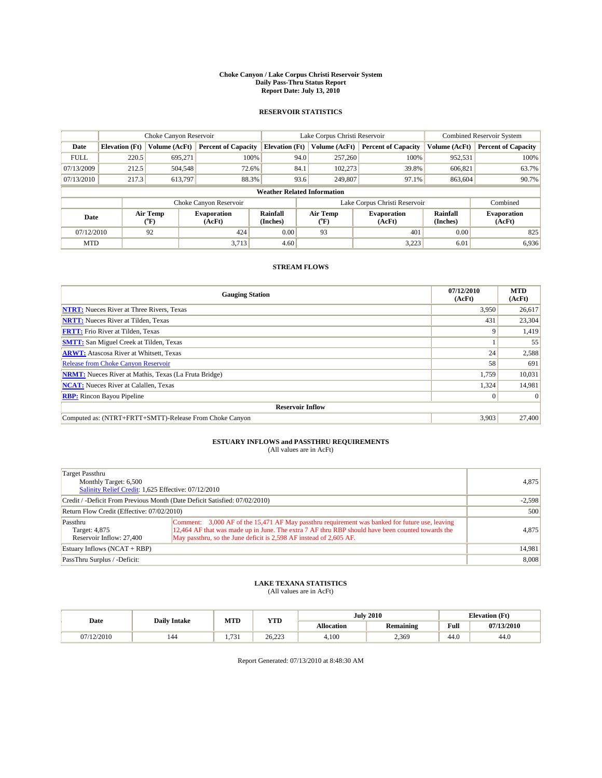#### **Choke Canyon / Lake Corpus Christi Reservoir System Daily Pass-Thru Status Report Report Date: July 13, 2010**

### **RESERVOIR STATISTICS**

|             | Choke Canyon Reservoir |                                           |                              |                                    | Lake Corpus Christi Reservoir |                  |                               |                      | <b>Combined Reservoir System</b> |  |
|-------------|------------------------|-------------------------------------------|------------------------------|------------------------------------|-------------------------------|------------------|-------------------------------|----------------------|----------------------------------|--|
| Date        | <b>Elevation</b> (Ft)  | Volume (AcFt)                             | <b>Percent of Capacity</b>   | <b>Elevation</b> (Ft)              |                               | Volume (AcFt)    | <b>Percent of Capacity</b>    | Volume (AcFt)        | <b>Percent of Capacity</b>       |  |
| <b>FULL</b> | 220.5                  | 695.271                                   | 100%                         |                                    | 94.0                          | 257,260          | 100%                          | 952,531              | 100%                             |  |
| 07/13/2009  | 212.5                  | 504,548                                   | 72.6%                        |                                    | 84.1                          | 102,273          | 39.8%                         | 606.821              | 63.7%                            |  |
| 07/13/2010  | 217.3                  | 613,797                                   | 88.3%                        |                                    | 93.6                          | 249,807          | 97.1%                         | 863,604              | 90.7%                            |  |
|             |                        |                                           |                              | <b>Weather Related Information</b> |                               |                  |                               |                      |                                  |  |
|             |                        |                                           | Choke Canyon Reservoir       |                                    |                               |                  | Lake Corpus Christi Reservoir |                      | Combined                         |  |
| Date        |                        | Air Temp<br>$({}^{\mathrm{o}}\mathrm{F})$ | <b>Evaporation</b><br>(AcFt) | Rainfall<br>(Inches)               |                               | Air Temp<br>(°F) | <b>Evaporation</b><br>(AcFt)  | Rainfall<br>(Inches) | <b>Evaporation</b><br>(AcFt)     |  |
| 07/12/2010  |                        | 92                                        | 424                          | 0.00                               |                               | 93               | 401                           | 0.00                 | 825                              |  |
| <b>MTD</b>  |                        |                                           | 3,713                        | 4.60                               |                               |                  | 3,223                         | 6.01                 | 6,936                            |  |

## **STREAM FLOWS**

| <b>Gauging Station</b>                                       | 07/12/2010<br>(AcFt) | <b>MTD</b><br>(AcFt) |
|--------------------------------------------------------------|----------------------|----------------------|
| <b>NTRT:</b> Nueces River at Three Rivers, Texas             | 3.950                | 26,617               |
| <b>NRTT:</b> Nueces River at Tilden, Texas                   | 431                  | 23,304               |
| <b>FRTT:</b> Frio River at Tilden, Texas                     | q                    | 1,419                |
| <b>SMTT:</b> San Miguel Creek at Tilden, Texas               |                      | 55                   |
| <b>ARWT:</b> Atascosa River at Whitsett, Texas               | 24                   | 2,588                |
| Release from Choke Canyon Reservoir                          | 58                   | 691                  |
| <b>NRMT:</b> Nueces River at Mathis, Texas (La Fruta Bridge) | 1,759                | 10,031               |
| <b>NCAT:</b> Nueces River at Calallen, Texas                 | 1,324                | 14,981               |
| <b>RBP:</b> Rincon Bayou Pipeline                            | $\overline{0}$       | $\Omega$             |
| <b>Reservoir Inflow</b>                                      |                      |                      |
| Computed as: (NTRT+FRTT+SMTT)-Release From Choke Canyon      | 3,903                | 27,400               |

# **ESTUARY INFLOWS and PASSTHRU REQUIREMENTS**<br>(All values are in AcFt)

| Target Passthru<br>Monthly Target: 6,500<br>Salinity Relief Credit: 1,625 Effective: 07/12/2010 | 4,875                                                                                                                                                                                                                                                                    |       |
|-------------------------------------------------------------------------------------------------|--------------------------------------------------------------------------------------------------------------------------------------------------------------------------------------------------------------------------------------------------------------------------|-------|
| Credit / -Deficit From Previous Month (Date Deficit Satisfied: 07/02/2010)                      | $-2,598$                                                                                                                                                                                                                                                                 |       |
| Return Flow Credit (Effective: 07/02/2010)                                                      | 500                                                                                                                                                                                                                                                                      |       |
| Passthru<br>Target: 4,875<br>Reservoir Inflow: 27,400                                           | Comment: 3,000 AF of the 15,471 AF May passthru requirement was banked for future use, leaving<br>12,464 AF that was made up in June. The extra 7 AF thru RBP should have been counted towards the<br>May passthru, so the June deficit is 2,598 AF instead of 2,605 AF. | 4,875 |
| Estuary Inflows (NCAT + RBP)                                                                    | 14,981                                                                                                                                                                                                                                                                   |       |
| PassThru Surplus / -Deficit:                                                                    |                                                                                                                                                                                                                                                                          | 8,008 |

## **LAKE TEXANA STATISTICS** (All values are in AcFt)

|          |                     | MTD             | <b>YTD</b> |                   | <b>July 2010</b> |      | <b>Elevation</b> (Ft) |
|----------|---------------------|-----------------|------------|-------------------|------------------|------|-----------------------|
| Date     | <b>Daily Intake</b> |                 |            | <b>Allocation</b> | Remaining        | Full | 07/13/2010            |
| /12/2010 | 144                 | $\sim$<br>, , , | 26.223     | 4.100             | 2.369            | 44.0 | 44.0                  |

Report Generated: 07/13/2010 at 8:48:30 AM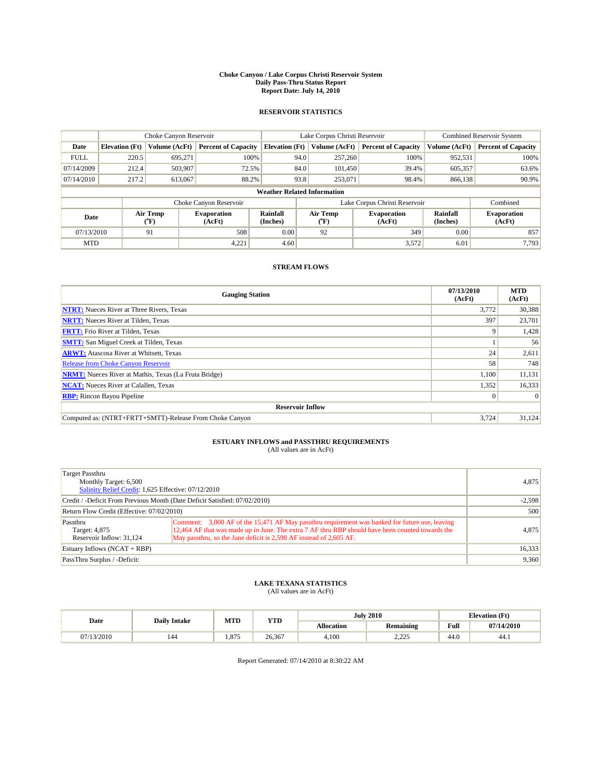#### **Choke Canyon / Lake Corpus Christi Reservoir System Daily Pass-Thru Status Report Report Date: July 14, 2010**

### **RESERVOIR STATISTICS**

|             | Choke Canyon Reservoir |                                |                              |                                    | Lake Corpus Christi Reservoir | <b>Combined Reservoir System</b> |                      |                              |
|-------------|------------------------|--------------------------------|------------------------------|------------------------------------|-------------------------------|----------------------------------|----------------------|------------------------------|
| Date        | <b>Elevation</b> (Ft)  | Volume (AcFt)                  | <b>Percent of Capacity</b>   | <b>Elevation</b> (Ft)              | Volume (AcFt)                 | <b>Percent of Capacity</b>       | Volume (AcFt)        | <b>Percent of Capacity</b>   |
| <b>FULL</b> | 220.5                  | 695,271                        | 100%                         | 94.0                               | 257,260                       | 100%                             | 952,531              | 100%                         |
| 07/14/2009  | 212.4                  | 503,907                        | 72.5%                        | 84.0                               | 101.450                       | 39.4%                            | 605,357              | 63.6%                        |
| 07/14/2010  | 217.2                  | 613,067                        | 88.2%                        | 93.8                               | 253,071                       | 98.4%                            | 866,138              | 90.9%                        |
|             |                        |                                |                              | <b>Weather Related Information</b> |                               |                                  |                      |                              |
|             |                        |                                | Choke Canyon Reservoir       |                                    |                               | Lake Corpus Christi Reservoir    |                      | Combined                     |
| Date        |                        | Air Temp<br>$({}^o\mathrm{F})$ | <b>Evaporation</b><br>(AcFt) | Rainfall<br>(Inches)               | Air Temp<br>(°F)              | <b>Evaporation</b><br>(AcFt)     | Rainfall<br>(Inches) | <b>Evaporation</b><br>(AcFt) |
| 07/13/2010  |                        | 91                             | 508                          | 0.00                               | 92                            | 349                              | 0.00                 | 857                          |
| <b>MTD</b>  |                        |                                | 4,221                        | 4.60                               |                               | 3,572                            | 6.01                 | 7.793                        |

## **STREAM FLOWS**

| <b>Gauging Station</b>                                       | 07/13/2010<br>(AcFt) | <b>MTD</b><br>(AcFt) |
|--------------------------------------------------------------|----------------------|----------------------|
| <b>NTRT:</b> Nueces River at Three Rivers, Texas             | 3.772                | 30,388               |
| <b>NRTT:</b> Nueces River at Tilden, Texas                   | 397                  | 23,701               |
| <b>FRTT:</b> Frio River at Tilden, Texas                     | Q                    | 1,428                |
| <b>SMTT:</b> San Miguel Creek at Tilden, Texas               |                      | 56                   |
| <b>ARWT:</b> Atascosa River at Whitsett, Texas               | 24                   | 2,611                |
| Release from Choke Canyon Reservoir                          | 58                   | 748                  |
| <b>NRMT:</b> Nueces River at Mathis, Texas (La Fruta Bridge) | 1,100                | 11,131               |
| <b>NCAT:</b> Nueces River at Calallen, Texas                 | 1,352                | 16,333               |
| <b>RBP:</b> Rincon Bayou Pipeline                            | $\overline{0}$       | $\Omega$             |
| <b>Reservoir Inflow</b>                                      |                      |                      |
| Computed as: (NTRT+FRTT+SMTT)-Release From Choke Canyon      | 3.724                | 31,124               |

# **ESTUARY INFLOWS and PASSTHRU REQUIREMENTS**<br>(All values are in AcFt)

| Target Passthru<br>Monthly Target: 6,500<br>Salinity Relief Credit: 1,625 Effective: 07/12/2010 | 4,875                                                                                                                                                                                                                                                                    |       |
|-------------------------------------------------------------------------------------------------|--------------------------------------------------------------------------------------------------------------------------------------------------------------------------------------------------------------------------------------------------------------------------|-------|
| Credit / -Deficit From Previous Month (Date Deficit Satisfied: 07/02/2010)                      | $-2,598$                                                                                                                                                                                                                                                                 |       |
| Return Flow Credit (Effective: 07/02/2010)                                                      | 500                                                                                                                                                                                                                                                                      |       |
| Passthru<br>Target: 4,875<br>Reservoir Inflow: 31,124                                           | Comment: 3,000 AF of the 15,471 AF May passthru requirement was banked for future use, leaving<br>12,464 AF that was made up in June. The extra 7 AF thru RBP should have been counted towards the<br>May passthru, so the June deficit is 2,598 AF instead of 2,605 AF. | 4,875 |
| Estuary Inflows (NCAT + RBP)                                                                    | 16,333                                                                                                                                                                                                                                                                   |       |
| PassThru Surplus / -Deficit:                                                                    |                                                                                                                                                                                                                                                                          | 9,360 |

## **LAKE TEXANA STATISTICS** (All values are in AcFt)

|          |                     | MTD   | <b>YTD</b> |                   | <b>July 2010</b> |                    | <b>Elevation</b> (Ft) |
|----------|---------------------|-------|------------|-------------------|------------------|--------------------|-----------------------|
| Date     | <b>Daily Intake</b> |       |            | <b>Allocation</b> | <b>Remaining</b> | Full               | 07/14/2010            |
| /13/2010 | 144                 | 1.875 | 26.367     | 4.100             | .225<br>ل کے دکھ | $\sqrt{ }$<br>44.0 | 44.1                  |

Report Generated: 07/14/2010 at 8:30:22 AM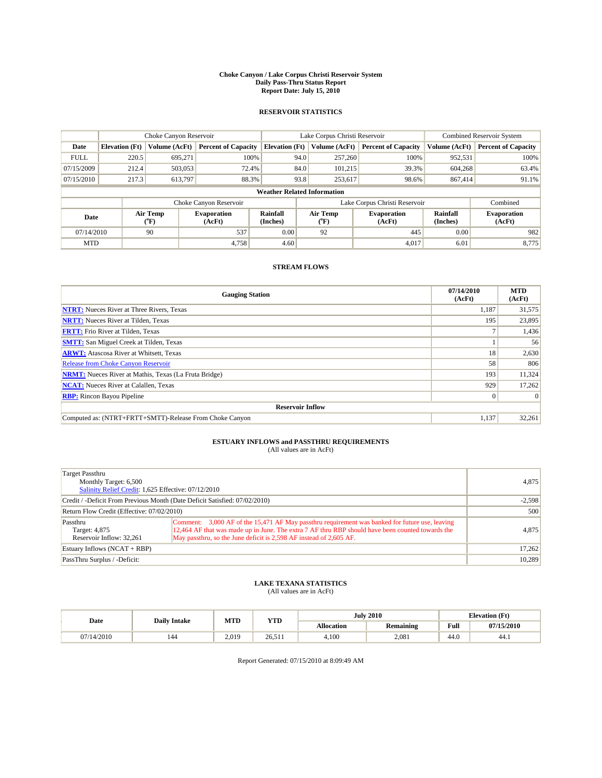#### **Choke Canyon / Lake Corpus Christi Reservoir System Daily Pass-Thru Status Report Report Date: July 15, 2010**

### **RESERVOIR STATISTICS**

|             | Choke Canyon Reservoir |                                |                              |                                    | Lake Corpus Christi Reservoir |         |                               |                      | <b>Combined Reservoir System</b> |  |
|-------------|------------------------|--------------------------------|------------------------------|------------------------------------|-------------------------------|---------|-------------------------------|----------------------|----------------------------------|--|
| Date        | <b>Elevation</b> (Ft)  | Volume (AcFt)                  | <b>Percent of Capacity</b>   | <b>Elevation (Ft)</b>              | Volume (AcFt)                 |         | <b>Percent of Capacity</b>    | Volume (AcFt)        | <b>Percent of Capacity</b>       |  |
| <b>FULL</b> | 220.5                  | 695.271                        | 100%                         |                                    | 94.0                          | 257,260 | 100%                          | 952,531              | 100%                             |  |
| 07/15/2009  | 212.4                  | 503,053                        | 72.4%                        |                                    | 84.0                          | 101.215 | 39.3%                         | 604.268              | 63.4%                            |  |
| 07/15/2010  | 217.3                  | 613,797                        | 88.3%                        |                                    | 93.8                          | 253,617 | 98.6%                         | 867,414              | 91.1%                            |  |
|             |                        |                                |                              | <b>Weather Related Information</b> |                               |         |                               |                      |                                  |  |
|             |                        |                                | Choke Canyon Reservoir       |                                    |                               |         | Lake Corpus Christi Reservoir |                      | Combined                         |  |
| Date        |                        | Air Temp<br>$({}^o\mathrm{F})$ | <b>Evaporation</b><br>(AcFt) | Rainfall<br>(Inches)               | Air Temp<br>(°F)              |         | <b>Evaporation</b><br>(AcFt)  | Rainfall<br>(Inches) | <b>Evaporation</b><br>(AcFt)     |  |
| 07/14/2010  |                        | 90                             | 537                          | 0.00                               | 92                            |         | 445                           | 0.00                 | 982                              |  |
| <b>MTD</b>  |                        |                                | 4.758                        | 4.60                               |                               |         | 4.017                         | 6.01                 | 8.775                            |  |

## **STREAM FLOWS**

| <b>Gauging Station</b>                                       | 07/14/2010<br>(AcFt) | <b>MTD</b><br>(AcFt) |  |  |  |  |
|--------------------------------------------------------------|----------------------|----------------------|--|--|--|--|
| <b>NTRT:</b> Nueces River at Three Rivers, Texas             | 1.187                | 31,575               |  |  |  |  |
| <b>NRTT:</b> Nueces River at Tilden, Texas                   | 195                  | 23,895               |  |  |  |  |
| <b>FRTT:</b> Frio River at Tilden, Texas                     |                      | 1,436                |  |  |  |  |
| <b>SMTT:</b> San Miguel Creek at Tilden, Texas               |                      | 56                   |  |  |  |  |
| <b>ARWT:</b> Atascosa River at Whitsett, Texas               | 18                   | 2,630                |  |  |  |  |
| Release from Choke Canyon Reservoir                          | 58                   | 806                  |  |  |  |  |
| <b>NRMT:</b> Nueces River at Mathis, Texas (La Fruta Bridge) | 193                  | 11,324               |  |  |  |  |
| <b>NCAT:</b> Nueces River at Calallen, Texas                 | 929                  | 17,262               |  |  |  |  |
| <b>RBP:</b> Rincon Bayou Pipeline                            | $\overline{0}$       | $\Omega$             |  |  |  |  |
| <b>Reservoir Inflow</b>                                      |                      |                      |  |  |  |  |
| Computed as: (NTRT+FRTT+SMTT)-Release From Choke Canyon      | 1.137                | 32,261               |  |  |  |  |

# **ESTUARY INFLOWS and PASSTHRU REQUIREMENTS**<br>(All values are in AcFt)

| Target Passthru<br>Monthly Target: 6,500<br>Salinity Relief Credit: 1,625 Effective: 07/12/2010 | 4,875                                                                                                                                                                                                                                                                    |        |
|-------------------------------------------------------------------------------------------------|--------------------------------------------------------------------------------------------------------------------------------------------------------------------------------------------------------------------------------------------------------------------------|--------|
| Credit / -Deficit From Previous Month (Date Deficit Satisfied: 07/02/2010)                      | $-2,598$                                                                                                                                                                                                                                                                 |        |
| Return Flow Credit (Effective: 07/02/2010)                                                      | 500                                                                                                                                                                                                                                                                      |        |
| Passthru<br>Target: 4,875<br>Reservoir Inflow: 32,261                                           | Comment: 3,000 AF of the 15,471 AF May passthru requirement was banked for future use, leaving<br>12,464 AF that was made up in June. The extra 7 AF thru RBP should have been counted towards the<br>May passthru, so the June deficit is 2,598 AF instead of 2,605 AF. | 4,875  |
| Estuary Inflows $(NCAT + RBP)$                                                                  | 17,262                                                                                                                                                                                                                                                                   |        |
| PassThru Surplus / -Deficit:                                                                    |                                                                                                                                                                                                                                                                          | 10,289 |

## **LAKE TEXANA STATISTICS** (All values are in AcFt)

|          | <b>Daily Intake</b> | MTD<br><b>YTD</b> |        |            | <b>July 2010</b> |                    | <b>Elevation</b> (Ft) |
|----------|---------------------|-------------------|--------|------------|------------------|--------------------|-----------------------|
| Date     |                     |                   |        | Allocation | <b>Remaining</b> | Full               | 07/15/2010            |
| /14/2010 | 144                 | 2.019             | 26.511 | 4.100      | 2.081            | $\sqrt{ }$<br>44.0 | 44.1                  |

Report Generated: 07/15/2010 at 8:09:49 AM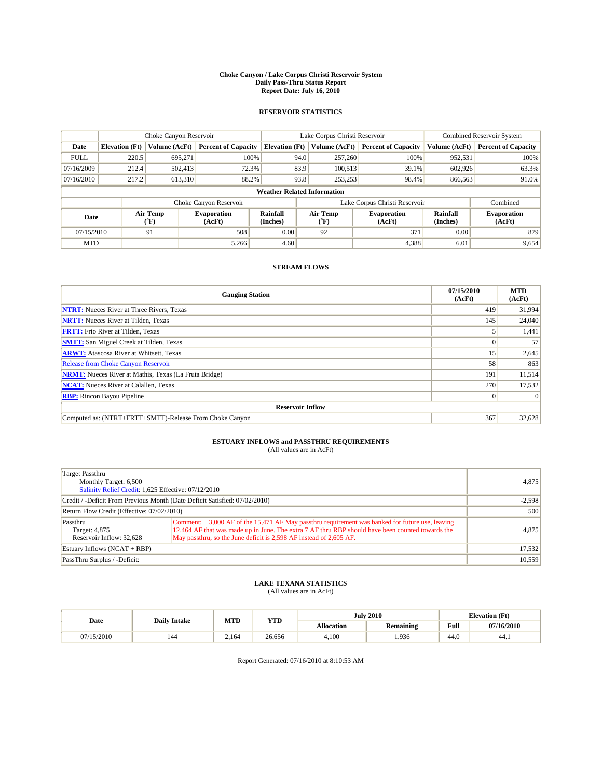#### **Choke Canyon / Lake Corpus Christi Reservoir System Daily Pass-Thru Status Report Report Date: July 16, 2010**

### **RESERVOIR STATISTICS**

|             | Choke Canyon Reservoir             |                                           |                              |                       | Lake Corpus Christi Reservoir |                               |                      | <b>Combined Reservoir System</b> |  |
|-------------|------------------------------------|-------------------------------------------|------------------------------|-----------------------|-------------------------------|-------------------------------|----------------------|----------------------------------|--|
| Date        | <b>Elevation</b> (Ft)              | Volume (AcFt)                             | <b>Percent of Capacity</b>   | <b>Elevation</b> (Ft) | Volume (AcFt)                 | <b>Percent of Capacity</b>    | Volume (AcFt)        | <b>Percent of Capacity</b>       |  |
| <b>FULL</b> | 220.5                              | 695.271                                   | 100%                         |                       | 94.0<br>257,260               | 100%                          | 952,531              | 100%                             |  |
| 07/16/2009  | 212.4                              | 502.413                                   | 72.3%                        |                       | 83.9<br>100,513               | 39.1%                         | 602,926              | 63.3%                            |  |
| 07/16/2010  | 217.2                              | 613,310                                   | 88.2%                        |                       | 93.8<br>253,253               | 98.4%                         | 866,563              | 91.0%                            |  |
|             | <b>Weather Related Information</b> |                                           |                              |                       |                               |                               |                      |                                  |  |
|             |                                    |                                           | Choke Canyon Reservoir       |                       |                               | Lake Corpus Christi Reservoir |                      | Combined                         |  |
| Date        |                                    | Air Temp<br>$({}^{\mathrm{o}}\mathrm{F})$ | <b>Evaporation</b><br>(AcFt) | Rainfall<br>(Inches)  | Air Temp<br>(°F)              | <b>Evaporation</b><br>(AcFt)  | Rainfall<br>(Inches) | <b>Evaporation</b><br>(AcFt)     |  |
| 07/15/2010  |                                    | 91                                        | 508                          | 0.00                  | 92                            | 371                           | 0.00                 | 879                              |  |
| <b>MTD</b>  |                                    |                                           | 5,266                        | 4.60                  |                               | 4,388                         | 6.01                 | 9,654                            |  |

## **STREAM FLOWS**

| <b>Gauging Station</b>                                       | 07/15/2010<br>(AcFt) | <b>MTD</b><br>(AcFt) |  |  |  |  |
|--------------------------------------------------------------|----------------------|----------------------|--|--|--|--|
| <b>NTRT:</b> Nueces River at Three Rivers, Texas             | 419                  | 31,994               |  |  |  |  |
| <b>NRTT:</b> Nueces River at Tilden, Texas                   | 145                  | 24,040               |  |  |  |  |
| <b>FRTT:</b> Frio River at Tilden, Texas                     |                      | 1,441                |  |  |  |  |
| <b>SMTT:</b> San Miguel Creek at Tilden, Texas               |                      | 57                   |  |  |  |  |
| <b>ARWT:</b> Atascosa River at Whitsett, Texas               | 15                   | 2,645                |  |  |  |  |
| Release from Choke Canyon Reservoir                          | 58                   | 863                  |  |  |  |  |
| <b>NRMT:</b> Nueces River at Mathis, Texas (La Fruta Bridge) | 191                  | 11,514               |  |  |  |  |
| <b>NCAT:</b> Nueces River at Calallen, Texas                 | 270                  | 17,532               |  |  |  |  |
| <b>RBP:</b> Rincon Bayou Pipeline                            | $\overline{0}$       | $\Omega$             |  |  |  |  |
| <b>Reservoir Inflow</b>                                      |                      |                      |  |  |  |  |
| Computed as: (NTRT+FRTT+SMTT)-Release From Choke Canyon      | 367                  | 32,628               |  |  |  |  |

## **ESTUARY INFLOWS and PASSTHRU REQUIREMENTS**

| (All values are in AcFt) |  |  |
|--------------------------|--|--|
|--------------------------|--|--|

| Target Passthru<br>Monthly Target: 6,500<br>Salinity Relief Credit: 1,625 Effective: 07/12/2010 | 4,875                                                                                                                                                                                                                                                                    |        |
|-------------------------------------------------------------------------------------------------|--------------------------------------------------------------------------------------------------------------------------------------------------------------------------------------------------------------------------------------------------------------------------|--------|
| Credit / -Deficit From Previous Month (Date Deficit Satisfied: 07/02/2010)                      | $-2,598$                                                                                                                                                                                                                                                                 |        |
| Return Flow Credit (Effective: 07/02/2010)                                                      | 500                                                                                                                                                                                                                                                                      |        |
| Passthru<br>Target: 4,875<br>Reservoir Inflow: 32.628                                           | Comment: 3,000 AF of the 15,471 AF May passthru requirement was banked for future use, leaving<br>12,464 AF that was made up in June. The extra 7 AF thru RBP should have been counted towards the<br>May passthru, so the June deficit is 2,598 AF instead of 2,605 AF. | 4,875  |
| Estuary Inflows (NCAT + RBP)                                                                    | 17,532                                                                                                                                                                                                                                                                   |        |
| PassThru Surplus / -Deficit:                                                                    |                                                                                                                                                                                                                                                                          | 10,559 |

## **LAKE TEXANA STATISTICS** (All values are in AcFt)

|           | <b>Daily Intake</b> | MTD<br><b>YTD</b> |        |                   | <b>July 2010</b> |                   | <b>Elevation</b> (Ft) |
|-----------|---------------------|-------------------|--------|-------------------|------------------|-------------------|-----------------------|
| Date      |                     |                   |        | <b>Allocation</b> | Remaining        | Full              | 07/16/2010            |
| (15/2010) | 144                 | 2.164             | 26,656 | 4.100             | .936             | $\Lambda$<br>44.0 | -44.1                 |

Report Generated: 07/16/2010 at 8:10:53 AM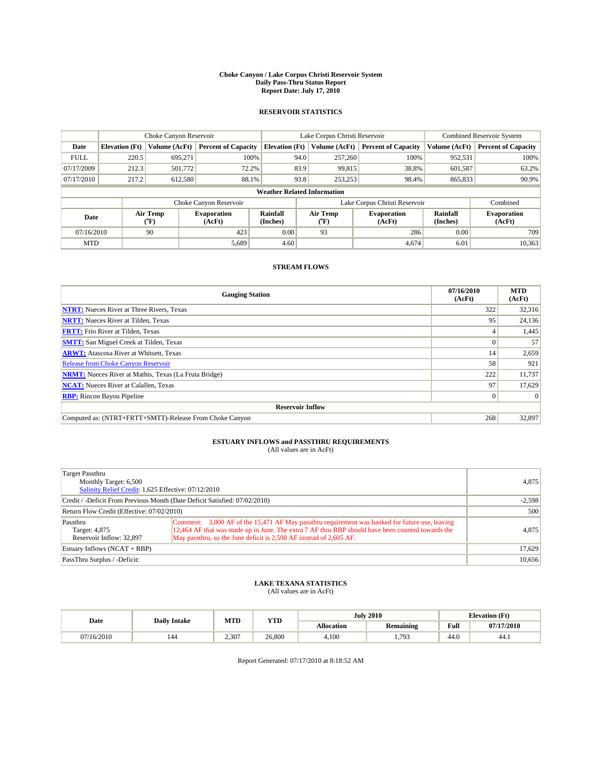#### **Choke Canyon / Lake Corpus Christi Reservoir System Daily Pass-Thru Status Report Report Date: July 17, 2010**

### **RESERVOIR STATISTICS**

|             | Choke Canyon Reservoir             |                                |                              |                       | Lake Corpus Christi Reservoir | <b>Combined Reservoir System</b> |                      |                              |  |
|-------------|------------------------------------|--------------------------------|------------------------------|-----------------------|-------------------------------|----------------------------------|----------------------|------------------------------|--|
| Date        | <b>Elevation</b> (Ft)              | Volume (AcFt)                  | <b>Percent of Capacity</b>   | <b>Elevation</b> (Ft) | Volume (AcFt)                 | <b>Percent of Capacity</b>       | Volume (AcFt)        | <b>Percent of Capacity</b>   |  |
| <b>FULL</b> | 220.5                              | 695,271                        | 100%                         | 94.0                  | 257,260                       | 100%                             | 952,531              | 100%                         |  |
| 07/17/2009  | 212.3                              | 501,772                        | 72.2%                        | 83.9                  | 99,815                        | 38.8%                            | 601,587              | 63.2%                        |  |
| 07/17/2010  | 217.2                              | 612,580                        | 88.1%                        | 93.8                  | 253,253                       | 98.4%                            | 865,833              | 90.9%                        |  |
|             | <b>Weather Related Information</b> |                                |                              |                       |                               |                                  |                      |                              |  |
|             |                                    |                                | Choke Canyon Reservoir       |                       |                               | Lake Corpus Christi Reservoir    |                      | Combined                     |  |
| Date        |                                    | Air Temp<br>$({}^o\mathrm{F})$ | <b>Evaporation</b><br>(AcFt) | Rainfall<br>(Inches)  | Air Temp<br>(°F)              | <b>Evaporation</b><br>(AcFt)     | Rainfall<br>(Inches) | <b>Evaporation</b><br>(AcFt) |  |
| 07/16/2010  |                                    | 90                             | 423                          | 0.00                  | 93                            | 286                              | 0.00                 | 709                          |  |
| <b>MTD</b>  |                                    |                                | 5,689                        | 4.60                  |                               | 4.674                            | 6.01                 | 10,363                       |  |

## **STREAM FLOWS**

| <b>Gauging Station</b>                                       | 07/16/2010<br>(AcFt) | <b>MTD</b><br>(AcFt) |  |  |  |  |
|--------------------------------------------------------------|----------------------|----------------------|--|--|--|--|
| <b>NTRT:</b> Nueces River at Three Rivers, Texas             | 322                  | 32,316               |  |  |  |  |
| <b>NRTT:</b> Nueces River at Tilden, Texas                   | 95                   | 24,136               |  |  |  |  |
| <b>FRTT:</b> Frio River at Tilden, Texas                     |                      | 1,445                |  |  |  |  |
| <b>SMTT:</b> San Miguel Creek at Tilden, Texas               |                      | 57                   |  |  |  |  |
| <b>ARWT:</b> Atascosa River at Whitsett, Texas               | 14                   | 2,659                |  |  |  |  |
| Release from Choke Canyon Reservoir                          | 58                   | 921                  |  |  |  |  |
| <b>NRMT:</b> Nueces River at Mathis, Texas (La Fruta Bridge) | 222                  | 11,737               |  |  |  |  |
| <b>NCAT:</b> Nueces River at Calallen, Texas                 | 97                   | 17,629               |  |  |  |  |
| <b>RBP:</b> Rincon Bayou Pipeline                            | $\overline{0}$       | $\Omega$             |  |  |  |  |
| <b>Reservoir Inflow</b>                                      |                      |                      |  |  |  |  |
| Computed as: (NTRT+FRTT+SMTT)-Release From Choke Canyon      | 268                  | 32,897               |  |  |  |  |

# **ESTUARY INFLOWS and PASSTHRU REQUIREMENTS**<br>(All values are in AcFt)

| Target Passthru<br>Monthly Target: 6,500<br>Salinity Relief Credit: 1,625 Effective: 07/12/2010 | 4,875                                                                                                                                                                                                                                                                    |        |
|-------------------------------------------------------------------------------------------------|--------------------------------------------------------------------------------------------------------------------------------------------------------------------------------------------------------------------------------------------------------------------------|--------|
| Credit / -Deficit From Previous Month (Date Deficit Satisfied: 07/02/2010)                      | $-2,598$                                                                                                                                                                                                                                                                 |        |
| Return Flow Credit (Effective: 07/02/2010)                                                      | 500                                                                                                                                                                                                                                                                      |        |
| Passthru<br>Target: 4,875<br>Reservoir Inflow: 32,897                                           | Comment: 3,000 AF of the 15,471 AF May passthru requirement was banked for future use, leaving<br>12,464 AF that was made up in June. The extra 7 AF thru RBP should have been counted towards the<br>May passthru, so the June deficit is 2,598 AF instead of 2,605 AF. | 4,875  |
| Estuary Inflows (NCAT + RBP)                                                                    |                                                                                                                                                                                                                                                                          | 17,629 |
| PassThru Surplus / -Deficit:                                                                    |                                                                                                                                                                                                                                                                          | 10,656 |

## **LAKE TEXANA STATISTICS** (All values are in AcFt)

| Date       |                     | MTD<br><b>YTD</b> |        |            | <b>July 2010</b>        |                                             | <b>Elevation</b> (Ft) |
|------------|---------------------|-------------------|--------|------------|-------------------------|---------------------------------------------|-----------------------|
|            | <b>Daily Intake</b> |                   |        | Allocation | <b>Remaining</b>        | Full<br>the contract of the contract of the | 07/17/2010            |
| 07/16/2010 | 144                 | 2.307             | 26,800 | 4.100      | 70 <sup>2</sup><br>,,,, | 44.0                                        | 44.1                  |

Report Generated: 07/17/2010 at 8:18:52 AM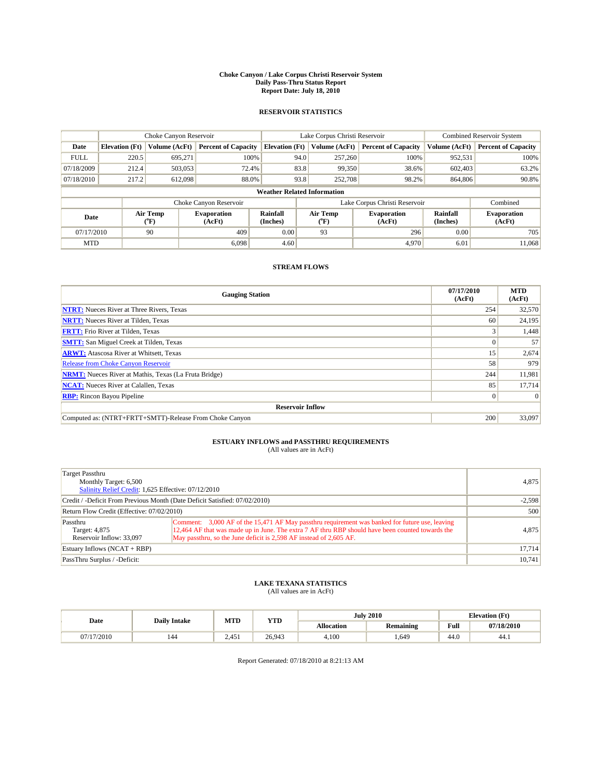#### **Choke Canyon / Lake Corpus Christi Reservoir System Daily Pass-Thru Status Report Report Date: July 18, 2010**

### **RESERVOIR STATISTICS**

|             | Choke Canyon Reservoir             |                                |                              |                       | Lake Corpus Christi Reservoir | <b>Combined Reservoir System</b> |                      |                              |  |  |  |
|-------------|------------------------------------|--------------------------------|------------------------------|-----------------------|-------------------------------|----------------------------------|----------------------|------------------------------|--|--|--|
| Date        | <b>Elevation</b> (Ft)              | Volume (AcFt)                  | <b>Percent of Capacity</b>   | <b>Elevation</b> (Ft) | Volume (AcFt)                 | <b>Percent of Capacity</b>       | Volume (AcFt)        | <b>Percent of Capacity</b>   |  |  |  |
| <b>FULL</b> | 220.5                              | 695.271                        | 100%                         | 94.0                  | 257,260                       | 100%                             | 952,531              | 100%                         |  |  |  |
| 07/18/2009  | 212.4                              | 503,053                        | 72.4%                        |                       | 83.8<br>99,350                | 38.6%                            | 602,403              | 63.2%                        |  |  |  |
| 07/18/2010  | 217.2                              | 612,098                        | 88.0%                        |                       | 93.8<br>252,708               | 98.2%                            | 864,806              | 90.8%                        |  |  |  |
|             | <b>Weather Related Information</b> |                                |                              |                       |                               |                                  |                      |                              |  |  |  |
|             |                                    |                                | Choke Canyon Reservoir       |                       | Lake Corpus Christi Reservoir |                                  |                      | Combined                     |  |  |  |
| Date        |                                    | Air Temp<br>$({}^o\mathrm{F})$ | <b>Evaporation</b><br>(AcFt) | Rainfall<br>(Inches)  | Air Temp<br>(°F)              | <b>Evaporation</b><br>(AcFt)     | Rainfall<br>(Inches) | <b>Evaporation</b><br>(AcFt) |  |  |  |
| 07/17/2010  |                                    | 90                             | 409                          | 0.00                  | 93                            | 296                              | 0.00                 | 705                          |  |  |  |
| <b>MTD</b>  |                                    |                                | 6.098                        | 4.60                  |                               | 4.970                            | 6.01                 | 11.068                       |  |  |  |

## **STREAM FLOWS**

| <b>Gauging Station</b>                                       | 07/17/2010<br>(AcFt) | <b>MTD</b><br>(AcFt) |  |  |  |  |  |
|--------------------------------------------------------------|----------------------|----------------------|--|--|--|--|--|
| <b>NTRT:</b> Nueces River at Three Rivers, Texas             | 254                  | 32,570               |  |  |  |  |  |
| <b>NRTT:</b> Nueces River at Tilden, Texas                   | 60                   | 24,195               |  |  |  |  |  |
| <b>FRTT:</b> Frio River at Tilden, Texas                     |                      | 1,448                |  |  |  |  |  |
| <b>SMTT:</b> San Miguel Creek at Tilden, Texas               |                      | 57                   |  |  |  |  |  |
| <b>ARWT:</b> Atascosa River at Whitsett, Texas               | 15                   | 2,674                |  |  |  |  |  |
| <b>Release from Choke Canyon Reservoir</b>                   | 58                   | 979                  |  |  |  |  |  |
| <b>NRMT:</b> Nueces River at Mathis, Texas (La Fruta Bridge) | 244                  | 11,981               |  |  |  |  |  |
| <b>NCAT:</b> Nueces River at Calallen, Texas                 | 85                   | 17,714               |  |  |  |  |  |
| <b>RBP:</b> Rincon Bayou Pipeline                            | $\overline{0}$       | $\Omega$             |  |  |  |  |  |
| <b>Reservoir Inflow</b>                                      |                      |                      |  |  |  |  |  |
| Computed as: (NTRT+FRTT+SMTT)-Release From Choke Canyon      | 200                  | 33,097               |  |  |  |  |  |

# **ESTUARY INFLOWS and PASSTHRU REQUIREMENTS**<br>(All values are in AcFt)

| Target Passthru<br>Monthly Target: 6,500<br>Salinity Relief Credit: 1,625 Effective: 07/12/2010 | 4,875                                                                                                                                                                                                                                                                    |        |
|-------------------------------------------------------------------------------------------------|--------------------------------------------------------------------------------------------------------------------------------------------------------------------------------------------------------------------------------------------------------------------------|--------|
| Credit / -Deficit From Previous Month (Date Deficit Satisfied: 07/02/2010)                      | $-2,598$                                                                                                                                                                                                                                                                 |        |
| Return Flow Credit (Effective: 07/02/2010)                                                      | 500                                                                                                                                                                                                                                                                      |        |
| Passthru<br>Target: 4,875<br>Reservoir Inflow: 33,097                                           | Comment: 3,000 AF of the 15,471 AF May passthru requirement was banked for future use, leaving<br>12,464 AF that was made up in June. The extra 7 AF thru RBP should have been counted towards the<br>May passthru, so the June deficit is 2,598 AF instead of 2,605 AF. | 4,875  |
| Estuary Inflows (NCAT + RBP)                                                                    | 17,714                                                                                                                                                                                                                                                                   |        |
| PassThru Surplus / -Deficit:                                                                    |                                                                                                                                                                                                                                                                          | 10,741 |

## **LAKE TEXANA STATISTICS** (All values are in AcFt)

| Date       | <b>Daily Intake</b> |       | MTD<br><b>YTD</b> | <b>July 2010</b> |                  | <b>Elevation</b> (Ft) |            |
|------------|---------------------|-------|-------------------|------------------|------------------|-----------------------|------------|
|            |                     |       |                   | Allocation       | <b>Remaining</b> | Full                  | 07/18/2010 |
| 07/17/2010 | 144                 | 2.451 | 26.943            | 4.100            | .649             | 44.0                  | 44.1       |

Report Generated: 07/18/2010 at 8:21:13 AM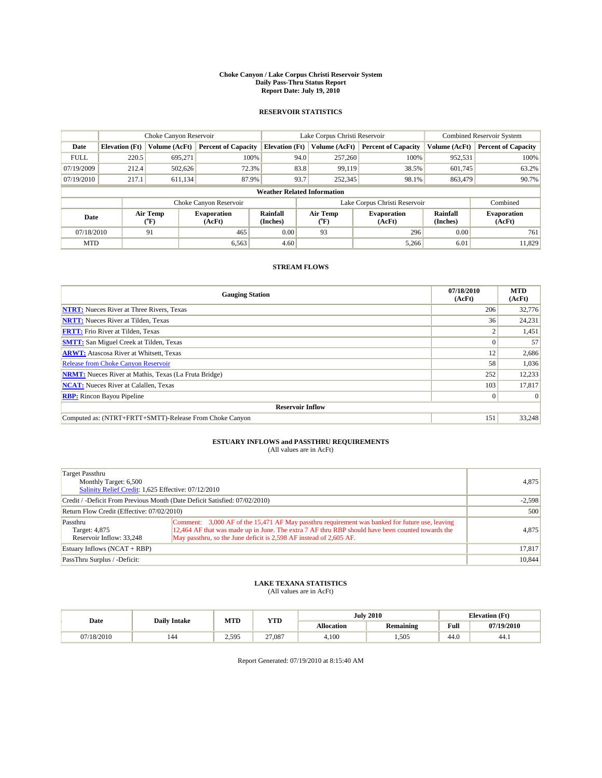#### **Choke Canyon / Lake Corpus Christi Reservoir System Daily Pass-Thru Status Report Report Date: July 19, 2010**

### **RESERVOIR STATISTICS**

|             | Choke Canyon Reservoir             |                                |                              |                       | Lake Corpus Christi Reservoir  | <b>Combined Reservoir System</b> |                      |                              |  |  |
|-------------|------------------------------------|--------------------------------|------------------------------|-----------------------|--------------------------------|----------------------------------|----------------------|------------------------------|--|--|
| Date        | <b>Elevation</b> (Ft)              | Volume (AcFt)                  | <b>Percent of Capacity</b>   | <b>Elevation</b> (Ft) | Volume (AcFt)                  | <b>Percent of Capacity</b>       | Volume (AcFt)        | <b>Percent of Capacity</b>   |  |  |
| <b>FULL</b> | 220.5                              | 695,271                        | 100%                         | 94.0                  | 257,260                        | 100%                             | 952,531              | 100%                         |  |  |
| 07/19/2009  | 212.4                              | 502,626                        | 72.3%                        | 83.8                  | 99.119                         | 38.5%                            | 601.745              | 63.2%                        |  |  |
| 07/19/2010  | 217.1                              | 611,134                        | 87.9%                        | 93.7                  | 252,345                        | 98.1%                            | 863,479              | 90.7%                        |  |  |
|             | <b>Weather Related Information</b> |                                |                              |                       |                                |                                  |                      |                              |  |  |
|             |                                    |                                | Choke Canyon Reservoir       |                       | Lake Corpus Christi Reservoir  |                                  |                      | Combined                     |  |  |
| Date        |                                    | Air Temp<br>$({}^o\mathrm{F})$ | <b>Evaporation</b><br>(AcFt) | Rainfall<br>(Inches)  | Air Temp<br>$({}^o\mathrm{F})$ | <b>Evaporation</b><br>(AcFt)     | Rainfall<br>(Inches) | <b>Evaporation</b><br>(AcFt) |  |  |
| 07/18/2010  |                                    | 91                             | 465                          | 0.00                  | 93                             | 296                              | 0.00                 | 761                          |  |  |
| <b>MTD</b>  |                                    |                                | 6,563                        | 4.60                  |                                | 5,266                            | 6.01                 | 11,829                       |  |  |

## **STREAM FLOWS**

| <b>Gauging Station</b>                                       | 07/18/2010<br>(AcFt) | <b>MTD</b><br>(AcFt) |
|--------------------------------------------------------------|----------------------|----------------------|
| <b>NTRT:</b> Nueces River at Three Rivers, Texas             | 206                  | 32,776               |
| <b>NRTT:</b> Nueces River at Tilden, Texas                   | 36                   | 24,231               |
| <b>FRTT:</b> Frio River at Tilden, Texas                     |                      | 1,451                |
| <b>SMTT:</b> San Miguel Creek at Tilden, Texas               |                      | 57                   |
| <b>ARWT:</b> Atascosa River at Whitsett, Texas               | 12                   | 2,686                |
| Release from Choke Canyon Reservoir                          | 58                   | 1,036                |
| <b>NRMT:</b> Nueces River at Mathis, Texas (La Fruta Bridge) | 252                  | 12,233               |
| <b>NCAT:</b> Nueces River at Calallen, Texas                 | 103                  | 17,817               |
| <b>RBP:</b> Rincon Bayou Pipeline                            | $\overline{0}$       | $\Omega$             |
| <b>Reservoir Inflow</b>                                      |                      |                      |
| Computed as: (NTRT+FRTT+SMTT)-Release From Choke Canyon      | 151                  | 33,248               |

# **ESTUARY INFLOWS and PASSTHRU REQUIREMENTS**<br>(All values are in AcFt)

| Target Passthru<br>Monthly Target: 6,500<br>Salinity Relief Credit: 1,625 Effective: 07/12/2010 | 4,875                                                                                                                                                                                                                                                                    |        |
|-------------------------------------------------------------------------------------------------|--------------------------------------------------------------------------------------------------------------------------------------------------------------------------------------------------------------------------------------------------------------------------|--------|
| Credit / -Deficit From Previous Month (Date Deficit Satisfied: 07/02/2010)                      | $-2,598$                                                                                                                                                                                                                                                                 |        |
| Return Flow Credit (Effective: 07/02/2010)                                                      | 500                                                                                                                                                                                                                                                                      |        |
| Passthru<br>Target: 4,875<br>Reservoir Inflow: 33,248                                           | Comment: 3,000 AF of the 15,471 AF May passthru requirement was banked for future use, leaving<br>12,464 AF that was made up in June. The extra 7 AF thru RBP should have been counted towards the<br>May passthru, so the June deficit is 2,598 AF instead of 2,605 AF. | 4,875  |
| Estuary Inflows $(NCAT + RBP)$                                                                  | 17,817                                                                                                                                                                                                                                                                   |        |
| PassThru Surplus / -Deficit:                                                                    |                                                                                                                                                                                                                                                                          | 10,844 |

## **LAKE TEXANA STATISTICS** (All values are in AcFt)

|          | <b>Daily Intake</b> | MTD   | <b>YTD</b> |                   | <b>July 2010</b> | <b>Elevation</b> (Ft)                       |            |
|----------|---------------------|-------|------------|-------------------|------------------|---------------------------------------------|------------|
| Date     |                     |       |            | <b>Allocation</b> | Remaining        | Full<br>the contract of the contract of the | 07/19/2010 |
| /18/2010 | 144                 | 2.595 | 27,087     | 4.100             | .505             | $\Lambda$<br>44.v                           | -44.1      |

Report Generated: 07/19/2010 at 8:15:40 AM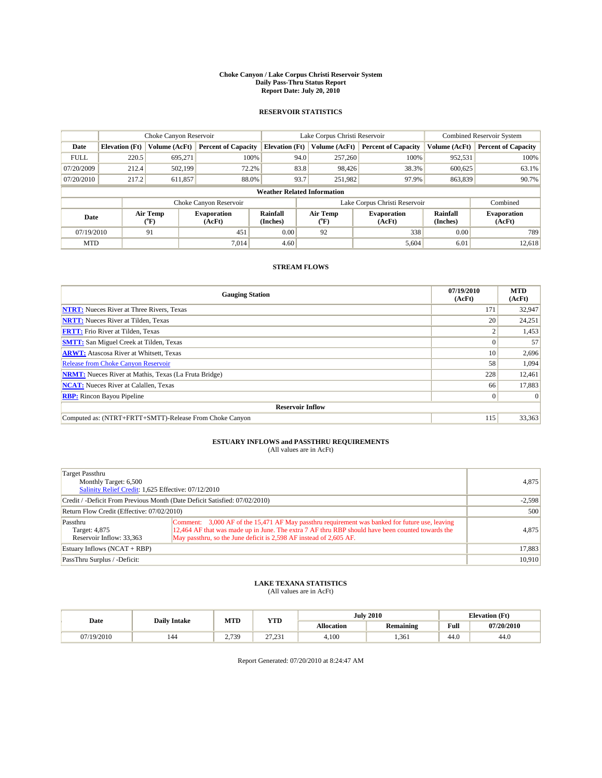#### **Choke Canyon / Lake Corpus Christi Reservoir System Daily Pass-Thru Status Report Report Date: July 20, 2010**

### **RESERVOIR STATISTICS**

|             | Choke Canyon Reservoir             |                                           |                              |                       | Lake Corpus Christi Reservoir |               |                              |                      | <b>Combined Reservoir System</b> |  |
|-------------|------------------------------------|-------------------------------------------|------------------------------|-----------------------|-------------------------------|---------------|------------------------------|----------------------|----------------------------------|--|
| Date        | <b>Elevation</b> (Ft)              | Volume (AcFt)                             | <b>Percent of Capacity</b>   | <b>Elevation</b> (Ft) |                               | Volume (AcFt) | <b>Percent of Capacity</b>   | Volume (AcFt)        | <b>Percent of Capacity</b>       |  |
| <b>FULL</b> | 220.5                              | 695,271                                   | 100%                         |                       | 94.0                          | 257,260       | 100%                         | 952,531              | 100%                             |  |
| 07/20/2009  | 212.4                              | 502,199                                   | 72.2%                        |                       | 83.8                          | 98,426        | 38.3%                        | 600.625              | 63.1%                            |  |
| 07/20/2010  | 217.2                              | 611,857                                   | 88.0%                        |                       | 93.7                          | 251,982       | 97.9%                        | 863,839              | 90.7%                            |  |
|             | <b>Weather Related Information</b> |                                           |                              |                       |                               |               |                              |                      |                                  |  |
|             |                                    |                                           | Choke Canyon Reservoir       |                       | Lake Corpus Christi Reservoir |               |                              |                      | Combined                         |  |
| Date        |                                    | Air Temp<br>$({}^{\mathrm{o}}\mathrm{F})$ | <b>Evaporation</b><br>(AcFt) | Rainfall<br>(Inches)  | Air Temp<br>(°F)              |               | <b>Evaporation</b><br>(AcFt) | Rainfall<br>(Inches) | <b>Evaporation</b><br>(AcFt)     |  |
| 07/19/2010  |                                    | 91                                        | 451                          | 0.00                  | 92                            |               | 338                          | 0.00                 | 789                              |  |
| <b>MTD</b>  |                                    |                                           | 7.014                        | 4.60                  |                               |               | 5,604                        | 6.01                 | 12.618                           |  |

## **STREAM FLOWS**

| <b>Gauging Station</b>                                       | 07/19/2010<br>(AcFt) | <b>MTD</b><br>(AcFt) |
|--------------------------------------------------------------|----------------------|----------------------|
| <b>NTRT:</b> Nueces River at Three Rivers, Texas             | 171                  | 32,947               |
| <b>NRTT:</b> Nueces River at Tilden, Texas                   | 20                   | 24,251               |
| <b>FRTT:</b> Frio River at Tilden, Texas                     |                      | 1,453                |
| <b>SMTT:</b> San Miguel Creek at Tilden, Texas               |                      | 57                   |
| <b>ARWT:</b> Atascosa River at Whitsett, Texas               | <sup>10</sup>        | 2,696                |
| <b>Release from Choke Canyon Reservoir</b>                   | 58                   | 1,094                |
| <b>NRMT:</b> Nueces River at Mathis, Texas (La Fruta Bridge) | 228                  | 12,461               |
| <b>NCAT:</b> Nueces River at Calallen, Texas                 | 66                   | 17,883               |
| <b>RBP:</b> Rincon Bayou Pipeline                            | $\Omega$             |                      |
| <b>Reservoir Inflow</b>                                      |                      |                      |
| Computed as: (NTRT+FRTT+SMTT)-Release From Choke Canyon      | 115                  | 33,363               |

# **ESTUARY INFLOWS and PASSTHRU REQUIREMENTS**<br>(All values are in AcFt)

| Target Passthru<br>Monthly Target: 6,500<br>Salinity Relief Credit: 1,625 Effective: 07/12/2010 | 4,875                                                                                                                                                                                                                                                                    |       |
|-------------------------------------------------------------------------------------------------|--------------------------------------------------------------------------------------------------------------------------------------------------------------------------------------------------------------------------------------------------------------------------|-------|
| Credit / -Deficit From Previous Month (Date Deficit Satisfied: 07/02/2010)                      | $-2,598$                                                                                                                                                                                                                                                                 |       |
| Return Flow Credit (Effective: 07/02/2010)                                                      | 500                                                                                                                                                                                                                                                                      |       |
| Passthru<br>Target: 4,875<br>Reservoir Inflow: 33,363                                           | Comment: 3,000 AF of the 15,471 AF May passthru requirement was banked for future use, leaving<br>12,464 AF that was made up in June. The extra 7 AF thru RBP should have been counted towards the<br>May passthru, so the June deficit is 2,598 AF instead of 2,605 AF. | 4,875 |
| Estuary Inflows (NCAT + RBP)                                                                    | 17,883                                                                                                                                                                                                                                                                   |       |
| PassThru Surplus / -Deficit:                                                                    | 10,910                                                                                                                                                                                                                                                                   |       |

## **LAKE TEXANA STATISTICS** (All values are in AcFt)

|          | <b>Daily Intake</b> | MTD         | <b>YTD</b>         | <b>July 2010</b>  |                  |                                         | <b>Elevation</b> (Ft) |
|----------|---------------------|-------------|--------------------|-------------------|------------------|-----------------------------------------|-----------------------|
| Date     |                     |             |                    | <b>Allocation</b> | <b>Remaining</b> | Full<br>the contract of the contract of | 07/20/2010            |
| /19/2010 | 144                 | 7739<br>ر ر | 27.221<br>لەرگە ئە | 4.100             | 1.361            | 44.0                                    | 44.0                  |

Report Generated: 07/20/2010 at 8:24:47 AM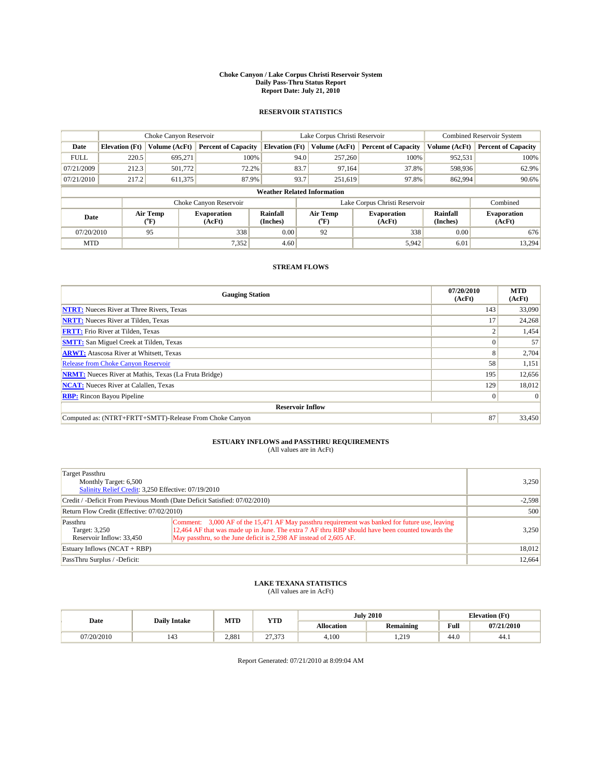#### **Choke Canyon / Lake Corpus Christi Reservoir System Daily Pass-Thru Status Report Report Date: July 21, 2010**

### **RESERVOIR STATISTICS**

|             |                       | Choke Canyon Reservoir                    |                              |                                    | Lake Corpus Christi Reservoir           |                               |                      | <b>Combined Reservoir System</b> |  |
|-------------|-----------------------|-------------------------------------------|------------------------------|------------------------------------|-----------------------------------------|-------------------------------|----------------------|----------------------------------|--|
| Date        | <b>Elevation</b> (Ft) | Volume (AcFt)                             | <b>Percent of Capacity</b>   | <b>Elevation (Ft)</b>              | Volume (AcFt)                           | <b>Percent of Capacity</b>    | Volume (AcFt)        | <b>Percent of Capacity</b>       |  |
| <b>FULL</b> | 220.5                 | 695.271                                   | 100%                         | 94.0                               | 257,260                                 | 100%                          | 952,531              | 100%                             |  |
| 07/21/2009  | 212.3                 | 501,772                                   | 72.2%                        | 83.7                               | 97,164                                  | 37.8%                         | 598,936              | 62.9%                            |  |
| 07/21/2010  | 217.2                 | 611,375                                   | 87.9%                        | 93.7                               | 251,619                                 | 97.8%                         | 862,994              | 90.6%                            |  |
|             |                       |                                           |                              | <b>Weather Related Information</b> |                                         |                               |                      |                                  |  |
|             |                       |                                           | Choke Canyon Reservoir       |                                    |                                         | Lake Corpus Christi Reservoir |                      | Combined                         |  |
| Date        |                       | Air Temp<br>$({}^{\mathrm{o}}\mathrm{F})$ | <b>Evaporation</b><br>(AcFt) | Rainfall<br>(Inches)               | Air Temp<br>$(^{\mathrm{o}}\mathrm{F})$ | <b>Evaporation</b><br>(AcFt)  | Rainfall<br>(Inches) | <b>Evaporation</b><br>(AcFt)     |  |
| 07/20/2010  |                       | 95                                        | 338                          | 0.00                               | 92                                      | 338                           | 0.00                 | 676                              |  |
| <b>MTD</b>  |                       |                                           | 7,352                        | 4.60                               |                                         | 5,942                         | 6.01                 | 13,294                           |  |

## **STREAM FLOWS**

| <b>Gauging Station</b>                                       | 07/20/2010<br>(AcFt) | <b>MTD</b><br>(AcFt) |  |  |  |  |  |
|--------------------------------------------------------------|----------------------|----------------------|--|--|--|--|--|
| <b>NTRT:</b> Nueces River at Three Rivers, Texas             | 143                  | 33,090               |  |  |  |  |  |
| <b>NRTT:</b> Nueces River at Tilden, Texas                   | 17                   | 24,268               |  |  |  |  |  |
| <b>FRTT:</b> Frio River at Tilden, Texas                     |                      | 1,454                |  |  |  |  |  |
| <b>SMTT:</b> San Miguel Creek at Tilden, Texas               |                      | 57                   |  |  |  |  |  |
| <b>ARWT:</b> Atascosa River at Whitsett, Texas               | 8                    | 2,704                |  |  |  |  |  |
| Release from Choke Canyon Reservoir                          | 58                   | 1,151                |  |  |  |  |  |
| <b>NRMT:</b> Nueces River at Mathis, Texas (La Fruta Bridge) | 195                  | 12,656               |  |  |  |  |  |
| <b>NCAT:</b> Nueces River at Calallen, Texas                 | 129                  | 18,012               |  |  |  |  |  |
| <b>RBP:</b> Rincon Bayou Pipeline                            | $\overline{0}$       | $\Omega$             |  |  |  |  |  |
| <b>Reservoir Inflow</b>                                      |                      |                      |  |  |  |  |  |
| Computed as: (NTRT+FRTT+SMTT)-Release From Choke Canyon      | 87                   | 33,450               |  |  |  |  |  |

## **ESTUARY INFLOWS and PASSTHRU REQUIREMENTS**

| (All values are in AcFt) |  |  |
|--------------------------|--|--|
|--------------------------|--|--|

| Target Passthru<br>Monthly Target: 6,500<br>Salinity Relief Credit: 3,250 Effective: 07/19/2010 | 3.250                                                                                                                                                                                                                                                                    |        |
|-------------------------------------------------------------------------------------------------|--------------------------------------------------------------------------------------------------------------------------------------------------------------------------------------------------------------------------------------------------------------------------|--------|
| Credit / -Deficit From Previous Month (Date Deficit Satisfied: 07/02/2010)                      | $-2,598$                                                                                                                                                                                                                                                                 |        |
| Return Flow Credit (Effective: 07/02/2010)                                                      | 500                                                                                                                                                                                                                                                                      |        |
| Passthru<br>Target: 3,250<br>Reservoir Inflow: 33.450                                           | Comment: 3,000 AF of the 15,471 AF May passthru requirement was banked for future use, leaving<br>12,464 AF that was made up in June. The extra 7 AF thru RBP should have been counted towards the<br>May passthru, so the June deficit is 2,598 AF instead of 2,605 AF. | 3.250  |
| Estuary Inflows (NCAT + RBP)                                                                    | 18,012                                                                                                                                                                                                                                                                   |        |
| PassThru Surplus / -Deficit:                                                                    |                                                                                                                                                                                                                                                                          | 12,664 |

## **LAKE TEXANA STATISTICS** (All values are in AcFt)

|            | <b>Daily Intake</b> | MTD   | <b>YTD</b>                | <b>July 2010</b> |                  | <b>Elevation</b> (Ft)                       |            |
|------------|---------------------|-------|---------------------------|------------------|------------------|---------------------------------------------|------------|
| Date       |                     |       |                           | Allocation       | <b>Remaining</b> | Full<br>the contract of the contract of the | 07/21/2010 |
| 07/20/2010 | 143                 | 2.881 | $\sim$<br>$\sim$<br>ر ر ب | 4.100            | 219<br>1.41      | 44.0                                        | 44.1       |

Report Generated: 07/21/2010 at 8:09:04 AM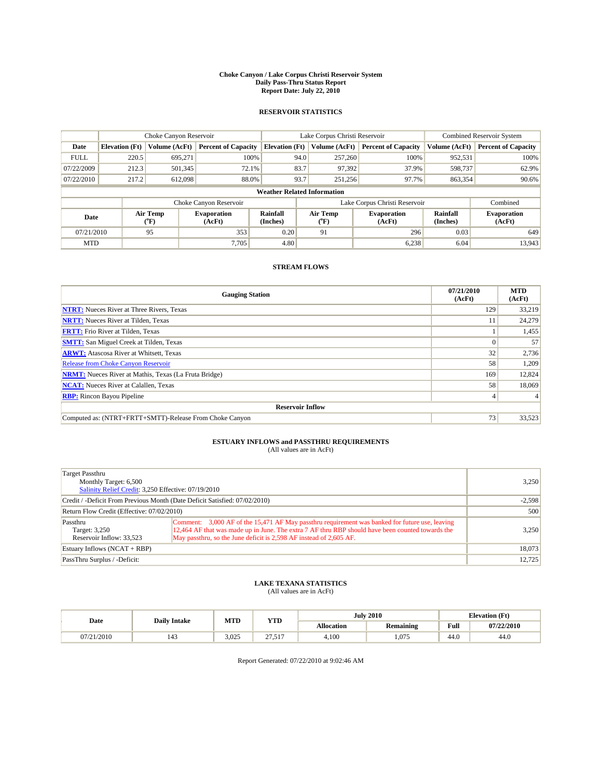#### **Choke Canyon / Lake Corpus Christi Reservoir System Daily Pass-Thru Status Report Report Date: July 22, 2010**

### **RESERVOIR STATISTICS**

|                                                                                                      |                       | Choke Canyon Reservoir       |                            |                                    | Lake Corpus Christi Reservoir |                               |               | <b>Combined Reservoir System</b> |  |
|------------------------------------------------------------------------------------------------------|-----------------------|------------------------------|----------------------------|------------------------------------|-------------------------------|-------------------------------|---------------|----------------------------------|--|
| Date                                                                                                 | <b>Elevation</b> (Ft) | Volume (AcFt)                | <b>Percent of Capacity</b> | <b>Elevation</b> (Ft)              | Volume (AcFt)                 | <b>Percent of Capacity</b>    | Volume (AcFt) | <b>Percent of Capacity</b>       |  |
| <b>FULL</b>                                                                                          | 220.5                 | 695.271                      | 100%                       | 94.0                               | 257,260                       | 100%                          | 952,531       | 100%                             |  |
| 07/22/2009                                                                                           | 212.3                 | 501,345                      | 72.1%                      | 83.7                               | 97,392                        | 37.9%                         | 598,737       | 62.9%                            |  |
| 07/22/2010                                                                                           | 217.2                 | 612,098                      | 88.0%                      | 93.7                               | 251,256                       | 97.7%                         | 863,354       | 90.6%                            |  |
|                                                                                                      |                       |                              |                            | <b>Weather Related Information</b> |                               |                               |               |                                  |  |
|                                                                                                      |                       |                              | Choke Canyon Reservoir     |                                    |                               | Lake Corpus Christi Reservoir |               | Combined                         |  |
| Air Temp<br>Air Temp<br>Rainfall<br><b>Evaporation</b><br>Date<br>(Inches)<br>(AcFt)<br>(°F)<br>("F) |                       | <b>Evaporation</b><br>(AcFt) | Rainfall<br>(Inches)       | <b>Evaporation</b><br>(AcFt)       |                               |                               |               |                                  |  |
| 07/21/2010                                                                                           |                       | 95                           | 353                        | 0.20                               | 91                            | 296                           | 0.03          | 649                              |  |
| <b>MTD</b>                                                                                           |                       |                              | 7.705                      | 4.80                               |                               | 6,238                         | 6.04          | 13,943                           |  |

## **STREAM FLOWS**

| <b>Gauging Station</b>                                       | 07/21/2010<br>(AcFt) | <b>MTD</b><br>(AcFt) |  |  |  |  |
|--------------------------------------------------------------|----------------------|----------------------|--|--|--|--|
| <b>NTRT:</b> Nueces River at Three Rivers, Texas             | 129                  | 33,219               |  |  |  |  |
| <b>NRTT:</b> Nueces River at Tilden, Texas                   | 11                   | 24,279               |  |  |  |  |
| <b>FRTT:</b> Frio River at Tilden, Texas                     |                      | 1,455                |  |  |  |  |
| <b>SMTT:</b> San Miguel Creek at Tilden, Texas               |                      | 57                   |  |  |  |  |
| <b>ARWT:</b> Atascosa River at Whitsett, Texas               | 32                   | 2,736                |  |  |  |  |
| Release from Choke Canyon Reservoir                          | 58                   | 1,209                |  |  |  |  |
| <b>NRMT:</b> Nueces River at Mathis, Texas (La Fruta Bridge) | 169                  | 12,824               |  |  |  |  |
| <b>NCAT:</b> Nueces River at Calallen, Texas                 | 58                   | 18,069               |  |  |  |  |
| <b>RBP:</b> Rincon Bayou Pipeline                            | 4                    |                      |  |  |  |  |
| <b>Reservoir Inflow</b>                                      |                      |                      |  |  |  |  |
| Computed as: (NTRT+FRTT+SMTT)-Release From Choke Canyon      | 73                   | 33,523               |  |  |  |  |

## **ESTUARY INFLOWS and PASSTHRU REQUIREMENTS**

| (All values are in AcFt) |  |  |
|--------------------------|--|--|
|--------------------------|--|--|

| Target Passthru<br>Monthly Target: 6,500<br>Salinity Relief Credit: 3,250 Effective: 07/19/2010 | 3,250                                                                                                                                                                                                                                                                    |        |
|-------------------------------------------------------------------------------------------------|--------------------------------------------------------------------------------------------------------------------------------------------------------------------------------------------------------------------------------------------------------------------------|--------|
| Credit / -Deficit From Previous Month (Date Deficit Satisfied: 07/02/2010)                      | $-2,598$                                                                                                                                                                                                                                                                 |        |
| Return Flow Credit (Effective: 07/02/2010)                                                      | 500                                                                                                                                                                                                                                                                      |        |
| Passthru<br>Target: 3,250<br>Reservoir Inflow: 33,523                                           | Comment: 3,000 AF of the 15,471 AF May passthru requirement was banked for future use, leaving<br>12,464 AF that was made up in June. The extra 7 AF thru RBP should have been counted towards the<br>May passthru, so the June deficit is 2,598 AF instead of 2,605 AF. | 3,250  |
| Estuary Inflows $(NCAT + RBP)$                                                                  | 18,073                                                                                                                                                                                                                                                                   |        |
| PassThru Surplus / -Deficit:                                                                    |                                                                                                                                                                                                                                                                          | 12,725 |

## **LAKE TEXANA STATISTICS** (All values are in AcFt)

|            | <b>Daily Intake</b> | MTD   | <b>YTD</b>      |                   | <b>July 2010</b> |                                         | <b>Elevation</b> (Ft) |  |
|------------|---------------------|-------|-----------------|-------------------|------------------|-----------------------------------------|-----------------------|--|
| Date       |                     |       |                 | <b>Allocation</b> | <b>Remaining</b> | Full<br>the contract of the contract of | 07/22/2010            |  |
| 07/21/2010 | 143                 | 3.025 | $\sim$<br>21.91 | 4.100             | .075             | 44.0                                    | 44.0                  |  |

Report Generated: 07/22/2010 at 9:02:46 AM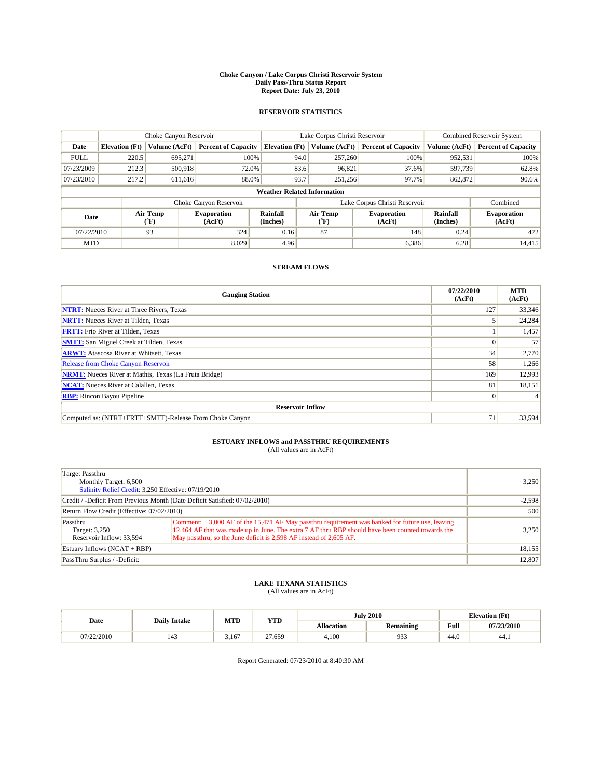#### **Choke Canyon / Lake Corpus Christi Reservoir System Daily Pass-Thru Status Report Report Date: July 23, 2010**

### **RESERVOIR STATISTICS**

|                                                                                                      |                       | Choke Canyon Reservoir       |                            |                                    | Lake Corpus Christi Reservoir |                               |               | <b>Combined Reservoir System</b> |  |
|------------------------------------------------------------------------------------------------------|-----------------------|------------------------------|----------------------------|------------------------------------|-------------------------------|-------------------------------|---------------|----------------------------------|--|
| Date                                                                                                 | <b>Elevation</b> (Ft) | Volume (AcFt)                | <b>Percent of Capacity</b> | <b>Elevation</b> (Ft)              | Volume (AcFt)                 | <b>Percent of Capacity</b>    | Volume (AcFt) | <b>Percent of Capacity</b>       |  |
| <b>FULL</b>                                                                                          | 220.5                 | 695.271                      | 100%                       | 94.0                               | 257,260                       | 100%                          | 952,531       | 100%                             |  |
| 07/23/2009                                                                                           | 212.3                 | 500,918                      | 72.0%                      | 83.6                               | 96,821                        | 37.6%                         | 597,739       | 62.8%                            |  |
| 07/23/2010                                                                                           | 217.2                 | 611,616                      | 88.0%                      | 93.7                               | 251,256                       | 97.7%                         | 862,872       | 90.6%                            |  |
|                                                                                                      |                       |                              |                            | <b>Weather Related Information</b> |                               |                               |               |                                  |  |
|                                                                                                      |                       |                              | Choke Canyon Reservoir     |                                    |                               | Lake Corpus Christi Reservoir |               | Combined                         |  |
| Air Temp<br>Air Temp<br>Rainfall<br><b>Evaporation</b><br>Date<br>(Inches)<br>(AcFt)<br>(°F)<br>("F) |                       | <b>Evaporation</b><br>(AcFt) | Rainfall<br>(Inches)       | <b>Evaporation</b><br>(AcFt)       |                               |                               |               |                                  |  |
| 07/22/2010                                                                                           |                       | 93                           | 324                        | 0.16                               | 87                            | 148                           | 0.24          | 472                              |  |
| <b>MTD</b>                                                                                           |                       |                              | 8.029                      | 4.96                               |                               | 6,386                         | 6.28          | 14,415                           |  |

## **STREAM FLOWS**

| <b>Gauging Station</b>                                       | 07/22/2010<br>(AcFt) | <b>MTD</b><br>(AcFt) |  |  |  |  |
|--------------------------------------------------------------|----------------------|----------------------|--|--|--|--|
| <b>NTRT:</b> Nueces River at Three Rivers, Texas             | 127                  | 33,346               |  |  |  |  |
| <b>NRTT:</b> Nueces River at Tilden, Texas                   |                      | 24,284               |  |  |  |  |
| <b>FRTT:</b> Frio River at Tilden, Texas                     |                      | 1,457                |  |  |  |  |
| <b>SMTT:</b> San Miguel Creek at Tilden, Texas               |                      | 57                   |  |  |  |  |
| <b>ARWT:</b> Atascosa River at Whitsett, Texas               | 34                   | 2,770                |  |  |  |  |
| Release from Choke Canyon Reservoir                          | 58                   | 1,266                |  |  |  |  |
| <b>NRMT:</b> Nueces River at Mathis, Texas (La Fruta Bridge) | 169                  | 12,993               |  |  |  |  |
| <b>NCAT:</b> Nueces River at Calallen, Texas                 | 81                   | 18,151               |  |  |  |  |
| <b>RBP:</b> Rincon Bayou Pipeline                            | $\overline{0}$       |                      |  |  |  |  |
| <b>Reservoir Inflow</b>                                      |                      |                      |  |  |  |  |
| Computed as: (NTRT+FRTT+SMTT)-Release From Choke Canyon      | 71                   | 33,594               |  |  |  |  |

## **ESTUARY INFLOWS and PASSTHRU REQUIREMENTS**

| (All values are in AcFt) |  |  |
|--------------------------|--|--|
|--------------------------|--|--|

| Target Passthru<br>Monthly Target: 6,500<br>Salinity Relief Credit: 3,250 Effective: 07/19/2010 | 3.250                                                                                                                                                                                                                                                                    |          |
|-------------------------------------------------------------------------------------------------|--------------------------------------------------------------------------------------------------------------------------------------------------------------------------------------------------------------------------------------------------------------------------|----------|
| Credit / -Deficit From Previous Month (Date Deficit Satisfied: 07/02/2010)                      |                                                                                                                                                                                                                                                                          | $-2,598$ |
| Return Flow Credit (Effective: 07/02/2010)                                                      | 500                                                                                                                                                                                                                                                                      |          |
| Passthru<br>Target: 3,250<br>Reservoir Inflow: 33,594                                           | Comment: 3,000 AF of the 15,471 AF May passthru requirement was banked for future use, leaving<br>12,464 AF that was made up in June. The extra 7 AF thru RBP should have been counted towards the<br>May passthru, so the June deficit is 2,598 AF instead of 2,605 AF. | 3.250    |
| Estuary Inflows (NCAT + RBP)                                                                    | 18,155                                                                                                                                                                                                                                                                   |          |
| PassThru Surplus / -Deficit:                                                                    |                                                                                                                                                                                                                                                                          | 12,807   |

## **LAKE TEXANA STATISTICS** (All values are in AcFt)

|            |                     | MTD   | <b>YTD</b> |                   | <b>July 2010</b> |                                         | <b>Elevation</b> (Ft) |
|------------|---------------------|-------|------------|-------------------|------------------|-----------------------------------------|-----------------------|
| Date       | <b>Daily Intake</b> |       |            | <b>Allocation</b> | Remaining        | Full<br>the contract of the contract of | 07/23/2010            |
| 07/22/2010 | $\Lambda$<br>143    | 3.167 | 27.659     | 4.100             | 933              | 44.0                                    | 44.1                  |

Report Generated: 07/23/2010 at 8:40:30 AM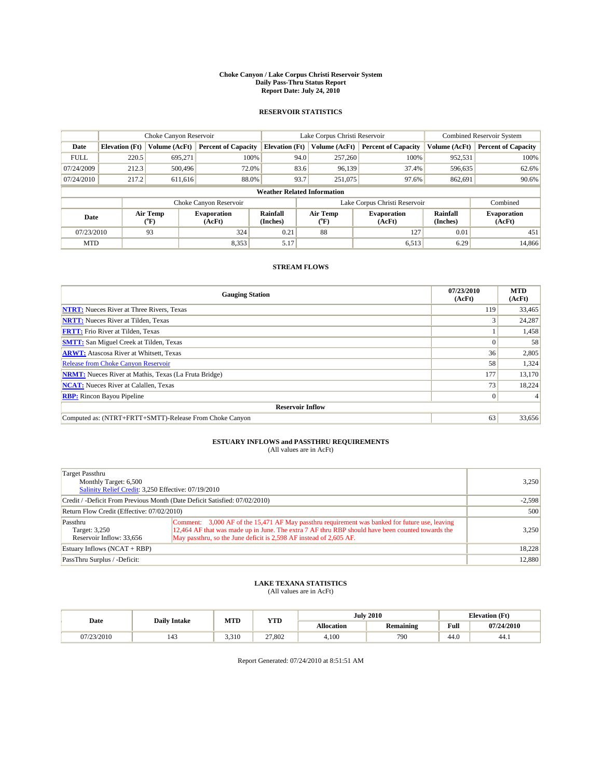#### **Choke Canyon / Lake Corpus Christi Reservoir System Daily Pass-Thru Status Report Report Date: July 24, 2010**

### **RESERVOIR STATISTICS**

|             | Choke Canyon Reservoir |                  |                              |                                    | Lake Corpus Christi Reservoir                    | <b>Combined Reservoir System</b> |                      |                              |
|-------------|------------------------|------------------|------------------------------|------------------------------------|--------------------------------------------------|----------------------------------|----------------------|------------------------------|
| Date        | <b>Elevation</b> (Ft)  | Volume (AcFt)    | <b>Percent of Capacity</b>   | <b>Elevation</b> (Ft)              | Volume (AcFt)                                    | <b>Percent of Capacity</b>       | Volume (AcFt)        | <b>Percent of Capacity</b>   |
| <b>FULL</b> | 220.5                  | 695.271          | 100%                         | 94.0                               | 257,260                                          | 100%                             | 952,531              | 100%                         |
| 07/24/2009  | 212.3                  | 500,496          | 72.0%                        | 83.6                               | 96.139                                           | 37.4%                            | 596,635              | 62.6%                        |
| 07/24/2010  | 217.2                  | 611,616          | 88.0%                        | 93.7                               | 251,075                                          | 97.6%                            | 862,691              | 90.6%                        |
|             |                        |                  |                              | <b>Weather Related Information</b> |                                                  |                                  |                      |                              |
|             |                        |                  | Choke Canyon Reservoir       |                                    |                                                  | Lake Corpus Christi Reservoir    |                      | Combined                     |
| Date        |                        | Air Temp<br>(°F) | <b>Evaporation</b><br>(AcFt) | Rainfall<br>(Inches)               | Air Temp<br><b>Evaporation</b><br>(AcFt)<br>("F) |                                  | Rainfall<br>(Inches) | <b>Evaporation</b><br>(AcFt) |
| 07/23/2010  |                        | 93               | 324                          | 0.21                               | 88                                               | 127                              | 0.01                 | 451                          |
| <b>MTD</b>  |                        |                  | 8,353                        | 5.17                               |                                                  | 6,513                            | 6.29                 | 14.866                       |

## **STREAM FLOWS**

| <b>Gauging Station</b>                                       | 07/23/2010<br>(AcFt) | <b>MTD</b><br>(AcFt) |
|--------------------------------------------------------------|----------------------|----------------------|
| <b>NTRT:</b> Nueces River at Three Rivers, Texas             | 119 <sup> </sup>     | 33,465               |
| <b>NRTT:</b> Nueces River at Tilden, Texas                   |                      | 24,287               |
| <b>FRTT:</b> Frio River at Tilden, Texas                     |                      | 1,458                |
| <b>SMTT:</b> San Miguel Creek at Tilden, Texas               |                      | 58                   |
| <b>ARWT:</b> Atascosa River at Whitsett, Texas               | 36                   | 2,805                |
| Release from Choke Canyon Reservoir                          | 58                   | 1,324                |
| <b>NRMT:</b> Nueces River at Mathis, Texas (La Fruta Bridge) | 177                  | 13,170               |
| <b>NCAT:</b> Nueces River at Calallen, Texas                 | 73                   | 18,224               |
| <b>RBP:</b> Rincon Bayou Pipeline                            | $\overline{0}$       |                      |
| <b>Reservoir Inflow</b>                                      |                      |                      |
| Computed as: (NTRT+FRTT+SMTT)-Release From Choke Canyon      | 63                   | 33,656               |

# **ESTUARY INFLOWS and PASSTHRU REQUIREMENTS**<br>(All values are in AcFt)

| Target Passthru<br>Monthly Target: 6,500<br>Salinity Relief Credit: 3,250 Effective: 07/19/2010 | 3,250                                                                                                                                                                                                                                                                    |          |
|-------------------------------------------------------------------------------------------------|--------------------------------------------------------------------------------------------------------------------------------------------------------------------------------------------------------------------------------------------------------------------------|----------|
| Credit / -Deficit From Previous Month (Date Deficit Satisfied: 07/02/2010)                      |                                                                                                                                                                                                                                                                          | $-2,598$ |
| Return Flow Credit (Effective: 07/02/2010)                                                      | 500                                                                                                                                                                                                                                                                      |          |
| Passthru<br>Target: 3,250<br>Reservoir Inflow: 33,656                                           | Comment: 3,000 AF of the 15,471 AF May passthru requirement was banked for future use, leaving<br>12,464 AF that was made up in June. The extra 7 AF thru RBP should have been counted towards the<br>May passthru, so the June deficit is 2,598 AF instead of 2,605 AF. | 3,250    |
| Estuary Inflows (NCAT + RBP)                                                                    | 18,228                                                                                                                                                                                                                                                                   |          |
| PassThru Surplus / -Deficit:                                                                    |                                                                                                                                                                                                                                                                          | 12,880   |

## **LAKE TEXANA STATISTICS** (All values are in AcFt)

|            |                     | MTD   | <b>YTD</b> |            | <b>July 2010</b> |                                             | <b>Elevation</b> (Ft) |
|------------|---------------------|-------|------------|------------|------------------|---------------------------------------------|-----------------------|
| Date       | <b>Daily Intake</b> |       |            | Allocation | <b>Remaining</b> | Full<br>the contract of the contract of the | 07/24/2010            |
| 07/23/2010 | 143                 | 3.310 | 27.802     | 4.100      | 790              | 44.0                                        | 44.1                  |

Report Generated: 07/24/2010 at 8:51:51 AM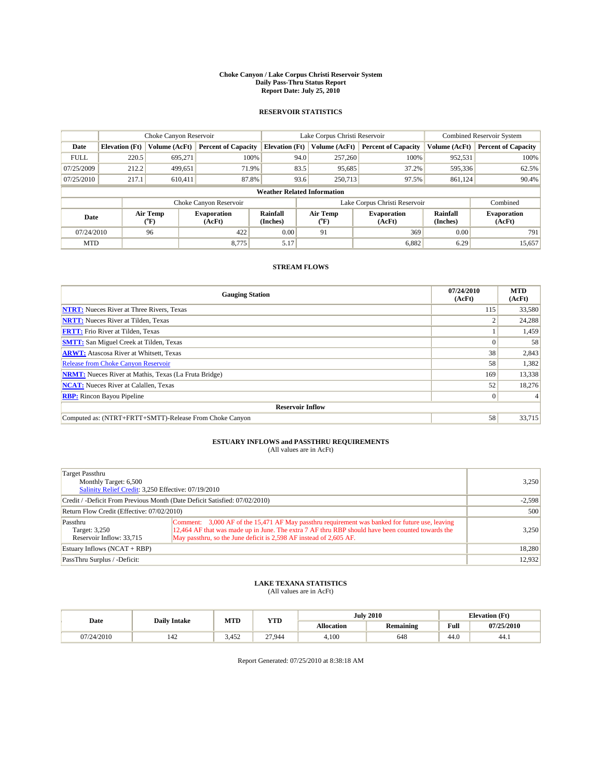#### **Choke Canyon / Lake Corpus Christi Reservoir System Daily Pass-Thru Status Report Report Date: July 25, 2010**

### **RESERVOIR STATISTICS**

|             | Choke Canyon Reservoir |                  |                              |                                    | Lake Corpus Christi Reservoir                    | <b>Combined Reservoir System</b> |                      |                              |
|-------------|------------------------|------------------|------------------------------|------------------------------------|--------------------------------------------------|----------------------------------|----------------------|------------------------------|
| Date        | <b>Elevation</b> (Ft)  | Volume (AcFt)    | <b>Percent of Capacity</b>   | <b>Elevation</b> (Ft)              | Volume (AcFt)                                    | <b>Percent of Capacity</b>       | Volume (AcFt)        | <b>Percent of Capacity</b>   |
| <b>FULL</b> | 220.5                  | 695.271          | 100%                         |                                    | 94.0<br>257,260                                  | 100%                             | 952,531              | 100%                         |
| 07/25/2009  | 212.2                  | 499,651          | 71.9%                        | 83.5                               | 95,685                                           | 37.2%                            | 595,336              | 62.5%                        |
| 07/25/2010  | 217.1                  | 610.411          | 87.8%                        |                                    | 93.6<br>250,713                                  | 97.5%                            | 861,124              | 90.4%                        |
|             |                        |                  |                              | <b>Weather Related Information</b> |                                                  |                                  |                      |                              |
|             |                        |                  | Choke Canyon Reservoir       |                                    | Lake Corpus Christi Reservoir                    |                                  |                      | Combined                     |
| Date        |                        | Air Temp<br>(°F) | <b>Evaporation</b><br>(AcFt) | Rainfall<br>(Inches)               | Air Temp<br><b>Evaporation</b><br>(AcFt)<br>("F) |                                  | Rainfall<br>(Inches) | <b>Evaporation</b><br>(AcFt) |
| 07/24/2010  |                        | 96               | 422                          | 0.00                               | 91                                               | 369                              | 0.00                 | 791                          |
| <b>MTD</b>  |                        |                  | 8.775                        | 5.17                               |                                                  | 6,882                            | 6.29                 | 15,657                       |

## **STREAM FLOWS**

| <b>Gauging Station</b>                                       | 07/24/2010<br>(AcFt) | <b>MTD</b><br>(AcFt) |
|--------------------------------------------------------------|----------------------|----------------------|
| <b>NTRT:</b> Nueces River at Three Rivers, Texas             | 115                  | 33,580               |
| <b>NRTT:</b> Nueces River at Tilden, Texas                   |                      | 24,288               |
| <b>FRTT:</b> Frio River at Tilden, Texas                     |                      | 1,459                |
| <b>SMTT:</b> San Miguel Creek at Tilden, Texas               |                      | 58                   |
| <b>ARWT:</b> Atascosa River at Whitsett, Texas               | 38                   | 2,843                |
| Release from Choke Canyon Reservoir                          | 58                   | 1,382                |
| <b>NRMT:</b> Nueces River at Mathis, Texas (La Fruta Bridge) | 169                  | 13,338               |
| <b>NCAT:</b> Nueces River at Calallen, Texas                 | 52                   | 18,276               |
| <b>RBP:</b> Rincon Bayou Pipeline                            | $\overline{0}$       |                      |
| <b>Reservoir Inflow</b>                                      |                      |                      |
| Computed as: (NTRT+FRTT+SMTT)-Release From Choke Canyon      | 58                   | 33,715               |

# **ESTUARY INFLOWS and PASSTHRU REQUIREMENTS**<br>(All values are in AcFt)

| Target Passthru<br>Monthly Target: 6,500<br>Salinity Relief Credit: 3,250 Effective: 07/19/2010 | 3,250                                                                                                                                                                                                                                                                    |          |
|-------------------------------------------------------------------------------------------------|--------------------------------------------------------------------------------------------------------------------------------------------------------------------------------------------------------------------------------------------------------------------------|----------|
| Credit / -Deficit From Previous Month (Date Deficit Satisfied: 07/02/2010)                      |                                                                                                                                                                                                                                                                          | $-2,598$ |
| Return Flow Credit (Effective: 07/02/2010)                                                      | 500                                                                                                                                                                                                                                                                      |          |
| Passthru<br>Target: 3,250<br>Reservoir Inflow: 33,715                                           | Comment: 3,000 AF of the 15,471 AF May passthru requirement was banked for future use, leaving<br>12,464 AF that was made up in June. The extra 7 AF thru RBP should have been counted towards the<br>May passthru, so the June deficit is 2,598 AF instead of 2,605 AF. | 3.250    |
| Estuary Inflows (NCAT + RBP)                                                                    | 18,280                                                                                                                                                                                                                                                                   |          |
| PassThru Surplus / -Deficit:                                                                    |                                                                                                                                                                                                                                                                          | 12,932   |

## **LAKE TEXANA STATISTICS** (All values are in AcFt)

|            |                     | MTD   | <b>YTD</b> |            | <b>July 2010</b> | <b>Elevation</b> (Ft) |            |
|------------|---------------------|-------|------------|------------|------------------|-----------------------|------------|
| Date       | <b>Daily Intake</b> |       |            | Allocation | <b>Remaining</b> | Full                  | 07/25/2010 |
| 07/24/2010 | 142                 | 3.452 | 27.944     | 4.100      | 648              | $\sqrt{ }$<br>44.0    | 44.1       |

Report Generated: 07/25/2010 at 8:38:18 AM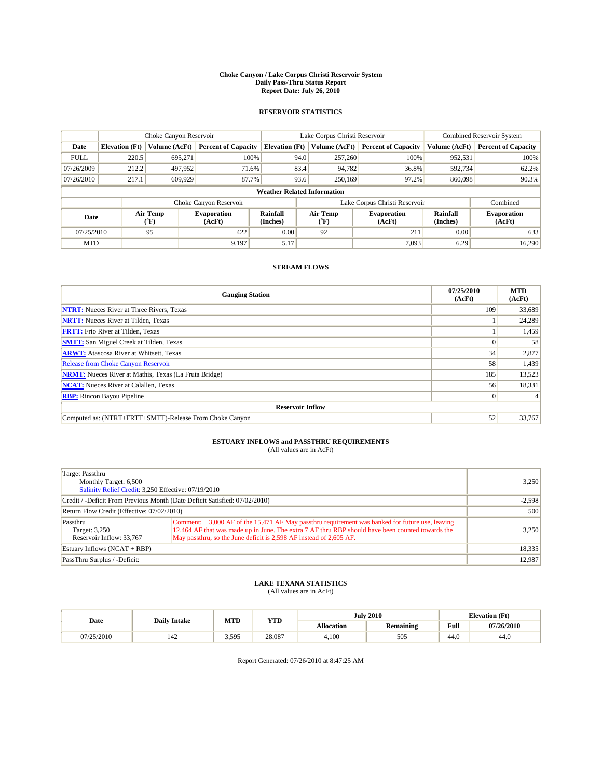#### **Choke Canyon / Lake Corpus Christi Reservoir System Daily Pass-Thru Status Report Report Date: July 26, 2010**

### **RESERVOIR STATISTICS**

|             | Choke Canyon Reservoir |                  |                              |                                                                          | Lake Corpus Christi Reservoir |                      |                               |               | <b>Combined Reservoir System</b> |  |
|-------------|------------------------|------------------|------------------------------|--------------------------------------------------------------------------|-------------------------------|----------------------|-------------------------------|---------------|----------------------------------|--|
| Date        | <b>Elevation</b> (Ft)  | Volume (AcFt)    | <b>Percent of Capacity</b>   | <b>Elevation</b> (Ft)                                                    |                               | Volume (AcFt)        | <b>Percent of Capacity</b>    | Volume (AcFt) | <b>Percent of Capacity</b>       |  |
| <b>FULL</b> | 220.5                  | 695.271          | 100%                         |                                                                          | 94.0                          | 257,260              | 100%                          | 952,531       | 100%                             |  |
| 07/26/2009  | 212.2                  | 497,952          | 71.6%                        |                                                                          | 83.4                          | 94,782               | 36.8%                         | 592,734       | 62.2%                            |  |
| 07/26/2010  | 217.1                  | 609,929          | 87.7%                        |                                                                          | 93.6                          | 250,169              | 97.2%                         | 860,098       | 90.3%                            |  |
|             |                        |                  |                              | <b>Weather Related Information</b>                                       |                               |                      |                               |               |                                  |  |
|             |                        |                  | Choke Canyon Reservoir       |                                                                          |                               |                      | Lake Corpus Christi Reservoir |               | Combined                         |  |
| Date        |                        | Air Temp<br>(°F) | <b>Evaporation</b><br>(AcFt) | Air Temp<br>Rainfall<br><b>Evaporation</b><br>(Inches)<br>(AcFt)<br>("F) |                               | Rainfall<br>(Inches) | <b>Evaporation</b><br>(AcFt)  |               |                                  |  |
| 07/25/2010  |                        | 95               | 422                          | 0.00                                                                     |                               | 92                   | 211                           | 0.00          | 633                              |  |
| <b>MTD</b>  |                        |                  | 9.197                        | 5.17                                                                     |                               |                      | 7.093                         | 6.29          | 16.290                           |  |

## **STREAM FLOWS**

| <b>Gauging Station</b>                                       | 07/25/2010<br>(AcFt) | <b>MTD</b><br>(AcFt) |
|--------------------------------------------------------------|----------------------|----------------------|
| <b>NTRT:</b> Nueces River at Three Rivers, Texas             | 109                  | 33,689               |
| <b>NRTT:</b> Nueces River at Tilden, Texas                   |                      | 24,289               |
| <b>FRTT:</b> Frio River at Tilden, Texas                     |                      | 1,459                |
| <b>SMTT:</b> San Miguel Creek at Tilden, Texas               |                      | 58                   |
| <b>ARWT:</b> Atascosa River at Whitsett, Texas               | 34                   | 2,877                |
| Release from Choke Canyon Reservoir                          | 58                   | 1,439                |
| <b>NRMT:</b> Nueces River at Mathis, Texas (La Fruta Bridge) | 185                  | 13,523               |
| <b>NCAT:</b> Nueces River at Calallen, Texas                 | 56                   | 18,331               |
| <b>RBP:</b> Rincon Bayou Pipeline                            | $\overline{0}$       |                      |
| <b>Reservoir Inflow</b>                                      |                      |                      |
| Computed as: (NTRT+FRTT+SMTT)-Release From Choke Canyon      | 52                   | 33,767               |

# **ESTUARY INFLOWS and PASSTHRU REQUIREMENTS**<br>(All values are in AcFt)

| Target Passthru<br>Monthly Target: 6,500<br>Salinity Relief Credit: 3,250 Effective: 07/19/2010 | 3,250                                                                                                                                                                                                                                                                    |        |
|-------------------------------------------------------------------------------------------------|--------------------------------------------------------------------------------------------------------------------------------------------------------------------------------------------------------------------------------------------------------------------------|--------|
| Credit / -Deficit From Previous Month (Date Deficit Satisfied: 07/02/2010)                      | $-2,598$                                                                                                                                                                                                                                                                 |        |
| Return Flow Credit (Effective: 07/02/2010)                                                      | 500                                                                                                                                                                                                                                                                      |        |
| Passthru<br>Target: 3,250<br>Reservoir Inflow: 33,767                                           | Comment: 3,000 AF of the 15,471 AF May passthru requirement was banked for future use, leaving<br>12,464 AF that was made up in June. The extra 7 AF thru RBP should have been counted towards the<br>May passthru, so the June deficit is 2,598 AF instead of 2,605 AF. | 3,250  |
| Estuary Inflows $(NCAT + RBP)$                                                                  | 18,335                                                                                                                                                                                                                                                                   |        |
| PassThru Surplus / -Deficit:                                                                    |                                                                                                                                                                                                                                                                          | 12,987 |

## **LAKE TEXANA STATISTICS** (All values are in AcFt)

|            |                     | MTD   | <b>YTD</b> |            | <b>July 2010</b> |                                             | <b>Elevation</b> (Ft) |
|------------|---------------------|-------|------------|------------|------------------|---------------------------------------------|-----------------------|
| Date       | <b>Daily Intake</b> |       |            | Allocation | <b>Remaining</b> | Full<br>the contract of the contract of the | 07/26/2010            |
| 07/25/2010 | 142                 | 3.595 | 28,087     | 4.100      | 505              | 44.0                                        | 44.0                  |

Report Generated: 07/26/2010 at 8:47:25 AM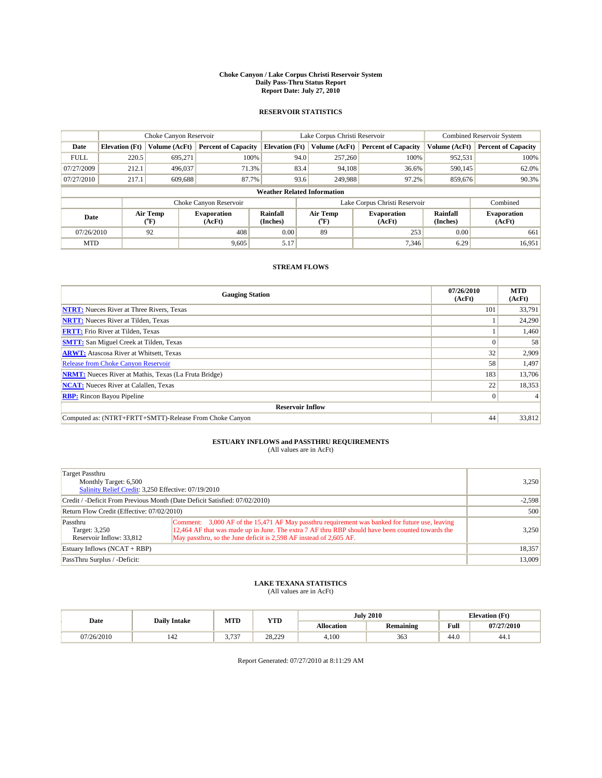#### **Choke Canyon / Lake Corpus Christi Reservoir System Daily Pass-Thru Status Report Report Date: July 27, 2010**

### **RESERVOIR STATISTICS**

|             | Choke Canyon Reservoir |                  |                              |                                    | Lake Corpus Christi Reservoir |                  |                               |                      | <b>Combined Reservoir System</b> |  |
|-------------|------------------------|------------------|------------------------------|------------------------------------|-------------------------------|------------------|-------------------------------|----------------------|----------------------------------|--|
| Date        | <b>Elevation</b> (Ft)  | Volume (AcFt)    | <b>Percent of Capacity</b>   | <b>Elevation</b> (Ft)              |                               | Volume (AcFt)    | <b>Percent of Capacity</b>    | Volume (AcFt)        | <b>Percent of Capacity</b>       |  |
| <b>FULL</b> | 220.5                  | 695.271          | 100%                         |                                    | 94.0                          | 257,260          | 100%                          | 952,531              | 100%                             |  |
| 07/27/2009  | 212.1                  | 496,037          | 71.3%                        |                                    | 83.4                          | 94,108           | 36.6%                         | 590,145              | 62.0%                            |  |
| 07/27/2010  | 217.1                  | 609,688          | 87.7%                        |                                    | 93.6                          | 249,988          | 97.2%                         | 859,676              | 90.3%                            |  |
|             |                        |                  |                              | <b>Weather Related Information</b> |                               |                  |                               |                      |                                  |  |
|             |                        |                  | Choke Canyon Reservoir       |                                    |                               |                  | Lake Corpus Christi Reservoir |                      | Combined                         |  |
| Date        |                        | Air Temp<br>(°F) | <b>Evaporation</b><br>(AcFt) | Rainfall<br>(Inches)               |                               | Air Temp<br>("F) | <b>Evaporation</b><br>(AcFt)  | Rainfall<br>(Inches) | <b>Evaporation</b><br>(AcFt)     |  |
| 07/26/2010  |                        | 92               | 408                          | 0.00                               |                               | 89               | 253                           | 0.00                 | 661                              |  |
| <b>MTD</b>  |                        |                  | 9,605                        | 5.17                               |                               |                  | 7,346                         | 6.29                 | 16,951                           |  |

## **STREAM FLOWS**

| <b>Gauging Station</b>                                       | 07/26/2010<br>(AcFt) | <b>MTD</b><br>(AcFt) |
|--------------------------------------------------------------|----------------------|----------------------|
| <b>NTRT:</b> Nueces River at Three Rivers, Texas             | 101                  | 33,791               |
| <b>NRTT:</b> Nueces River at Tilden, Texas                   |                      | 24,290               |
| <b>FRTT:</b> Frio River at Tilden, Texas                     |                      | 1,460                |
| <b>SMTT:</b> San Miguel Creek at Tilden, Texas               |                      | 58                   |
| <b>ARWT:</b> Atascosa River at Whitsett, Texas               | 32                   | 2,909                |
| <b>Release from Choke Canyon Reservoir</b>                   | 58                   | 1,497                |
| <b>NRMT:</b> Nueces River at Mathis, Texas (La Fruta Bridge) | 183                  | 13,706               |
| <b>NCAT:</b> Nueces River at Calallen, Texas                 | 22                   | 18,353               |
| <b>RBP:</b> Rincon Bayou Pipeline                            | $\vert 0 \vert$      |                      |
| <b>Reservoir Inflow</b>                                      |                      |                      |
| Computed as: (NTRT+FRTT+SMTT)-Release From Choke Canyon      | 44                   | 33,812               |

# **ESTUARY INFLOWS and PASSTHRU REQUIREMENTS**<br>(All values are in AcFt)

| Target Passthru<br>Monthly Target: 6,500<br>Salinity Relief Credit: 3,250 Effective: 07/19/2010 |                                                                                                                                                                                                                                                                          |        |  |  |  |
|-------------------------------------------------------------------------------------------------|--------------------------------------------------------------------------------------------------------------------------------------------------------------------------------------------------------------------------------------------------------------------------|--------|--|--|--|
| Credit / -Deficit From Previous Month (Date Deficit Satisfied: 07/02/2010)                      | $-2,598$                                                                                                                                                                                                                                                                 |        |  |  |  |
| Return Flow Credit (Effective: 07/02/2010)                                                      | 500                                                                                                                                                                                                                                                                      |        |  |  |  |
| Passthru<br>Target: 3,250<br>Reservoir Inflow: 33,812                                           | Comment: 3,000 AF of the 15,471 AF May passthru requirement was banked for future use, leaving<br>12,464 AF that was made up in June. The extra 7 AF thru RBP should have been counted towards the<br>May passthru, so the June deficit is 2,598 AF instead of 2,605 AF. | 3,250  |  |  |  |
| Estuary Inflows (NCAT + RBP)                                                                    | 18,357                                                                                                                                                                                                                                                                   |        |  |  |  |
| PassThru Surplus / -Deficit:                                                                    |                                                                                                                                                                                                                                                                          | 13,009 |  |  |  |

## **LAKE TEXANA STATISTICS** (All values are in AcFt)

|            | MTD                 |                | <b>YTD</b> |            | <b>July 2010</b> | <b>Elevation</b> (Ft) |            |  |
|------------|---------------------|----------------|------------|------------|------------------|-----------------------|------------|--|
| Date       | <b>Daily Intake</b> |                |            | Allocation | <b>Remaining</b> | Full                  | 07/27/2010 |  |
| 07/26/2010 | 142                 | 727<br>، د ، . | 28,229     | 4.100      | 363              | $\sim$<br>44.0        | 44.1       |  |

Report Generated: 07/27/2010 at 8:11:29 AM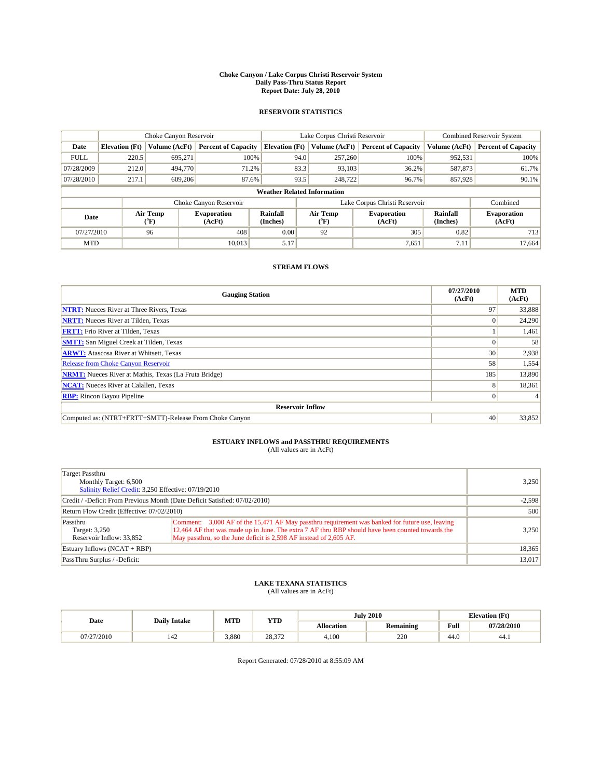#### **Choke Canyon / Lake Corpus Christi Reservoir System Daily Pass-Thru Status Report Report Date: July 28, 2010**

### **RESERVOIR STATISTICS**

|             | Choke Canyon Reservoir |                                |                              |                                    | Lake Corpus Christi Reservoir |               |                               |                      | <b>Combined Reservoir System</b> |  |
|-------------|------------------------|--------------------------------|------------------------------|------------------------------------|-------------------------------|---------------|-------------------------------|----------------------|----------------------------------|--|
| Date        | <b>Elevation</b> (Ft)  | Volume (AcFt)                  | <b>Percent of Capacity</b>   | <b>Elevation</b> (Ft)              |                               | Volume (AcFt) | <b>Percent of Capacity</b>    | Volume (AcFt)        | <b>Percent of Capacity</b>       |  |
| <b>FULL</b> | 220.5                  | 695,271                        | 100%                         |                                    | 94.0                          | 257,260       | 100%                          | 952,531              | 100%                             |  |
| 07/28/2009  | 212.0                  | 494,770                        | 71.2%                        |                                    | 83.3                          | 93,103        | 36.2%                         | 587,873              | 61.7%                            |  |
| 07/28/2010  | 217.1                  | 609,206                        | 87.6%                        |                                    | 93.5                          | 248,722       | 96.7%                         | 857,928              | 90.1%                            |  |
|             |                        |                                |                              | <b>Weather Related Information</b> |                               |               |                               |                      |                                  |  |
|             |                        |                                | Choke Canyon Reservoir       |                                    |                               |               | Lake Corpus Christi Reservoir |                      | Combined                         |  |
| Date        |                        | Air Temp<br>$({}^o\mathrm{F})$ | <b>Evaporation</b><br>(AcFt) | Rainfall<br>(Inches)               | Air Temp<br>(°F)              |               | <b>Evaporation</b><br>(AcFt)  | Rainfall<br>(Inches) | <b>Evaporation</b><br>(AcFt)     |  |
| 07/27/2010  |                        | 96                             | 408                          | 0.00                               | 92                            |               | 305                           | 0.82                 | 713                              |  |
| <b>MTD</b>  |                        |                                | 10.013                       | 5.17                               |                               |               | 7,651                         | 7.11                 | 17.664                           |  |

## **STREAM FLOWS**

| <b>Gauging Station</b>                                       | 07/27/2010<br>(AcFt) | <b>MTD</b><br>(AcFt) |
|--------------------------------------------------------------|----------------------|----------------------|
| <b>NTRT:</b> Nueces River at Three Rivers, Texas             | 97                   | 33,888               |
| <b>NRTT:</b> Nueces River at Tilden, Texas                   | $\Omega$             | 24,290               |
| <b>FRTT:</b> Frio River at Tilden, Texas                     |                      | 1,461                |
| <b>SMTT:</b> San Miguel Creek at Tilden, Texas               |                      | 58                   |
| <b>ARWT:</b> Atascosa River at Whitsett, Texas               | 30 <sup>1</sup>      | 2,938                |
| <b>Release from Choke Canyon Reservoir</b>                   | 58                   | 1,554                |
| <b>NRMT:</b> Nueces River at Mathis, Texas (La Fruta Bridge) | 185                  | 13,890               |
| <b>NCAT:</b> Nueces River at Calallen, Texas                 | 8                    | 18,361               |
| <b>RBP:</b> Rincon Bayou Pipeline                            | $\overline{0}$       |                      |
| <b>Reservoir Inflow</b>                                      |                      |                      |
| Computed as: (NTRT+FRTT+SMTT)-Release From Choke Canyon      | 40                   | 33,852               |

# **ESTUARY INFLOWS and PASSTHRU REQUIREMENTS**<br>(All values are in AcFt)

| Target Passthru<br>Monthly Target: 6,500<br>Salinity Relief Credit: 3,250 Effective: 07/19/2010 | 3,250                                                                                                                                                                                                                                                                    |        |
|-------------------------------------------------------------------------------------------------|--------------------------------------------------------------------------------------------------------------------------------------------------------------------------------------------------------------------------------------------------------------------------|--------|
| Credit / -Deficit From Previous Month (Date Deficit Satisfied: 07/02/2010)                      | $-2,598$                                                                                                                                                                                                                                                                 |        |
| Return Flow Credit (Effective: 07/02/2010)                                                      | 500                                                                                                                                                                                                                                                                      |        |
| Passthru<br>Target: 3,250<br>Reservoir Inflow: 33,852                                           | Comment: 3,000 AF of the 15,471 AF May passthru requirement was banked for future use, leaving<br>12,464 AF that was made up in June. The extra 7 AF thru RBP should have been counted towards the<br>May passthru, so the June deficit is 2,598 AF instead of 2,605 AF. | 3,250  |
| Estuary Inflows $(NCAT + RBP)$                                                                  | 18,365                                                                                                                                                                                                                                                                   |        |
| PassThru Surplus / -Deficit:                                                                    |                                                                                                                                                                                                                                                                          | 13,017 |

## **LAKE TEXANA STATISTICS** (All values are in AcFt)

|            |                     | MTD   | <b>YTD</b> |            | <b>July 2010</b> |                                             | <b>Elevation</b> (Ft) |
|------------|---------------------|-------|------------|------------|------------------|---------------------------------------------|-----------------------|
| Date       | <b>Daily Intake</b> |       |            | Allocation | <b>Remaining</b> | Full<br>the contract of the contract of the | 07/28/2010            |
| 07/27/2010 | 142                 | 3,880 | 28,372     | 4.100      | 220              | 44.0                                        | 44.1                  |

Report Generated: 07/28/2010 at 8:55:09 AM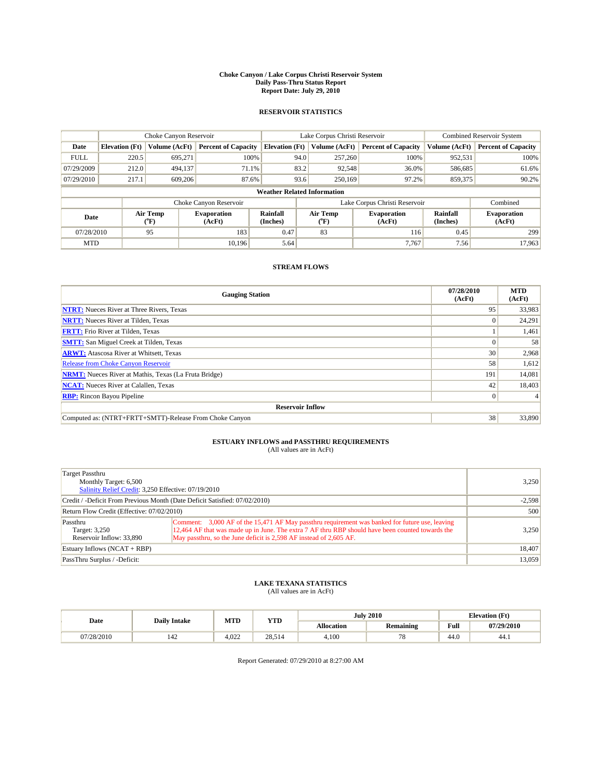#### **Choke Canyon / Lake Corpus Christi Reservoir System Daily Pass-Thru Status Report Report Date: July 29, 2010**

### **RESERVOIR STATISTICS**

|             | Choke Canyon Reservoir |                  |                              |                       | Lake Corpus Christi Reservoir      |                               | <b>Combined Reservoir System</b> |                              |
|-------------|------------------------|------------------|------------------------------|-----------------------|------------------------------------|-------------------------------|----------------------------------|------------------------------|
| Date        | <b>Elevation</b> (Ft)  | Volume (AcFt)    | <b>Percent of Capacity</b>   | <b>Elevation</b> (Ft) | Volume (AcFt)                      | <b>Percent of Capacity</b>    | Volume (AcFt)                    | <b>Percent of Capacity</b>   |
| <b>FULL</b> | 220.5                  | 695.271          | 100%                         |                       | 94.0<br>257,260                    | 100%                          | 952,531                          | 100%                         |
| 07/29/2009  | 212.0                  | 494.137          | 71.1%                        |                       | 83.2<br>92,548                     | 36.0%                         | 586,685                          | 61.6%                        |
| 07/29/2010  | 217.1                  | 609,206          | 87.6%                        |                       | 93.6<br>250,169                    | 97.2%                         | 859,375                          | 90.2%                        |
|             |                        |                  |                              |                       | <b>Weather Related Information</b> |                               |                                  |                              |
|             |                        |                  | Choke Canyon Reservoir       |                       |                                    | Lake Corpus Christi Reservoir |                                  | Combined                     |
| Date        |                        | Air Temp<br>(°F) | <b>Evaporation</b><br>(AcFt) | Rainfall<br>(Inches)  | Air Temp<br>("F)                   | <b>Evaporation</b><br>(AcFt)  | Rainfall<br>(Inches)             | <b>Evaporation</b><br>(AcFt) |
| 07/28/2010  |                        | 95               | 183                          | 0.47                  | 83                                 | 116                           | 0.45                             | 299                          |
| <b>MTD</b>  |                        |                  | 10.196                       | 5.64                  |                                    | 7.767                         | 7.56                             | 17.963                       |

## **STREAM FLOWS**

| <b>Gauging Station</b>                                       | 07/28/2010<br>(AcFt) | <b>MTD</b><br>(AcFt) |  |  |  |  |
|--------------------------------------------------------------|----------------------|----------------------|--|--|--|--|
| <b>NTRT:</b> Nueces River at Three Rivers, Texas             | 95                   | 33,983               |  |  |  |  |
| <b>NRTT:</b> Nueces River at Tilden, Texas                   | $\Omega$             | 24,291               |  |  |  |  |
| <b>FRTT:</b> Frio River at Tilden, Texas                     |                      | 1,461                |  |  |  |  |
| <b>SMTT:</b> San Miguel Creek at Tilden, Texas               |                      | 58                   |  |  |  |  |
| <b>ARWT:</b> Atascosa River at Whitsett, Texas               | 30 <sup>1</sup>      | 2,968                |  |  |  |  |
| <b>Release from Choke Canyon Reservoir</b>                   | 58                   | 1,612                |  |  |  |  |
| <b>NRMT:</b> Nueces River at Mathis, Texas (La Fruta Bridge) | 191                  | 14,081               |  |  |  |  |
| <b>NCAT:</b> Nueces River at Calallen, Texas                 | 42                   | 18,403               |  |  |  |  |
| <b>RBP:</b> Rincon Bayou Pipeline                            | $\vert 0 \vert$      |                      |  |  |  |  |
| <b>Reservoir Inflow</b>                                      |                      |                      |  |  |  |  |
| Computed as: (NTRT+FRTT+SMTT)-Release From Choke Canyon      | 38                   | 33,890               |  |  |  |  |

# **ESTUARY INFLOWS and PASSTHRU REQUIREMENTS**<br>(All values are in AcFt)

| Target Passthru<br>Monthly Target: 6,500                                   | Salinity Relief Credit: 3,250 Effective: 07/19/2010                                                                                                                                                                                                                      |        |  |  |
|----------------------------------------------------------------------------|--------------------------------------------------------------------------------------------------------------------------------------------------------------------------------------------------------------------------------------------------------------------------|--------|--|--|
| Credit / -Deficit From Previous Month (Date Deficit Satisfied: 07/02/2010) | $-2,598$                                                                                                                                                                                                                                                                 |        |  |  |
| Return Flow Credit (Effective: 07/02/2010)                                 | 500                                                                                                                                                                                                                                                                      |        |  |  |
| Passthru<br>Target: 3,250<br>Reservoir Inflow: 33,890                      | Comment: 3,000 AF of the 15,471 AF May passthru requirement was banked for future use, leaving<br>12,464 AF that was made up in June. The extra 7 AF thru RBP should have been counted towards the<br>May passthru, so the June deficit is 2,598 AF instead of 2,605 AF. | 3,250  |  |  |
| Estuary Inflows (NCAT + RBP)                                               | 18,407                                                                                                                                                                                                                                                                   |        |  |  |
| PassThru Surplus / -Deficit:                                               |                                                                                                                                                                                                                                                                          | 13,059 |  |  |

## **LAKE TEXANA STATISTICS** (All values are in AcFt)

|            | <b>Daily Intake</b> | MTD   | <b>YTD</b> |                   | <b>July 2010</b> |      | <b>Elevation</b> (Ft) |
|------------|---------------------|-------|------------|-------------------|------------------|------|-----------------------|
| Date       |                     |       |            | <b>Allocation</b> | Remaining        | Full | 07/29/2010            |
| 07/28/2010 | 142                 | 4.022 | 28.514     | 4.100             | $\pi$ o          | 44.0 | 44.1                  |

Report Generated: 07/29/2010 at 8:27:00 AM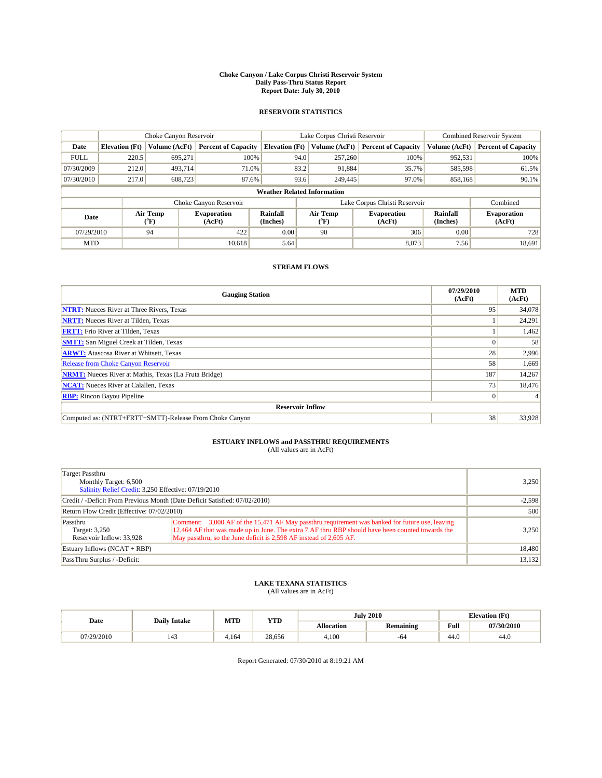#### **Choke Canyon / Lake Corpus Christi Reservoir System Daily Pass-Thru Status Report Report Date: July 30, 2010**

### **RESERVOIR STATISTICS**

|             | Choke Canyon Reservoir             |                                |                              |                       | Lake Corpus Christi Reservoir |                               | <b>Combined Reservoir System</b> |                              |  |  |
|-------------|------------------------------------|--------------------------------|------------------------------|-----------------------|-------------------------------|-------------------------------|----------------------------------|------------------------------|--|--|
| Date        | <b>Elevation</b> (Ft)              | Volume (AcFt)                  | <b>Percent of Capacity</b>   | <b>Elevation</b> (Ft) | Volume (AcFt)                 | <b>Percent of Capacity</b>    | Volume (AcFt)                    | <b>Percent of Capacity</b>   |  |  |
| <b>FULL</b> | 220.5                              | 695,271                        | 100%                         | 94.0                  | 257,260                       | 100%                          | 952,531                          | 100%                         |  |  |
| 07/30/2009  | 212.0                              | 493.714                        | 71.0%                        | 83.2                  | 91,884                        | 35.7%                         | 585,598                          | 61.5%                        |  |  |
| 07/30/2010  | 217.0                              | 608,723                        | 87.6%                        | 93.6                  | 249,445                       | 97.0%                         | 858,168                          | 90.1%                        |  |  |
|             | <b>Weather Related Information</b> |                                |                              |                       |                               |                               |                                  |                              |  |  |
|             |                                    |                                | Choke Canyon Reservoir       |                       |                               | Lake Corpus Christi Reservoir |                                  | Combined                     |  |  |
| Date        |                                    | Air Temp<br>$({}^o\mathrm{F})$ | <b>Evaporation</b><br>(AcFt) | Rainfall<br>(Inches)  | Air Temp<br>(°F)              | <b>Evaporation</b><br>(AcFt)  | Rainfall<br>(Inches)             | <b>Evaporation</b><br>(AcFt) |  |  |
| 07/29/2010  |                                    | 94                             | 422                          | 0.00                  | 90                            | 306                           | 0.00                             | 728                          |  |  |
| <b>MTD</b>  |                                    |                                | 10.618                       | 5.64                  |                               | 8.073                         | 7.56                             | 18.691                       |  |  |

## **STREAM FLOWS**

| <b>Gauging Station</b>                                       | 07/29/2010<br>(AcFt) | <b>MTD</b><br>(AcFt) |  |  |  |  |
|--------------------------------------------------------------|----------------------|----------------------|--|--|--|--|
| <b>NTRT:</b> Nueces River at Three Rivers, Texas             | 95                   | 34,078               |  |  |  |  |
| <b>NRTT:</b> Nueces River at Tilden, Texas                   |                      | 24,291               |  |  |  |  |
| <b>FRTT:</b> Frio River at Tilden, Texas                     |                      | 1,462                |  |  |  |  |
| <b>SMTT:</b> San Miguel Creek at Tilden, Texas               |                      | 58                   |  |  |  |  |
| <b>ARWT:</b> Atascosa River at Whitsett, Texas               | 28                   | 2,996                |  |  |  |  |
| Release from Choke Canyon Reservoir                          | 58                   | 1,669                |  |  |  |  |
| <b>NRMT:</b> Nueces River at Mathis, Texas (La Fruta Bridge) | 187                  | 14,267               |  |  |  |  |
| <b>NCAT:</b> Nueces River at Calallen, Texas                 | 73                   | 18,476               |  |  |  |  |
| <b>RBP:</b> Rincon Bayou Pipeline                            | $\overline{0}$       |                      |  |  |  |  |
| <b>Reservoir Inflow</b>                                      |                      |                      |  |  |  |  |
| Computed as: (NTRT+FRTT+SMTT)-Release From Choke Canyon      | 38                   | 33,928               |  |  |  |  |

# **ESTUARY INFLOWS and PASSTHRU REQUIREMENTS**<br>(All values are in AcFt)

| Target Passthru<br>Monthly Target: 6,500<br>Salinity Relief Credit: 3,250 Effective: 07/19/2010 |                                                                                                                                                                                                                                                                          | 3,250  |
|-------------------------------------------------------------------------------------------------|--------------------------------------------------------------------------------------------------------------------------------------------------------------------------------------------------------------------------------------------------------------------------|--------|
| Credit / -Deficit From Previous Month (Date Deficit Satisfied: 07/02/2010)                      | $-2,598$                                                                                                                                                                                                                                                                 |        |
| Return Flow Credit (Effective: 07/02/2010)                                                      | 500                                                                                                                                                                                                                                                                      |        |
| Passthru<br>Target: 3,250<br>Reservoir Inflow: 33,928                                           | Comment: 3,000 AF of the 15,471 AF May passthru requirement was banked for future use, leaving<br>12,464 AF that was made up in June. The extra 7 AF thru RBP should have been counted towards the<br>May passthru, so the June deficit is 2,598 AF instead of 2,605 AF. | 3,250  |
| Estuary Inflows $(NCAT + RBP)$                                                                  | 18,480                                                                                                                                                                                                                                                                   |        |
| PassThru Surplus / -Deficit:                                                                    |                                                                                                                                                                                                                                                                          | 13,132 |

## **LAKE TEXANA STATISTICS** (All values are in AcFt)

|            |                       | MTD<br><b>YTD</b><br><b>Daily Intake</b> |        |                   | <b>July 2010</b> |      | <b>Elevation</b> (Ft) |  |
|------------|-----------------------|------------------------------------------|--------|-------------------|------------------|------|-----------------------|--|
| Date       |                       |                                          |        | <b>Allocation</b> | <b>Remaining</b> | Full | 07/30/2010            |  |
| 07/29/2010 | $\overline{A}$<br>143 | 4.164                                    | 28.656 | 4.100             | -04              | 44.0 | 44.0                  |  |

Report Generated: 07/30/2010 at 8:19:21 AM